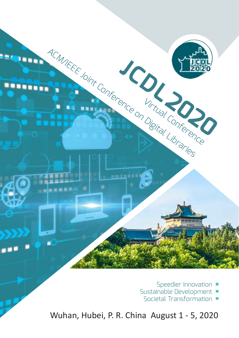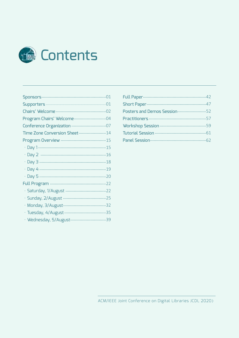

| Time Zone Conversion Sheet14         |  |
|--------------------------------------|--|
|                                      |  |
| · Day 1……………………………………………………15        |  |
|                                      |  |
|                                      |  |
|                                      |  |
|                                      |  |
|                                      |  |
| · Saturday, 1/August ……………………………… 22 |  |
| · Sunday, 2/August ………………………………… 25  |  |
|                                      |  |
|                                      |  |
| · Wednesday, 5/August39              |  |
|                                      |  |

| Posters and Demos Session52 |  |
|-----------------------------|--|
|                             |  |
|                             |  |
|                             |  |
|                             |  |

ACM/IEEE Joint Conference on Digital Libraries JCDL 2020)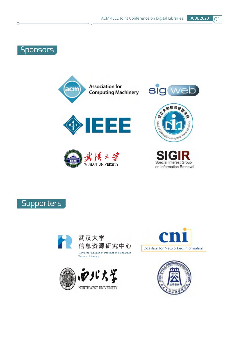**Sponsors** 

 $\Box$ 







### **Supporters**







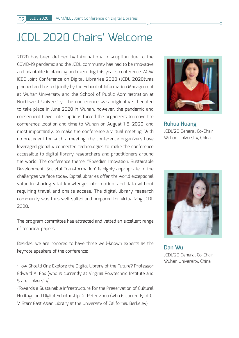### JCDL 2020 Chairs' Welcome

2020 has been defined by international disruption due to the COVID-19 pandemic and the JCDL community has had to be innovative and adaptable in planning and executing this year's conference. ACM/ IEEE Joint Conference on Digital Libraries 2020 (JCDL 2020)was planned and hosted jointly by the School of Information Management at Wuhan University and the School of Public Administration at Northwest University. The conference was originally scheduled to take place in June 2020 in Wuhan, however, the pandemic and consequent travel interruptions forced the organizers to move the conference location and time to Wuhan on August 1-5, 2020, and most importantly, to make the conference a virtual meeting. With no precedent for such a meeting, the conference organizers have leveraged globally connected technologies to make the conference accessible to digital library researchers and practitioners around the world. The conference theme, "Speedier Innovation, Sustainable Development, Societal Transformation" is highly appropriate to the challenges we face today. Digital libraries offer the world exceptional value in sharing vital knowledge, information, and data without requiring travel and onsite access. The digital library research community was thus well-suited and prepared for virtualizing JCDL 2020.

The program committee has attracted and vetted an excellent range of technical papers.

Besides, we are honored to have three well-known experts as the keynote speakers of the conference:

•How Should One Explore the Digital Library of the Future? Professor Edward A. Fox (who is currently at Virginia Polytechnic Institute and State University)

•Towards a Sustainable Infrastructure for the Preservation of Cultural Heritage and Digital Scholarship,Dr. Peter Zhou (who is currently at C. V. Starr East Asian Library at the University of California, Berkeley)



**Ruhua Huang** JCDL'20 General Co-Chair Wuhan University, China



**Dan Wu** JCDL'20 General Co-Chair Wuhan University, China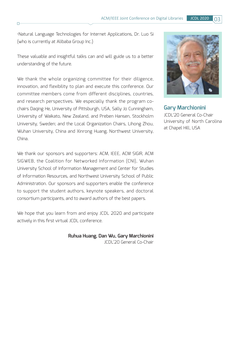•Natural Language Technologies for Internet Applications, Dr. Luo Si (who is currently at Alibaba Group Inc.)

These valuable and insightful talks can and will guide us to a better understanding of the future.

We thank the whole organizing committee for their diligence, innovation, and flexibility to plan and execute this conference. Our committee members come from different disciplines, countries, and research perspectives. We especially thank the program cochairs Daqing He, University of Pittsburgh, USA, Sally Jo Cunningham, University of Waikato, New Zealand, and Preben Hansen, Stockholm University, Sweden; and the Local Organization Chairs, Lihong Zhou, Wuhan University, China and Xinrong Huang, Northwest University, China.

We thank our sponsors and supporters: ACM, IEEE, ACM SIGIR, ACM SIGWEB, the Coalition for Networked Information (CNI), Wuhan University School of Information Management and Center for Studies of Information Resources, and Northwest University School of Public Administration. Our sponsors and supporters enable the conference to support the student authors, keynote speakers, and doctoral consortium participants, and to award authors of the best papers.

We hope that you learn from and enjoy JCDL 2020 and participate actively in this first virtual JCDL conference.

> **Ruhua Huang, Dan Wu, Gary Marchionini** JCDL'20 General Co-Chair



**Gary Marchionini** JCDL'20 General Co-Chair University of North Carolina

at Chapel Hill, USA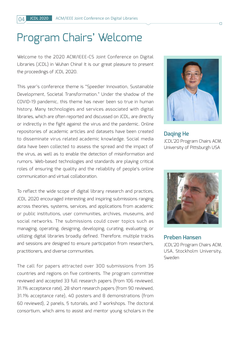### Program Chairs' Welcome

Welcome to the 2020 ACM/IEEE-CS Joint Conference on Digital Libraries (JCDL) in Wuhan China! It is our great pleasure to present the proceedings of JCDL 2020.

This year's conference theme is "Speedier Innovation, Sustainable Development, Societal Transformation." Under the shadow of the COVID-19 pandemic, this theme has never been so true in human history. Many technologies and services associated with digital libraries, which are often reported and discussed on JCDL, are directly or indirectly in the fight against the virus and the pandemic. Online repositories of academic articles and datasets have been created to disseminate virus related academic knowledge. Social media data have been collected to assess the spread and the impact of the virus, as well as to enable the detection of misinformation and rumors. Web-based technologies and standards are playing critical roles of ensuring the quality and the reliability of people's online communication and virtual collaboration.

To reflect the wide scope of digital library research and practices, JCDL 2020 encouraged interesting and inspiring submissions ranging across theories, systems, services, and applications from academic or public institutions, user communities, archives, museums, and social networks. The submissions could cover topics such as managing, operating, designing, developing, curating, evaluating, or utilizing digital libraries broadly defined. Therefore, multiple tracks and sessions are designed to ensure participation from researchers, practitioners, and diverse communities.

The call for papers attracted over 300 submissions from 35 countries and regions on five continents. The program committee reviewed and accepted 33 full research papers (from 106 reviewed, 31.1% acceptance rate), 28 short research papers (from 90 reviewed, 31.1% acceptance rate), 40 posters and 8 demonstrations (from 60 reviewed), 2 panels, 5 tutorials, and 7 workshops. The doctoral consortium, which aims to assist and mentor young scholars in the



**Daqing He** JCDL'20 Program Chairs ACM, University of Pittsburgh USA



**Preben Hansen** JCDL'20 Program Chairs ACM, USA, Stockholm University, Sweden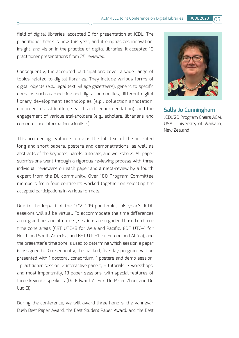field of digital libraries, accepted 8 for presentation at JCDL. The practitioner track is new this year, and it emphasizes innovation, insight, and vision in the practice of digital libraries. It accepted 10 practitioner presentations from 25 reviewed.

Consequently, the accepted participations cover a wide range of topics related to digital libraries. They include various forms of digital objects (e.g., legal text, village gazetteers), generic to specific domains such as medicine and digital humanities, different digital library development technologies (e.g., collection annotation, document classification, search and recommendation), and the engagement of various stakeholders (e.g., scholars, librarians, and computer and information scientists).

This proceedings volume contains the full text of the accepted long and short papers, posters and demonstrations, as well as abstracts of the keynotes, panels, tutorials, and workshops. All paper submissions went through a rigorous reviewing process with three individual reviewers on each paper and a meta-review by a fourth expert from the DL community. Over 180 Program Committee members from four continents worked together on selecting the accepted participations in various formats.

Due to the impact of the COVID-19 pandemic, this year's JCDL sessions will all be virtual. To accommodate the time differences among authors and attendees, sessions are organized based on three time zone areas (CST UTC+8 for Asia and Pacific, EDT UTC-4 for North and South America, and BST UTC+1 for Europe and Africa), and the presenter's time zone is used to determine which session a paper is assigned to. Consequently, the packed, five-day program will be presented with 1 doctoral consortium, 1 posters and demo session, 1 practitioner session, 2 interactive panels, 5 tutorials, 7 workshops, and most importantly, 18 paper sessions, with special features of three keynote speakers (Dr. Edward A. Fox, Dr. Peter Zhou, and Dr. Luo Si).

During the conference, we will award three honors: the Vannevar Bush Best Paper Award, the Best Student Paper Award, and the Best



**Sally Jo Cunningham** JCDL'20 Program Chairs ACM, USA, University of Waikato, New Zealand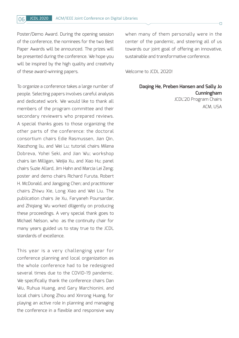Poster/Demo Award. During the opening session of the conference, the nominees for the two Best Paper Awards will be announced. The prizes will be presented during the conference. We hope you will be inspired by the high quality and creativity of these award-winning papers.

To organize a conference takes a large number of people. Selecting papers involves careful analysis and dedicated work. We would like to thank all members of the program committee and their secondary reviewers who prepared reviews. A special thanks goes to those organizing the other parts of the conference: the doctoral consortium chairs Edie Rasmussen, Jian Qin, Xiaozhong liu, and Wei Lu; tutorial chairs Milena Dobreva, Yohei Seki, and Jian Wu; workshop chairs Ian Milligan, Weijia Xu, and Xiao Hu; panel chairs Suzie Allard, Jim Hahn and Marcia Lei Zeng; poster and demo chairs Richard Furuta, Robert H. McDonald, and Jiangping Chen; and practitioner chairs Zhiwu Xie, Long Xiao and Wei Liu. The publication chairs Jie Xu, Faryaneh Poursardar, and Zhiqiang Wu worked diligently on producing these proceedings. A very special thank goes to Michael Nelson, who as the continuity chair for many years guided us to stay true to the JCDL standards of excellence.

This year is a very challenging year for conference planning and local organization as the whole conference had to be redesigned several times due to the COVID-19 pandemic. We specifically thank the conference chairs Dan Wu, Ruhua Huang, and Gary Marchionini, and local chairs Lihong Zhou and Xinrong Huang, for playing an active role in planning and managing the conference in a flexible and responsive way

when many of them personally were in the center of the pandemic, and steering all of us towards our joint goal of offering an innovative, sustainable and transformative conference.

Welcome to JCDL 2020!

**Daqing He, Preben Hansen and Sally Jo Cunningham**  JCDL'20 Program Chairs ACM, USA

Ð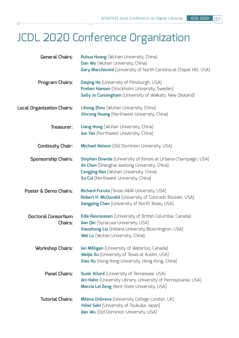# JCDL 2020 Conference Organization

| <b>General Chairs:</b>                | <b>Ruhua Huang</b> (Wuhan University, China)<br><b>Dan Wu</b> (Wuhan University, China)<br>Gary Marchionini (University of North Carolina at Chapel Hill, USA)                                                     |
|---------------------------------------|--------------------------------------------------------------------------------------------------------------------------------------------------------------------------------------------------------------------|
| <b>Program Chairs:</b>                | <b>Daqing He (University of Pittsburgh, USA)</b><br>Preben Hansen (Stockholm University, Sweden)<br><b>Sally Jo Cunningham</b> (University of Waikato, New Zealand)                                                |
| <b>Local Organization Chairs:</b>     | <b>Lihong Zhou</b> (Wuhan University, China)<br><b>Xinrong Huang</b> (Northwest University, China)                                                                                                                 |
| Treasurer:                            | <b>Liang Hong</b> (Wuhan University, China)<br>Jun Tao (Northwest University, China)                                                                                                                               |
| <b>Continuity Chair:</b>              | <b>Michael Nelson</b> (Old Dominion University, USA)                                                                                                                                                               |
| <b>Sponsorship Chairs:</b>            | <b>Stephen Downie</b> (University of Illinois at Urbana-Champaign, USA)<br>Jin Chen (Shanghai Jiaotong University, China)<br><b>Congjing Ran</b> (Wuhan University, China)<br>Xu Cui (Northwest University, China) |
| Poster & Demo Chairs:                 | Richard Furuta (Texas A&M University, USA)<br>Robert H. McDonald (University of Colorado Boulder, USA)<br><b>Jiangping Chen</b> (University of North Texas, USA)                                                   |
| <b>Doctoral Consortium</b><br>Chairs: | <b>Edie Rasmussen</b> (University of British Columbia, Canada)<br>Jian Qin (Syracuse University, USA)<br>Xiaozhong Liu (Indiana University Bloomington, USA)<br>Wei Lu (Wuhan University, China)                   |
| <b>Workshop Chairs:</b>               | <b>Ian Milligan</b> (University of Waterloo, Canada)<br><b>Weijia Xu</b> (University of Texas at Austin, USA)<br>Xiao Hu (Hong Kong University, Hong Kong, China)                                                  |
| <b>Panel Chairs:</b>                  | <b>Suzie Allard</b> (University of Tennessee, USA)<br>Jim Hahn (University Library, University of Pennsylvania, USA)<br>Marcia Lei Zeng (Kent State University, USA)                                               |
| <b>Tutorial Chairs:</b>               | <b>Milena Dobreva</b> (University College London, UK)<br><b>Yohei Seki</b> (University of Tsukuba, Japan)<br><b>Jian Wu</b> (Old Dominion University, USA)                                                         |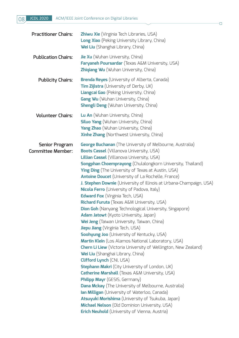| <b>Practitioner Chairs:</b>                       | <b>Zhiwu Xie</b> (Virginia Tech Libraries, USA)<br><b>Long Xiao</b> (Peking University Library, China)<br>Wei Liu (Shanghai Library, China)                                                                                                                                                                                                                                                                                                                                                                                                                                                                                                                                                                                                                                                                                                                                                                                                                                                                                                                                                                                                                                                                                                                                                                                                                                                                                                                                                        |
|---------------------------------------------------|----------------------------------------------------------------------------------------------------------------------------------------------------------------------------------------------------------------------------------------------------------------------------------------------------------------------------------------------------------------------------------------------------------------------------------------------------------------------------------------------------------------------------------------------------------------------------------------------------------------------------------------------------------------------------------------------------------------------------------------------------------------------------------------------------------------------------------------------------------------------------------------------------------------------------------------------------------------------------------------------------------------------------------------------------------------------------------------------------------------------------------------------------------------------------------------------------------------------------------------------------------------------------------------------------------------------------------------------------------------------------------------------------------------------------------------------------------------------------------------------------|
| <b>Publication Chairs:</b>                        | Jie Xu (Wuhan University, China)<br>Faryaneh Poursardar (Texas A&M University, USA)<br><b>Zhiqiang Wu</b> (Wuhan University, China)                                                                                                                                                                                                                                                                                                                                                                                                                                                                                                                                                                                                                                                                                                                                                                                                                                                                                                                                                                                                                                                                                                                                                                                                                                                                                                                                                                |
| <b>Publicity Chairs:</b>                          | <b>Brenda Reyes</b> (University of Alberta, Canada)<br>Tim Zijlstra (University of Derby, UK)<br>Liangcai Gao (Peking University, China)<br><b>Gang Wu</b> (Wuhan University, China)<br><b>Shengli Deng</b> (Wuhan University, China)                                                                                                                                                                                                                                                                                                                                                                                                                                                                                                                                                                                                                                                                                                                                                                                                                                                                                                                                                                                                                                                                                                                                                                                                                                                              |
| <b>Volunteer Chairs:</b>                          | <b>Lu An</b> (Wuhan University, China)<br><b>Siluo Yang</b> (Wuhan University, China)<br><b>Yang Zhao</b> (Wuhan University, China)<br><b>Xinhe Zhang</b> (Northwest University, China)                                                                                                                                                                                                                                                                                                                                                                                                                                                                                                                                                                                                                                                                                                                                                                                                                                                                                                                                                                                                                                                                                                                                                                                                                                                                                                            |
| <b>Senior Program</b><br><b>Committee Member:</b> | <b>George Buchanan</b> (The University of Melbourne, Australia)<br><b>Boots Cassel</b> (Villanova University, USA)<br><b>Lillian Cassel</b> (Villanova University, USA)<br><b>Songphan Choemprayong</b> (Chulalongkorn University, Thailand)<br><b>Ying Ding</b> (The University of Texas at Austin, USA)<br><b>Antoine Doucet</b> (University of La Rochelle, France)<br>J. Stephen Downie (University of Illinois at Urbana-Champaign, USA)<br><b>Nicola Ferro</b> (University of Padova, Italy)<br><b>Edward Fox</b> (Virginia Tech, USA)<br>Richard Furuta (Texas A&M University, USA)<br><b>Dion Goh</b> (Nanyang Technological University, Singapore)<br><b>Adam Jatowt</b> (Kyoto University, Japan)<br><b>Wei Jeng</b> (Taiwan University, Taiwan, China)<br>Jiepu Jiang (Virginia Tech, USA)<br><b>Soohyung Joo</b> (University of Kentucky, USA)<br>Martin Klein (Los Alamos National Laboratory, USA)<br><b>Chern Li Liew</b> (Victoria University of Wellington, New Zealand)<br>Wei Liu (Shanghai Library, China)<br>Clifford Lynch (CNI, USA)<br><b>Stephann Makri</b> (City University of London, UK)<br>Catherine Marshall (Texas A&M University, USA)<br>Philipp Mayr (GESIS, Germany)<br><b>Dana Mckay</b> (The University of Melbourne, Australia)<br><b>Ian Milligan</b> (University of Waterloo, Canada)<br>Atsuyuki Morishima (University of Tsukuba, Japan)<br><b>Michael Nelson</b> (Old Dominion University, USA)<br><b>Erich Neuhold</b> (University of Vienna, Austria) |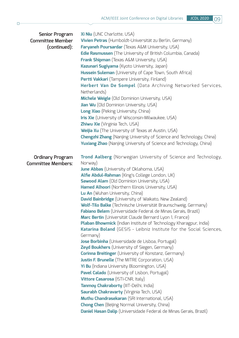| <b>Senior Program</b>     | Xi Niu (UNC Charlotte, USA)                                                 |  |  |  |  |
|---------------------------|-----------------------------------------------------------------------------|--|--|--|--|
| <b>Committee Member</b>   | Vivien Petras (Humboldt-Universität zu Berlin, Germany)                     |  |  |  |  |
| (continued):              | <b>Faryaneh Poursardar</b> (Texas A&M University, USA)                      |  |  |  |  |
|                           | Edie Rasmussen (The University of British Columbia, Canada)                 |  |  |  |  |
|                           | <b>Frank Shipman</b> (Texas A&M University, USA)                            |  |  |  |  |
|                           | Kazunari Sugiyama (Kyoto University, Japan)                                 |  |  |  |  |
|                           | Hussein Suleman (University of Cape Town, South Africa)                     |  |  |  |  |
|                           | Pertti Vakkari (Tampere University, Finland)                                |  |  |  |  |
|                           | Herbert Van De Sompel (Data Archiving Networked Services,                   |  |  |  |  |
|                           | Netherlands)                                                                |  |  |  |  |
|                           | Michele Weigle (Old Dominion University, USA)                               |  |  |  |  |
|                           | Jian Wu (Old Dominion University, USA)                                      |  |  |  |  |
|                           | <b>Long Xiao</b> (Peking University, China)                                 |  |  |  |  |
|                           | <b>Iris Xie</b> (University of Wisconsin-Milwaukee, USA)                    |  |  |  |  |
|                           | <b>Zhiwu Xie</b> (Virginia Tech, USA)                                       |  |  |  |  |
|                           | Weijia Xu (The University of Texas at Austin, USA)                          |  |  |  |  |
|                           | <b>Chengzhi Zhang</b> (Nanjing University of Science and Technology, China) |  |  |  |  |
|                           | <b>Yuxiang Zhao</b> (Nanjing University of Science and Technology, China)   |  |  |  |  |
|                           |                                                                             |  |  |  |  |
| <b>Ordinary Program</b>   | Trond Aalberg (Norwegian University of Science and Technology,              |  |  |  |  |
| <b>Committee Members:</b> | Norway)                                                                     |  |  |  |  |
|                           | <b>June Abbas</b> (University of Oklahoma, USA)                             |  |  |  |  |
|                           | Alfie Abdul-Rahman (King's College London, UK)                              |  |  |  |  |
|                           | <b>Sawood Alam</b> (Old Dominion University, USA)                           |  |  |  |  |
|                           | Hamed Alhoori (Northern Illinois University, USA)                           |  |  |  |  |
|                           | Lu An (Wuhan University, China)                                             |  |  |  |  |
|                           | <b>David Bainbridge</b> (University of Waikato, New Zealand)                |  |  |  |  |
|                           | Wolf-Tilo Balke (Technische Universität Braunschweig, Germany)              |  |  |  |  |
|                           | <b>Fabiano Belem</b> (Universidade Federal de Minas Gerais, Brazil)         |  |  |  |  |
|                           | Marc Bertin (Universität Claude Bernard Lyon 1, France)                     |  |  |  |  |
|                           | Plaban Bhowmick (Indian Institute of Technology Kharagpur, India)           |  |  |  |  |
|                           | Katarina Boland (GESIS - Leibniz Institute for the Social Sciences,         |  |  |  |  |
|                           | Germany)                                                                    |  |  |  |  |
|                           | Jose Borbinha (Universidade de Lisboa, Portugal)                            |  |  |  |  |
|                           | Zeyd Boukhers (University of Siegen, Germany)                               |  |  |  |  |
|                           | <b>Corinna Breitinger</b> (University of Konstanz, Germany)                 |  |  |  |  |
|                           | <b>Justin F. Brunelle</b> (The MITRE Corporation, USA)                      |  |  |  |  |
|                           | <b>Yi Bu</b> (Indiana University Bloomington, USA)                          |  |  |  |  |
|                           | Pavel Calado (University of Lisbon, Portugal)                               |  |  |  |  |
|                           | <b>Vittore Casarosa</b> (ISTI-CNR, Italy)                                   |  |  |  |  |
|                           | Tanmoy Chakraborty (IIIT-Delhi, India)                                      |  |  |  |  |
|                           | <b>Saurabh Chakravarty (Virginia Tech, USA)</b>                             |  |  |  |  |
|                           | Muthu Chandrasekaran (SRI International, USA)                               |  |  |  |  |
|                           | <b>Chong Chen</b> (Beijing Normal University, China)                        |  |  |  |  |
|                           | Daniel Hasan Dalip (Universidade Federal de Minas Gerais, Brazil)           |  |  |  |  |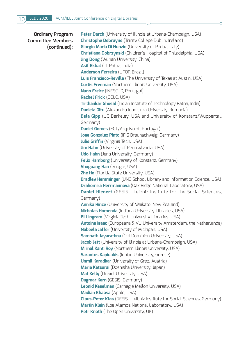| <b>Ordinary Program</b>  | <b>Peter Darch</b> (University of Illinois at Urbana-Champaign, USA)             |
|--------------------------|----------------------------------------------------------------------------------|
| <b>Committee Members</b> | Christophe Debruyne (Trinity College Dublin, Ireland)                            |
| (continued):             | Giorgio Maria Di Nunzio (University of Padua, Italy)                             |
|                          | Christiana Dobrzynski (Children's Hospital of Philadelphia, USA)                 |
|                          | <b>Jing Dong</b> (Wuhan University, China)                                       |
|                          | Asif Ekbal (IIT Patna, India)                                                    |
|                          | <b>Anderson Ferreira (UFOP, Brazil)</b>                                          |
|                          | Luis Francisco-Revilla (The University of Texas at Austin, USA)                  |
|                          | <b>Curtis Freeman</b> (Northern Illinois University, USA)                        |
|                          | <b>Nuno Freire</b> (INESC-ID, Portugal)                                          |
|                          | Rachel Frick (OCLC, USA)                                                         |
|                          | Tirthankar Ghosal (Indian Institute of Technology Patna, India)                  |
|                          | Daniela Gifu (Alexandru Ioan Cuza University, Romania)                           |
|                          | Bela Gipp (UC Berkeley, USA and University of Konstanz/Wuppertal,                |
|                          | Germany)                                                                         |
|                          | <b>Daniel Gomes</b> (FCT/Arquivo.pt, Portugal)                                   |
|                          | Jose Gonzalez Pinto (IFIS Braunschweig, Germany)                                 |
|                          | <b>Julie Griffin</b> (Virginia Tech, USA)                                        |
|                          | Jim Hahn (University of Pennsylvania, USA)                                       |
|                          | <b>Udo Hahn</b> (Jena University, Germany)                                       |
|                          | Felix Hamborg (University of Konstanz, Germany)                                  |
|                          | <b>Shuguang Han</b> (Google, USA)                                                |
|                          | <b>Zhe He</b> (Florida State University, USA)                                    |
|                          | Bradley Hemminger (UNC School Library and Information Science, USA)              |
|                          | <b>Drahomira Herrmannova</b> (Oak Ridge National Laboratory, USA)                |
|                          | Daniel Hienert (GESIS - Leibniz Institute for the Social Sciences,               |
|                          | Germany)                                                                         |
|                          | <b>Annika Hinze</b> (University of Waikato, New Zealand)                         |
|                          | Nicholas Homenda (Indiana University Libraries, USA)                             |
|                          | <b>Bill Ingram</b> (Virginia Tech University Libraries, USA)                     |
|                          | <b>Antoine Isaac</b> (Europeana & VU University Amsterdam, the Netherlands)      |
|                          | Nabeela Jaffer (University of Michigan, USA)                                     |
|                          | <b>Sampath Jayarathna</b> (Old Dominion University, USA)                         |
|                          | Jacob Jett (University of Illinois at Urbana-Champaign, USA)                     |
|                          | <b>Mrinal Kanti Roy</b> (Northern Illinois University, USA)                      |
|                          | <b>Sarantos Kapidakis</b> (Ionian University, Greece)                            |
|                          | <b>Unmil Karadkar</b> (University of Graz, Austria)                              |
|                          | Marie Katsurai (Doshisha University, Japan)                                      |
|                          | <b>Mat Kelly</b> (Drexel University, USA)                                        |
|                          | <b>Dagmar Kern</b> (GESIS, Germany)                                              |
|                          | Leonid Keselman (Carnegie Mellon University, USA)                                |
|                          | Madian Khabsa (Apple, USA)                                                       |
|                          | <b>Claus-Peter Klas</b> (GESIS - Leibniz Institute for Social Sciences, Germany) |
|                          | Martin Klein (Los Alamos National Laboratory, USA)                               |
|                          | <b>Petr Knoth</b> (The Open University, UK)                                      |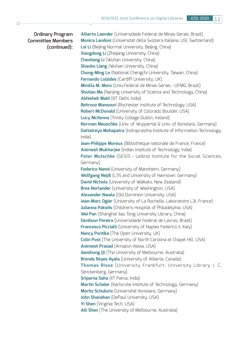| <b>Ordinary Program</b>  | Alberto Laender (Universidade Federal de Minas Gerais, Brazil)           |
|--------------------------|--------------------------------------------------------------------------|
| <b>Committee Members</b> | Monica Landoni (Universität della Svizzera italiana, USI, Switzerland)   |
| (continued):             | Lei Li (Beijing Normal University, Beijing, China)                       |
|                          | Xiangdong Li (Zhejiang University, China)                                |
|                          | <b>Chenliang Li</b> (Wuhan University, China)                            |
|                          | <b>Shaobo Liang</b> (Wuhan University, China)                            |
|                          | <b>Chung-Ming Lo</b> (National Chengchi University, Taiwan, China)       |
|                          | <b>Fernando Loizides (Cardiff University, UK)</b>                        |
|                          | Mirella M. Moro (Univ.Federal de Minas Gerais - UFMG, Brazil)            |
|                          | <b>Shutian Ma</b> (Nanjing University of Science and Technology, China)  |
|                          | Abhishek Maiti (IIIT Delhi, India)                                       |
|                          | Behrooz Mansouri (Rochester Institute of Technology, USA)                |
|                          | Robert McDonald (University of Colorado Boulder, USA)                    |
|                          | Lucy McKenna (Trinity College Dublin, Ireland)                           |
|                          | <b>Norman Meuschke</b> (Univ. of Wuppertal & Univ. of Konstanz, Germany) |
|                          | Dattatreya Mohapatra (Indraprastha Institute of Information Technology,  |
|                          | India)                                                                   |
|                          | Jean-Philippe Moreux (Bibliothèque nationale de France, France)          |
|                          | Animesh Mukherjee (Indian Institute of Technology, India)                |
|                          | Peter Mutschke (GESIS - Leibniz Institute for the Social Sciences,       |
|                          | Germany)                                                                 |
|                          | <b>Federico Nanni</b> (University of Mannheim, Germany)                  |
|                          | <b>Wolfgang Nejdl</b> (L3S and University of Hannover, Germany)          |
|                          | <b>David Nichols</b> (University of Waikato, New Zealand)                |
|                          | <b>Bree Norlander</b> (University of Washington, USA)                    |
|                          | Alexander Nwala (Old Dominion University, USA)                           |
|                          | Jean-Marc Ogier (University of La Rochelle, Laboratoire L3i, France)     |
|                          | Julianna Pakstis (Children's Hospital of Philadelphia, USA)              |
|                          | Wei Pan (Shanghai Jiao Tong University Library, China)                   |
|                          | <b>Denilson Pereira</b> (Universidade Federal de Lavras, Brazil)         |
|                          | <b>Francesco Piccialli</b> (University of Naples Federico II, Italy)     |
|                          | <b>Nancy Pontika</b> (The Open University, UK)                           |
|                          | <b>Colin Post</b> (The University of North Carolina at Chapel Hill, USA) |
|                          | <b>Animesh Prasad (Amazon Alexa, USA)</b>                                |
|                          | <b>Jianzhong Qi</b> (The University of Melbourne, Australia)             |
|                          | Brenda Reyes Ayala (University of Alberta, Canada)                       |
|                          | Thomas Risse (University Frankfurt, University Library J. C.             |
|                          | Senckenberg, Germany)                                                    |
|                          | <b>Sriparna Saha (IIT Patna, India)</b>                                  |
|                          | Martin Schaler (Karlsruhe Institute of Technology, Germany)              |
|                          | Moritz Schubotz (Universität Konstanz, Germany)                          |
|                          | John Shanahan (DePaul University, USA)                                   |
|                          | Yi Shen (Virginia Tech, USA)                                             |
|                          | Aili Shen (The University of Melbourne, Australia)                       |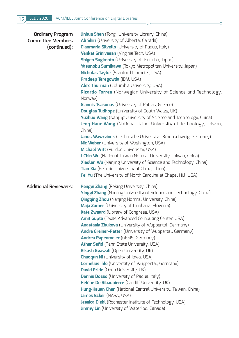| <b>Ordinary Program</b>      | <b>Jinhua Shen</b> (Tongji University Library, China)                                                       |  |  |  |  |
|------------------------------|-------------------------------------------------------------------------------------------------------------|--|--|--|--|
| <b>Committee Members</b>     | Ali Shiri (University of Alberta, Canada)                                                                   |  |  |  |  |
| (continued):                 | Gianmaria Silvello (University of Padua, Italy)                                                             |  |  |  |  |
|                              | Venkat Srinivasan (Virginia Tech, USA)                                                                      |  |  |  |  |
|                              | <b>Shigeo Sugimoto</b> (University of Tsukuba, Japan)                                                       |  |  |  |  |
|                              | Yasunobu Sumikawa (Tokyo Metropolitan University, Japan)                                                    |  |  |  |  |
|                              | <b>Nicholas Taylor</b> (Stanford Libraries, USA)                                                            |  |  |  |  |
|                              | Pradeep Teregowda (IBM, USA)                                                                                |  |  |  |  |
|                              | Alex Thurman (Columbia University, USA)                                                                     |  |  |  |  |
|                              | Ricardo Torres (Norwegian University of Science and Technology,                                             |  |  |  |  |
|                              | Norway)                                                                                                     |  |  |  |  |
|                              | <b>Giannis Tsakonas</b> (University of Patras, Greece)                                                      |  |  |  |  |
|                              | <b>Douglas Tudhope</b> (University of South Wales, UK)                                                      |  |  |  |  |
|                              | <b>Yuzhuo Wang</b> (Nanjing University of Science and Technology, China)                                    |  |  |  |  |
|                              | Jenq-Haur Wang (National Taipei University of Technology, Taiwan,<br>China)                                 |  |  |  |  |
|                              | Janus Wawrzinek (Technische Universität Braunschweig, Germany)                                              |  |  |  |  |
|                              | Nic Weber (University of Washington, USA)                                                                   |  |  |  |  |
|                              | Michael Witt (Purdue Univerisity, USA)                                                                      |  |  |  |  |
|                              | I-Chin Wu (National Taiwan Normal University, Taiwan, China)                                                |  |  |  |  |
|                              | Xiaolan Wu (Nanjing University of Science and Technology, China)                                            |  |  |  |  |
|                              | Tian Xia (Renmin University of China, China)                                                                |  |  |  |  |
|                              | Fei Yu (The University of North Carolina at Chapel Hill, USA)                                               |  |  |  |  |
|                              |                                                                                                             |  |  |  |  |
| <b>Additional Reviewers:</b> | <b>Pengyi Zhang</b> (Peking University, China)                                                              |  |  |  |  |
|                              | <b>Yingyi Zhang</b> (Nanjing University of Science and Technology, China)                                   |  |  |  |  |
|                              | <b>Qingqing Zhou</b> (Nanjing Normal University, China)                                                     |  |  |  |  |
|                              | Maja Zumer (University of Ljubljana, Slovenia)                                                              |  |  |  |  |
|                              | <b>Kate Zwaard</b> (Library of Congress, USA)                                                               |  |  |  |  |
|                              | Amit Gupta (Texas Advanced Computing Center, USA)                                                           |  |  |  |  |
|                              | <b>Anastasia Zhukova</b> (University of Wuppertal, Germany)                                                 |  |  |  |  |
|                              | Andre Greiner-Petter (University of Wuppertal, Germany)                                                     |  |  |  |  |
|                              | <b>Andrea Papenmeier</b> (GESIS, Germany)                                                                   |  |  |  |  |
|                              | Athar Sefid (Penn State University, USA)                                                                    |  |  |  |  |
|                              | <b>Bikash Gyawali</b> (Open University, UK)                                                                 |  |  |  |  |
|                              | <b>Chaoqun Ni</b> (University of Iowa, USA)                                                                 |  |  |  |  |
|                              | <b>Cornelius Ihle</b> (University of Wuppertal, Germany)                                                    |  |  |  |  |
|                              | <b>David Pride</b> (Open University, UK)                                                                    |  |  |  |  |
|                              | <b>Dennis Dosso</b> (University of Padua, Italy)                                                            |  |  |  |  |
|                              | Hélène De Ribaupierre (Cardiff University, UK)                                                              |  |  |  |  |
|                              |                                                                                                             |  |  |  |  |
|                              | Hung-Hsuan Chen (National Central University, Taiwan, China)                                                |  |  |  |  |
|                              | <b>James Ecker</b> (NASA, USA)                                                                              |  |  |  |  |
|                              | Jessica Diehl (Rochester Institute of Technology, USA)<br><b>Jimmy Lin</b> (University of Waterloo, Canada) |  |  |  |  |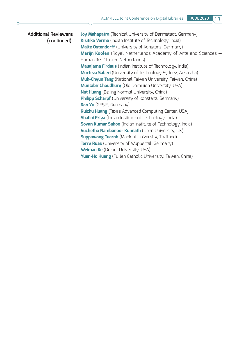| <b>Additional Reviewers</b> | <b>Joy Mahapatra</b> (Techical University of Darmstadt, Germany)       |  |  |  |
|-----------------------------|------------------------------------------------------------------------|--|--|--|
| (continued):                | Krutika Verma (Indian Institute of Technology, India)                  |  |  |  |
|                             | <b>Malte Ostendorff</b> (University of Konstanz, Germany)              |  |  |  |
|                             | <b>Marijn Koolen</b> (Royal Netherlands Academy of Arts and Sciences – |  |  |  |
|                             | Humanities Cluster, Netherlands)                                       |  |  |  |
|                             | Mauajama Firdaus (Indian Institute of Technology, India)               |  |  |  |
|                             | Morteza Saberi (University of Technology Sydney, Australia)            |  |  |  |
|                             | Muh-Chyun Tang (National Taiwan University, Taiwan, China)             |  |  |  |
|                             | Muntabir Choudhury (Old Dominion University, USA)                      |  |  |  |
|                             | <b>Nat Huang</b> (Beijing Normal University, China)                    |  |  |  |
|                             | <b>Philipp Scharpf</b> (University of Konstanz, Germany)               |  |  |  |
|                             | <b>Ran Yu</b> (GESIS, Germany)                                         |  |  |  |
|                             | <b>Ruizhu Huang (Texas Advanced Computing Center, USA)</b>             |  |  |  |
|                             | <b>Shalini Priya</b> (Indian Institute of Technology, India)           |  |  |  |
|                             | <b>Sovan Kumar Sahoo</b> (Indian Institute of Technology, India)       |  |  |  |
|                             | <b>Suchetha Nambanoor Kunnath (Open University, UK)</b>                |  |  |  |
|                             | <b>Suppawong Tuarob (Mahidol University, Thailand)</b>                 |  |  |  |
|                             | Terry Ruas (University of Wuppertal, Germany)                          |  |  |  |
|                             | <b>Weimao Ke</b> (Drexel University, USA)                              |  |  |  |
|                             | Yuan-Ho Huang (Fu Jen Catholic University, Taiwan, China)              |  |  |  |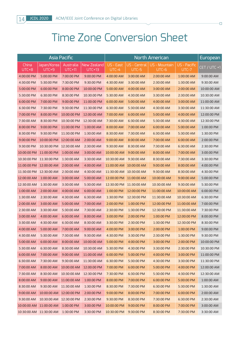## Time Zone Conversion Sheet

|                |                         | Asia Pacific               |                         | North American       |                          |                        | European              |              |
|----------------|-------------------------|----------------------------|-------------------------|----------------------|--------------------------|------------------------|-----------------------|--------------|
| China<br>UTC+8 | Japan/Korea<br>UTC+9    | Australia<br><b>UTC+11</b> | New Zealand<br>$UTC+13$ | US - East<br>$UTC-4$ | US - Central<br>UTC-5    | US - Mountain<br>UTC-6 | US - Pacific<br>UTC-7 | CET / UTC +1 |
| 4:00:00 PM     | 5:00:00 PM              | 7:00:00 PM                 | 9:00:00 PM              | 4:00:00 AM           | 3:00:00 AM               | 2:00:00 AM             | 1:00:00 AM            | $9:00:00$ AM |
| 4:30:00 PM     | 5:30:00 PM              | 7:30:00 PM                 | 9:30:00 PM              | 4:30:00 AM           | 3:30:00 AM               | 2:30:00 AM             | 1:30:00 AM            | 9:30:00 AM   |
| 5:00:00 PM     | 6:00:00 PM              | 8:00:00 PM                 | 10:00:00 PM             | 5:00:00 AM           | 4:00:00 AM               | 3:00:00 AM             | 2:00:00 AM            | 10:00:00 AM  |
| 5:30:00 PM     | 6:30:00 PM              | 8:30:00 PM                 | 10:30:00 PM             | 5:30:00 AM           | 4:30:00 AM               | 3:30:00 AM             | 2:30:00 AM            | 10:30:00 AM  |
| 6:00:00 PM     | 7:00:00 PM              | 9:00:00 PM                 | 11:00:00 PM             | 6:00:00 AM           | 5:00:00 AM               | 4:00:00 AM             | 3:00:00 AM            | 11:00:00 AM  |
| 6:30:00 PM     | 7:30:00 PM              | 9:30:00 PM                 | 11:30:00 PM             | 6:30:00 AM           | 5:30:00 AM               | 4:30:00 AM             | 3:30:00 AM            | 11:30:00 AM  |
| 7:00:00 PM     | 8:00:00 PM              | 10:00:00 PM                | 12:00:00 AM             | 7:00:00 AM           | 6:00:00 AM               | 5:00:00 AM             | 4:00:00 AM            | 12:00:00 PM  |
| 7:30:00 AM     | 8:30:00 PM              | 10:30:00 PM                | 12:30:00 AM             | 7:30:00 AM           | 6:30:00 AM               | 5:30:00 AM             | 4:30:00 AM            | 12:30:00 PM  |
| 8:00:00 PM     | 9:00:00 PM              | 11:00:00 PM                | 1:00:00 AM              | 8:00:00 AM           | 7:00:00 AM               | $6:00:00$ AM           | 5:00:00 AM            | 1:00:00 PM   |
| 8:30:00 PM     | 9:30:00 PM              | 11:30:00 PM                | 1:30:00 AM              | 8:30:00 AM           | 7:30:00 AM               | 6:30:00 AM             | 5:30:00 AM            | 1:30:00 PM   |
| 9:00:00 PM     | 10:00:00 PM             | 12:00:00 AM                | 2:00:00 AM              | 9:00:00 AM           | 8:00:00 AM               | 7:00:00 AM             | $6:00:00$ AM          | 2:00:00 PM   |
| 9:30:00 PM     | 10:30:00 PM             | $12:30:00$ AM              | 2:30:00 AM              | 9:30:00 AM           | 8:30:00 AM               | 7:30:00 AM             | 6:30:00 AM            | 2:30:00 PM   |
| 10:00:00 PM    | 11:00:00 PM             | 1:00:00 AM                 | 3:00:00 AM              | 10:00:00 AM          | $9:00:00$ AM             | 8:00:00 AM             | 7:00:00 AM            | 3:00:00 PM   |
| 10:30:00 PM    | 11:30:00 PM             | 1:30:00 AM                 | 3:30:00 AM              | 10:30:00 AM          | 9:30:00 AM               | 8:30:00 AM             | 7:30:00 AM            | 3:30:00 PM   |
| 11:00:00 PM    | 12:00:00 AM             | 2:00:00 AM                 | 4:00:00 AM              | 11:00:00 AM          | 10:00:00 AM              | $9:00:00$ AM           | 8:00:00 AM            | 4:00:00 PM   |
|                | 11:30:00 PM 12:30:00 AM | 2:30:00 AM                 | 4:30:00 AM              |                      | 11:30:00 AM  10:30:00 AM | 9:30:00 AM             | 8:30:00 AM            | 4:30:00 PM   |
| 12:00:00 AM    | 1:00:00 AM              | 3:00:00 AM                 | 5:00:00 AM              | 12:00:00 PM          | 11:00:00 AM              | 10:00:00 AM            | $9:00:00$ AM          | 5:00:00 PM   |
| 12:30:00 AM    | 1:30:00 AM              | 3:30:00 AM                 | 5:30:00 AM              |                      | 12:30:00 PM 11:30:00 AM  | 10:30:00 AM            | 9:30:00 AM            | 5:30:00 PM   |
| 1:00:00 AM     | 2:00:00 AM              | 4:00:00 AM                 | 6:00:00 AM              | 1:00:00 PM           | 12:00:00 PM              | 11:00:00 AM            | 10:00:00 AM           | 6:00:00 PM   |
| 1:30:00 AM     | 2:30:00 AM              | 4:30:00 AM                 | 6:30:00 AM              | 1:30:00 PM           | 12:30:00 PM              | 11:30:00 AM            | 10:30:00 AM           | 6:30:00 PM   |
| 2:00:00 AM     | 3:00:00 AM              | 5:00:00 AM                 | 7:00:00 AM              | 2:00:00 PM           | $1:00:00$ PM             | 12:00:00 PM            | 11:00:00 AM           | 7:00:00 PM   |
| 2:30:00 AM     | 3:30:00 AM              | 5:30:00 AM                 | 7:30:00 AM              | 2:30:00 PM           | 1:30:00 PM               | 12:30:00 PM            | 11:30:00 AM           | 7:30:00 PM   |
| 3:00:00 AM     | 4:00:00 AM              | 6:00:00 AM                 | 8:00:00 AM              | 3:00:00 PM           | 2:00:00 PM               | 1:00:00 PM             | 12:00:00 PM           | 8:00:00 PM   |
| 3:30:00 AM     | 4:30:00 AM              | 6:30:00 AM                 | 8:30:00 AM              | 3:30:00 PM           | 2:30:00 PM               | 1:30:00 PM             | 12:30:00 PM           | 8:30:00 PM   |
| 4:00:00 AM     | 5:00:00 AM              | 7:00:00 AM                 | 9:00:00 AM              | 4:00:00 PM           | 3:00:00 PM               | 2:00:00 PM             | 1:00:00 PM            | 9:00:00 PM   |
| 4:30:00 AM     | 5:30:00 AM              | 7:30:00 AM                 | 9:30:00 AM              | 4:30:00 PM           | 3:30:00 PM               | 2:30:00 PM             | 1:30:00 PM            | 9:30:00 PM   |
| 5:00:00 AM     | 6:00:00 AM              | 8:00:00 AM                 | 10:00:00 AM             | 5:00:00 PM           | 4:00:00 PM               | 3:00:00 PM             | 2:00:00 PM            | 10:00:00 PM  |
| 5:30:00 AM     | 6:30:00 AM              | 8:30:00 AM                 | 10:30:00 AM             | 5:30:00 PM           | 4:30:00 PM               | 3:30:00 PM             | 2:30:00 PM            | 10:30:00 PM  |
| 6:00:00 AM     | 7:00:00 AM              | 9:00:00 AM                 | 11:00:00 AM             | 6:00:00 PM           | 5:00:00 PM               | 4:00:00 PM             | 3:00:00 PM            | 11:00:00 PM  |
| 6:30:00 AM     | 7:30:00 AM              | 9:30:00 AM                 | 11:30:00 AM             | 6:30:00 PM           | 5:30:00 PM               | 4:30:00 PM             | 3:30:00 PM            | 11:30:00 PM  |
| 7:00:00 AM     | 8:00:00 AM              | 10:00:00 AM                | 12:00:00 PM             | 7:00:00 PM           | 6:00:00 PM               | 5:00:00 PM             | 4:00:00 PM            | 12:00:00 AM  |
| 7:30:00 AM     | 8:30:00 AM              | 10:30:00 AM                | 12:30:00 PM             | 7:30:00 PM           | 6:30:00 PM               | 5:30:00 PM             | 4:30:00 PM            | 12:30:00 AM  |
| 8:00:00 AM     | 9:00:00 AM              | 11:00:00 AM                | 1:00:00 PM              | 8:00:00 PM           | 7:00:00 PM               | 6:00:00 PM             | 5:00:00 PM            | 1:00:00 AM   |
| 8:30:00 AM     | 9:30:00 AM              | 11:30:00 AM                | 1:30:00 PM              | 8:30:00 PM           | 7:30:00 PM               | 6:30:00 PM             | 5:30:00 PM            | 1:30:00 AM   |
| 9:00:00 AM     | 10:00:00 AM 12:00:00 PM |                            | 2:00:00 PM              | 9:00:00 PM           | 8:00:00 PM               | 7:00:00 PM             | $6:00:00$ PM          | 2:00:00 AM   |
| 9:30:00 AM     | 10:30:00 AM 12:30:00 PM |                            | 2:30:00 PM              | 9:30:00 PM           | 8:30:00 PM               | 7:30:00 PM             | 6:30:00 PM            | 2:30:00 AM   |
|                | 10:00:00 AM 11:00:00 AM | 1:00:00 PM                 | 3:00:00 PM              | 10:00:00 PM          | 9:00:00 PM               | 8:00:00 PM             | 7:00:00 PM            | 3:00:00 AM   |
|                | 10:30:00 AM 11:30:00 AM | 1:30:00 PM                 | 3:30:00 PM              | 10:30:00 PM          | 9:30:00 PM               | 8:30:00 PM             | 7:30:00 PM            | 3:30:00 AM   |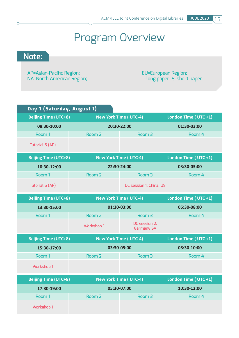## Program Overview

### **Note:**

AP=Asian-Pacific Region; EU=European Region;

L=long paper; S=short paper

| Day 1 (Saturday, August 1)  |                              |                                    |                     |  |  |
|-----------------------------|------------------------------|------------------------------------|---------------------|--|--|
| <b>Beijing Time (UTC+8)</b> | <b>New York Time (UTC-4)</b> | London Time (UTC+1)                |                     |  |  |
| 08:30-10:00                 |                              | 20:30-22:00                        |                     |  |  |
| Room 1                      | Room 2                       | Room 3                             | Room 4              |  |  |
| Tutorial 5 (AP)             |                              |                                    |                     |  |  |
| <b>Beijing Time (UTC+8)</b> |                              | New York Time (UTC-4)              | London Time (UTC+1) |  |  |
| 10:30-12:00                 |                              | 22:30-24:00                        | 03:30-05:00         |  |  |
| Room 1                      | Room 2                       | Room 3                             | Room 4              |  |  |
| Tutorial 5 (AP)             |                              | DC session 1: China, US            |                     |  |  |
| <b>Beijing Time (UTC+8)</b> |                              | <b>New York Time (UTC-4)</b>       | London Time (UTC+1) |  |  |
| 13:30-15:00                 |                              | 01:30-03:00                        | 06:30-08:00         |  |  |
| Room 1                      | Room 2                       | Room 3                             | Room 4              |  |  |
|                             | Workshop 1                   | DC session 2:<br><b>Germany SA</b> |                     |  |  |
| <b>Beijing Time (UTC+8)</b> |                              | <b>New York Time (UTC-4)</b>       | London Time (UTC+1) |  |  |
| 15:30-17:00                 |                              | 03:30-05:00                        | 08:30-10:00         |  |  |
| Room 1                      | Room 2                       | Room <sub>3</sub>                  | Room 4              |  |  |
| Workshop 1                  |                              |                                    |                     |  |  |
| <b>Beijing Time (UTC+8)</b> |                              | <b>New York Time (UTC-4)</b>       | London Time (UTC+1) |  |  |
| 17:30-19:00                 |                              | 05:30-07:00                        |                     |  |  |
| Room 1                      | Room 2                       | Room <sub>3</sub>                  | Room 4              |  |  |
| Workshop 1                  |                              |                                    |                     |  |  |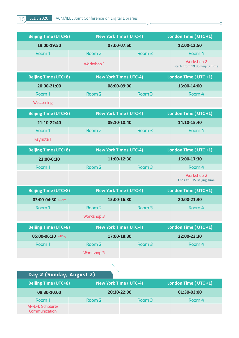**JCDL 2020** ACM/IEEE Joint Conference on Digital Libraries

| <b>Beijing Time (UTC+8)</b>        | <b>New York Time (UTC-4)</b> |                              | London Time (UTC +1) |                                                     |
|------------------------------------|------------------------------|------------------------------|----------------------|-----------------------------------------------------|
| 19:00-19:50                        | 07:00-07:50                  |                              | 12:00-12:50          |                                                     |
| Room 1                             | Room 2                       | Room <sub>3</sub>            |                      | Room 4                                              |
|                                    | Workshop 1                   |                              |                      | <b>Workshop 2</b><br>starts from 19:30 Beijing Time |
| <b>Beijing Time (UTC+8)</b>        |                              | <b>New York Time (UTC-4)</b> | London Time (UTC +1) |                                                     |
| 20:00-21:00                        |                              | 08:00-09:00                  |                      | 13:00-14:00                                         |
| Room 1                             | Room 2                       | Room <sub>3</sub>            |                      | Room 4                                              |
| Welcoming                          |                              |                              |                      |                                                     |
| <b>Beijing Time (UTC+8)</b>        |                              | <b>New York Time (UTC-4)</b> | London Time (UTC+1)  |                                                     |
| 21:10-22:40                        |                              | 09:10-10:40                  |                      | 14:10-15:40                                         |
| Room 1                             | Room 2                       | Room <sub>3</sub>            |                      | Room 4                                              |
| Keynote 1                          |                              |                              |                      |                                                     |
| <b>Beijing Time (UTC+8)</b>        |                              | <b>New York Time (UTC-4)</b> |                      | London Time (UTC +1)                                |
| 23:00-0:30                         |                              | 11:00-12:30                  |                      | 16:00-17:30                                         |
| Room 1                             | Room 2                       | Room <sub>3</sub>            |                      | Room 4                                              |
|                                    |                              |                              |                      | Workshop 2<br>Ends at 0:15 Beijing Time             |
| <b>Beijing Time (UTC+8)</b>        |                              | <b>New York Time (UTC-4)</b> |                      | London Time (UTC +1)                                |
| 03:00-04:30 +1Day                  |                              | 15:00-16:30                  |                      | 20:00-21:30                                         |
| Room 1                             | Room 2                       | Room 3                       |                      | Room 4                                              |
|                                    | Workshop 3                   |                              |                      |                                                     |
| <b>Beijing Time (UTC+8)</b>        |                              | <b>New York Time (UTC-4)</b> |                      | London Time (UTC+1)                                 |
| 05:00-06:30 +1Day                  |                              | 17:00-18:30                  |                      | 22:00-23:30                                         |
| Room 1                             | Room 2                       | Room <sub>3</sub>            |                      | Room 4                                              |
|                                    | Workshop 3                   |                              |                      |                                                     |
|                                    |                              |                              |                      |                                                     |
| Day 2 (Sunday, August 2)           |                              |                              |                      |                                                     |
| <b>Beijing Time (UTC+8)</b>        |                              | <b>New York Time (UTC-4)</b> |                      | London Time (UTC +1)                                |
| 08:30-10:00                        |                              | 20:30-22:00                  |                      | 01:30-03:00                                         |
| Room 1                             | Room 2                       | Room <sub>3</sub>            |                      | Room 4                                              |
| AP-L-1: Scholarly<br>Communication |                              |                              |                      |                                                     |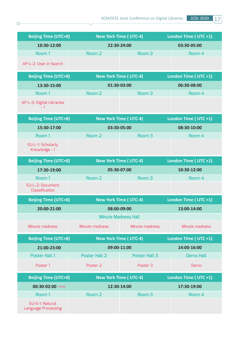| <b>Beijing Time (UTC+8)</b>                   |                     | <b>New York Time (UTC-4)</b> | London Time (UTC+1)  |
|-----------------------------------------------|---------------------|------------------------------|----------------------|
| 10:30-12:00                                   |                     | 22:30-24:00                  | 03:30-05:00          |
| Room 1                                        | Room 2              | Room <sub>3</sub>            | Room 4               |
| AP-L-2: User in Search                        |                     |                              |                      |
| <b>Beijing Time (UTC+8)</b>                   |                     | <b>New York Time (UTC-4)</b> | London Time (UTC+1)  |
| 13:30-15:00                                   |                     | 01:30-03:00                  | 06:30-08:00          |
| Room 1                                        | Room 2              | Room <sub>3</sub>            | Room 4               |
| AP-L-3: Digital Libraries<br>- 1              |                     |                              |                      |
| <b>Beijing Time (UTC+8)</b>                   |                     | New York Time (UTC-4)        | London Time (UTC+1)  |
| 15:30-17:00                                   |                     | 03:30-05:00                  | 08:30-10:00          |
| Room 1                                        | Room 2              | Room <sub>3</sub>            | Room 4               |
| EU-L-1: Scholarly<br>Knowledge - 1            |                     |                              |                      |
| <b>Beijing Time (UTC+8)</b>                   |                     | <b>New York Time (UTC-4)</b> | London Time (UTC+1)  |
| 17:30-19:00                                   |                     | 05:30-07:00                  | 10:30-12:00          |
| Room 1                                        | Room 2              | Room <sub>3</sub>            | Room 4               |
| EU-L-2: Document<br>Classification            |                     |                              |                      |
| <b>Beijing Time (UTC+8)</b>                   |                     | <b>New York Time (UTC-4)</b> | London Time (UTC+1)  |
| 20:00-21:00                                   |                     | 08:00-09:00                  | 13:00-14:00          |
|                                               |                     | <b>Minute Madness Hall</b>   |                      |
| Minute madness                                | Minute madness      | Minute madness               | Minute madness       |
| <b>Beijing Time (UTC+8)</b>                   |                     | <b>New York Time (UTC-4)</b> | London Time (UTC+1)  |
| 21:00-23:00                                   |                     | 09:00-11:00                  | 14:00-16:00          |
| Poster Hall 1                                 | Poster Hall 2       | Poster Hall 3                | <b>Demo Hall</b>     |
| Poster 1                                      | Poster <sub>2</sub> | Poster <sub>3</sub>          | Demo                 |
| <b>Beijing Time (UTC+8)</b>                   |                     | New York Time (UTC-4)        | London Time (UTC +1) |
| $00:30-02:00$ +1Day                           |                     | 12:30-14:00                  | 17:30-19:00          |
| Room 1                                        | Room 2              | Room <sub>3</sub>            | Room 4               |
| EU-S-1: Natural<br><b>Language Processing</b> |                     |                              |                      |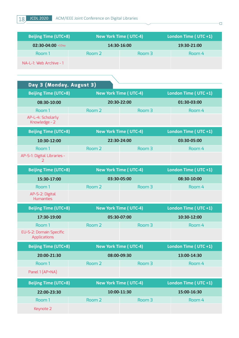| <b>Beijing Time (UTC+8)</b> |        | <b>New York Time (UTC-4)</b> |             |
|-----------------------------|--------|------------------------------|-------------|
| $02:30-04:00 + 1$ Day       |        | 14:30-16:00                  | 19:30-21:00 |
| Room 1                      | Room 2 | Room 3                       | Room 4      |
| NA-L-1: Web Archive - 1     |        |                              |             |

| Day 3 (Monday, August 3)                      |                              |                   |                      |
|-----------------------------------------------|------------------------------|-------------------|----------------------|
| <b>Beijing Time (UTC+8)</b>                   | <b>New York Time (UTC-4)</b> |                   | London Time (UTC +1) |
| 08:30-10:00                                   | 20:30-22:00                  |                   | 01:30-03:00          |
| Room 1                                        | Room 2                       | Room <sub>3</sub> | Room 4               |
| AP-L-4: Scholarly<br>Knowledge - 2            |                              |                   |                      |
| <b>Beijing Time (UTC+8)</b>                   | <b>New York Time (UTC-4)</b> |                   | London Time (UTC+1)  |
| 10:30-12:00                                   | 22:30-24:00                  |                   | 03:30-05:00          |
| Room 1                                        | Room <sub>2</sub>            | Room <sub>3</sub> | Room 4               |
| AP-S-1: Digital Libraries -<br>$\overline{2}$ |                              |                   |                      |
| <b>Beijing Time (UTC+8)</b>                   | <b>New York Time (UTC-4)</b> |                   | London Time (UTC+1)  |
| 15:30-17:00                                   | 03:30-05:00                  |                   | 08:30-10:00          |
| Room <sub>1</sub>                             | Room 2                       | Room <sub>3</sub> | Room 4               |
| AP-S-2: Digital<br><b>Humanties</b>           |                              |                   |                      |
| <b>Beijing Time (UTC+8)</b>                   | <b>New York Time (UTC-4)</b> |                   | London Time (UTC+1)  |
| 17:30-19:00                                   | 05:30-07:00                  |                   | 10:30-12:00          |
| Room 1                                        | Room 2                       | Room <sub>3</sub> | Room 4               |
| EU-S-2: Domain Specific<br>Applications       |                              |                   |                      |
| <b>Beijing Time (UTC+8)</b>                   | <b>New York Time (UTC-4)</b> |                   | London Time (UTC+1)  |
| 20:00-21:30                                   | 08:00-09:30                  |                   | 13:00-14:30          |
| Room 1                                        | Room <sub>2</sub>            | Room <sub>3</sub> | Room 4               |
| Panel 1 (AP+NA)                               |                              |                   |                      |
| <b>Beijing Time (UTC+8)</b>                   | <b>New York Time (UTC-4)</b> |                   | London Time (UTC+1)  |
| 22:00-23:30                                   | 10:00-11:30                  |                   | 15:00-16:30          |
|                                               | Room 2                       | Room <sub>3</sub> | Room 4               |
| Room 1                                        |                              |                   |                      |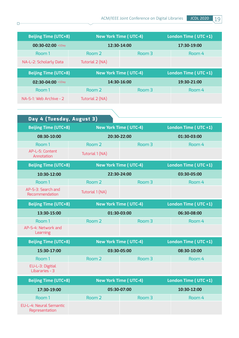| <b>Beijing Time (UTC+8)</b> |                 | <b>New York Time (UTC-4)</b> |                      |
|-----------------------------|-----------------|------------------------------|----------------------|
| 00:30-02:00 +1Day           |                 | 12:30-14:00                  |                      |
| Room 1                      | Room 2          | Room 3                       | Room 4               |
| NA-L-2: Scholarly Data      | Tutorial 2 (NA) |                              |                      |
|                             |                 |                              |                      |
| <b>Beijing Time (UTC+8)</b> |                 | <b>New York Time (UTC-4)</b> | London Time (UTC +1) |
| 02:30-04:00 +1Day           |                 | 14:30-16:00                  | 19:30-21:00          |
| Room 1                      | Room 2          | Room <sub>3</sub>            | Room 4               |

| Day 4 (Tuesday, August 3)                        |                 |                              |                     |
|--------------------------------------------------|-----------------|------------------------------|---------------------|
| <b>Beijing Time (UTC+8)</b>                      |                 | <b>New York Time (UTC-4)</b> | London Time (UTC+1) |
| 08:30-10:00                                      |                 | 20:30-22:00                  | 01:30-03:00         |
| Room 1                                           | Room 2          | Room <sub>3</sub>            | Room 4              |
| AP-L-5: Content<br>Annotation                    | Tutorial 1 (NA) |                              |                     |
| <b>Beijing Time (UTC+8)</b>                      |                 | <b>New York Time (UTC-4)</b> | London Time (UTC+1) |
| 10:30-12:00                                      |                 | 22:30-24:00                  | 03:30-05:00         |
| Room 1                                           | Room 2          | Room <sub>3</sub>            | Room 4              |
| AP-S-3: Search and<br>Recommendation             | Tutorial 1 (NA) |                              |                     |
| <b>Beijing Time (UTC+8)</b>                      |                 | <b>New York Time (UTC-4)</b> | London Time (UTC+1) |
| 13:30-15:00                                      |                 | 01:30-03:00                  | 06:30-08:00         |
| Room 1                                           | Room 2          | Room <sub>3</sub>            | Room 4              |
| AP-S-4: Network and<br>Learning                  |                 |                              |                     |
| <b>Beijing Time (UTC+8)</b>                      |                 | <b>New York Time (UTC-4)</b> | London Time (UTC+1) |
| 15:30-17:00                                      |                 | 03:30-05:00                  | 08:30-10:00         |
| Room 1                                           | Room 2          | Room <sub>3</sub>            | Room 4              |
| EU-L-3: Digitial<br>Libararies - $3$             |                 |                              |                     |
| <b>Beijing Time (UTC+8)</b>                      |                 | <b>New York Time (UTC-4)</b> | London Time (UTC+1) |
| 17:30-19:00                                      |                 | 05:30-07:00                  | 10:30-12:00         |
| Room 1                                           | Room 2          | Room <sub>3</sub>            | Room 4              |
| <b>EU-L-4: Neural Semantic</b><br>Representation |                 |                              |                     |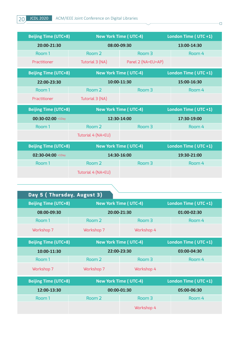20 JCDL 2020 ACM/IEEE Joint Conference on Digital Libraries

| <b>Beijing Time (UTC+8)</b> |                    | <b>New York Time (UTC-4)</b> |                      |
|-----------------------------|--------------------|------------------------------|----------------------|
| 20:00-21:30                 |                    | 08:00-09:30                  |                      |
| Room 1                      | Room 2             | Room <sub>3</sub>            | Room 4               |
| Practitioner                | Tutorial 3 (NA)    | Panel 2 (NA+EU+AP)           |                      |
| <b>Beijing Time (UTC+8)</b> |                    | <b>New York Time (UTC-4)</b> | London Time (UTC +1) |
| 22:00-23:30                 |                    | 10:00-11:30                  |                      |
| Room 1                      | Room 2             | Room <sub>3</sub>            | Room 4               |
| Practitioner                | Tutorial 3 (NA)    |                              |                      |
| <b>Beijing Time (UTC+8)</b> |                    | <b>New York Time (UTC-4)</b> | London Time (UTC+1)  |
| 00:30-02:00 +1Day           |                    | 12:30-14:00                  | 17:30-19:00          |
| Room 1                      | Room 2             | Room <sub>3</sub>            | Room 4               |
|                             | Tutorial 4 (NA+EU) |                              |                      |
| <b>Beijing Time (UTC+8)</b> |                    | <b>New York Time (UTC-4)</b> | London Time (UTC +1) |
| $02:30-04:00 + 1$ Day       |                    | 14:30-16:00                  | 19:30-21:00          |
| Room 1                      | Room 2             | Room <sub>3</sub>            | Room 4               |
|                             | Tutorial 4 (NA+EU) |                              |                      |

| Day 5 (Thursday, August 3)  |            |                              |                     |
|-----------------------------|------------|------------------------------|---------------------|
| <b>Beijing Time (UTC+8)</b> |            | <b>New York Time (UTC-4)</b> | London Time (UTC+1) |
| 08:00-09:30                 |            | 20:00-21:30                  |                     |
| Room 1                      | Room 2     | Room <sub>3</sub>            | Room 4              |
| Workshop 7                  | Workshop 7 | Workshop 4                   |                     |
| <b>Beijing Time (UTC+8)</b> |            | <b>New York Time (UTC-4)</b> | London Time (UTC+1) |
| 10:00-11:30                 |            | 22:00-23:30                  | 03:00-04:30         |
| Room 1                      | Room 2     | Room 3                       | Room 4              |
| Workshop 7                  | Workshop 7 | Workshop 4                   |                     |
| <b>Beijing Time (UTC+8)</b> |            | <b>New York Time (UTC-4)</b> | London Time (UTC+1) |
| 12:00-13:30                 |            | 00:00-01:30                  | 05:00-06:30         |
| Room 1                      | Room 2     | Room <sub>3</sub>            | Room 4              |
|                             |            | Workshop 4                   |                     |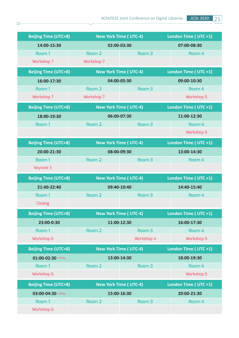| <b>Beijing Time (UTC+8)</b> | <b>New York Time (UTC-4)</b> |                   | London Time (UTC+1) |
|-----------------------------|------------------------------|-------------------|---------------------|
| 14:00-15:30                 | 02:00-03:30                  |                   | 07:00-08:30         |
| Room 1                      | Room 2                       | Room 3            | Room 4              |
| Workshop 7                  | Workshop 7                   |                   |                     |
| <b>Beijing Time (UTC+8)</b> | <b>New York Time (UTC-4)</b> |                   | London Time (UTC+1) |
| 16:00-17:30                 | 04:00-05:30                  |                   | 09:00-10:30         |
| Room 1                      | Room 2                       | Room <sub>3</sub> | Room 4              |
| Workshop 7                  | Workshop 7                   |                   | Workshop 5          |
| <b>Beijing Time (UTC+8)</b> | <b>New York Time (UTC-4)</b> |                   | London Time (UTC+1) |
| 18:00-19:30                 | 06:00-07:30                  |                   | 11:00-12:30         |
| Room 1                      | Room 2                       | Room <sub>3</sub> | Room 4              |
|                             |                              |                   | Workshop 5          |
| <b>Beijing Time (UTC+8)</b> | <b>New York Time (UTC-4)</b> |                   | London Time (UTC+1) |
| 20:00-21:30                 | 08:00-09:30                  |                   | 13:00-14:30         |
| Room 1                      | Room 2                       | Room <sub>3</sub> | Room 4              |
| Keynote <sub>3</sub>        |                              |                   |                     |
|                             |                              |                   |                     |
| <b>Beijing Time (UTC+8)</b> | <b>New York Time (UTC-4)</b> |                   | London Time (UTC+1) |
| 21:40-22:40                 | 09:40-10:40                  |                   | 14:40-15:40         |
| Room 1                      | Room 2                       | Room <sub>3</sub> | Room 4              |
| Closing                     |                              |                   |                     |
| <b>Beijing Time (UTC+8)</b> | <b>New York Time (UTC-4)</b> |                   | London Time (UTC+1) |
| 23:00-0:30                  | 11:00-12:30                  |                   | 16:00-17:30         |
| Room 1                      | Room <sub>2</sub>            | Room <sub>3</sub> | Room 4              |
| Workshop 6                  |                              | Workshop 4        | Workshop 5          |
| <b>Beijing Time (UTC+8)</b> | <b>New York Time (UTC-4)</b> |                   | London Time (UTC+1) |
| $01:00-02:30 + 1$ Day       | 13:00-14:30                  |                   | 18:00-19:30         |
| Room 1                      | Room <sub>2</sub>            | Room <sub>3</sub> | Room 4              |
| Workshop 6                  |                              |                   | Workshop 5          |
| <b>Beijing Time (UTC+8)</b> | <b>New York Time (UTC-4)</b> |                   | London Time (UTC+1) |
| 03:00-04:30 +1Day           | 15:00-16:30                  |                   | 20:00-21:30         |
| Room 1                      | Room 2                       | Room <sub>3</sub> | Room 4              |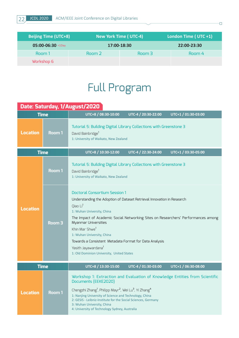| <b>Beijing Time (UTC+8)</b> |        | <b>New York Time (UTC-4)</b> | London Time (UTC +1) |
|-----------------------------|--------|------------------------------|----------------------|
| $05:00-06:30$ +1Day         |        | 17:00-18:30                  | 22:00-23:30          |
| Room 1                      | Room 2 | Room $\exists$               | Room 4               |
| Workshop 6                  |        |                              |                      |

Ð

# Full Program

| Date: Saturday, 1/August/2020 |                   |                                                                                                                                                                                                                                                                                                                                                                                                                                                                                         |                     |                                                                             |  |  |
|-------------------------------|-------------------|-----------------------------------------------------------------------------------------------------------------------------------------------------------------------------------------------------------------------------------------------------------------------------------------------------------------------------------------------------------------------------------------------------------------------------------------------------------------------------------------|---------------------|-----------------------------------------------------------------------------|--|--|
|                               | <b>Time</b>       | UTC+8 / 08:30-10:00                                                                                                                                                                                                                                                                                                                                                                                                                                                                     | UTC-4 / 20:30-22:00 | UTC+1 / 01:30-03:00                                                         |  |  |
| <b>Location</b>               | Room 1            | Tutorial 5: Building Digital Library Collections with Greenstone 3<br>David Bainbridge <sup>1</sup><br>1: University of Waikato, New Zealand                                                                                                                                                                                                                                                                                                                                            |                     |                                                                             |  |  |
|                               | <b>Time</b>       | UTC+8 / 10:30-12:00                                                                                                                                                                                                                                                                                                                                                                                                                                                                     | UTC-4 / 22:30-24:00 | UTC+1 / 03:30-05:00                                                         |  |  |
|                               | Room 1            | Tutorial 5: Building Digital Library Collections with Greenstone 3<br>David Bainbridge <sup>1</sup><br>1: University of Waikato, New Zealand                                                                                                                                                                                                                                                                                                                                            |                     |                                                                             |  |  |
| <b>Location</b>               | Room <sub>3</sub> | <b>Doctoral Consortium Session 1</b><br>Understanding the Adoption of Dataset Retrieval Innovation in Research<br>Oiao Li <sup>1</sup><br>1: Wuhan University, China<br>The Impact of Academic Social Networking Sites on Researchers' Performances among<br>Myanmar Universities<br>Khin Mar Shwe <sup>1</sup><br>1: Wuhan University, China<br>Towards a Consistent Metadata Format for Data Analysis<br>Yasith Jayawardana <sup>1</sup><br>1: Old Dominion University, United States |                     |                                                                             |  |  |
|                               | <b>Time</b>       | UTC+8 / 13:30-15:00                                                                                                                                                                                                                                                                                                                                                                                                                                                                     | UTC-4 / 01:30-03:00 | UTC+1 / 06:30-08:00                                                         |  |  |
| <b>Location</b>               | Room 1            | Documents (EEKE2020)<br>Chengzhi Zhang <sup>1</sup> , Philipp Mayr <sup>2</sup> , Wei Lu <sup>3</sup> , Yi Zhang <sup>4</sup><br>1: Nanjing University of Science and Technology, China<br>2: GESIS - Leibniz-Institute for the Social Sciences, Germany<br>3: Wuhan University, China<br>4: University of Technology Sydney, Australia                                                                                                                                                 |                     | Workshop 1: Extraction and Evaluation of Knowledge Entities from Scientific |  |  |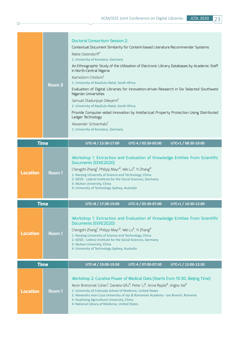|                 | Room <sub>3</sub> | Doctoral Consortium Session 2:<br>Contextual Document Similarity for Content-based Literature Recommender Systems<br>Malte Ostendorff <sup>1</sup><br>1: University of Konstanz, Germany<br>An Ethnographic Study of the Utilisation of Electronic Library Databases by Academic Staff<br>in North-Central Nigeria<br>Kachollom Chollom <sup>1</sup><br>1: University of KwaZulu-Natal, South Africa<br>Evaluation of Digital Libraries for Innovation-driven Research in Six Selected Southwest |
|-----------------|-------------------|--------------------------------------------------------------------------------------------------------------------------------------------------------------------------------------------------------------------------------------------------------------------------------------------------------------------------------------------------------------------------------------------------------------------------------------------------------------------------------------------------|
|                 |                   | Nigerian Universities<br>Samuel Oladunjoye Odeyemi <sup>1</sup><br>1: University of KwaZulu-Natal, South Africa<br>Provide Computer-aided Innovation by Intellectual Property Protection Using Distributed<br>Ledger Technology<br>Alexander Schoenhals <sup>1</sup><br>1: University of Konstanz, Germany                                                                                                                                                                                       |
|                 | <b>Time</b>       | UTC+8 / 15:30-17:00<br>UTC-4 / 03:30-05:00<br>UTC+1 / 08:30-10:00                                                                                                                                                                                                                                                                                                                                                                                                                                |
| <b>Location</b> | Room 1            | Workshop 1: Extraction and Evaluation of Knowledge Entities from Scientific<br>Documents (EEKE2020)<br>Chengzhi Zhang <sup>1</sup> , Philipp Mayr <sup>2</sup> , Wei Lu <sup>3</sup> , Yi Zhang <sup>4</sup><br>1: Nanjing University of Science and Technology, China<br>2: GESIS - Leibniz-Institute for the Social Sciences, Germany<br>3: Wuhan University, China<br>4: University of Technology Sydney, Australia                                                                           |
|                 | <b>Time</b>       | UTC+8 / 17:30-19:00<br>UTC-4 / 05:30-07:00<br>UTC+1 / 10:30-12:00                                                                                                                                                                                                                                                                                                                                                                                                                                |
| <b>Location</b> | Room 1            | Workshop 1: Extraction and Evaluation of Knowledge Entities from Scientific<br>Documents (EEKE2020)<br>Chengzhi Zhang <sup>1</sup> , Philipp Mayr <sup>2</sup> , Wei Lu <sup>3</sup> , Yi Zhang <sup>4</sup><br>1: Nanjing University of Science and Technology, China<br>2: GESIS - Leibniz-Institute for the Social Sciences, Germany<br>3: Wuhan University, China<br>4: University of Technology Sydney, Australia                                                                           |
|                 | <b>Time</b>       | UTC+8 / 19:00-19:50<br>UTC-4 / 07:00-07:50<br>UTC+1 / 12:00-12:50                                                                                                                                                                                                                                                                                                                                                                                                                                |
| <b>Location</b> | Room 1            | Workshop 2: Curative Power of Medical Data (Starts from 19:30, Beijing Time)<br>Kevin Bretonnel Cohen <sup>1</sup> , Daniela Gifu <sup>2</sup> , Peter Li <sup>3</sup> , Anna Ripple <sup>4</sup> , Jingbo Xia <sup>3</sup><br>1: University of Colorado School of Medicine, United States<br>2: Alexandru Ioan Cuza University of Iași & Romanian Academy - Iasi Branch, Romania<br>3: Huazhong Agricultural University, China<br>4: National Library of Medicine, United States                |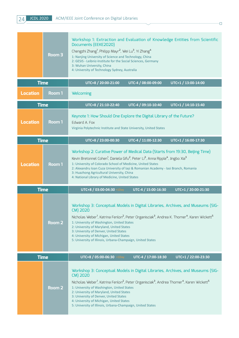|                 | Room <sub>3</sub> | Workshop 1: Extraction and Evaluation of Knowledge Entities from Scientific<br>Documents (EEKE2020)<br>Chengzhi Zhang <sup>1</sup> , Philipp Mayr <sup>2</sup> , Wei Lu <sup>3</sup> , Yi Zhang <sup>4</sup><br>1: Nanjing University of Science and Technology, China<br>2: GESIS - Leibniz-Institute for the Social Sciences, Germany<br>3: Wuhan University, China<br>4: University of Technology Sydney, Australia                                                                               |                     |                     |
|-----------------|-------------------|------------------------------------------------------------------------------------------------------------------------------------------------------------------------------------------------------------------------------------------------------------------------------------------------------------------------------------------------------------------------------------------------------------------------------------------------------------------------------------------------------|---------------------|---------------------|
|                 | <b>Time</b>       | UTC+8 / 20:00-21:00                                                                                                                                                                                                                                                                                                                                                                                                                                                                                  | UTC-4 / 08:00-09:00 | UTC+1 / 13:00-14:00 |
| <b>Location</b> | Room 1            | Welcoming                                                                                                                                                                                                                                                                                                                                                                                                                                                                                            |                     |                     |
|                 | <b>Time</b>       | UTC+8 / 21:10-22:40                                                                                                                                                                                                                                                                                                                                                                                                                                                                                  | UTC-4 / 09:10-10:40 | UTC+1 / 14:10-15:40 |
| Location        | Room 1            | Keynote 1: How Should One Explore the Digital Library of the Future?<br>Edward A. Fox<br>Virginia Polytechnic Institute and State University, United States                                                                                                                                                                                                                                                                                                                                          |                     |                     |
|                 | <b>Time</b>       | UTC+8 / 23:00-00:30                                                                                                                                                                                                                                                                                                                                                                                                                                                                                  | UTC-4 / 11:00-12:30 | UTC+1 / 16:00-17:30 |
| <b>Location</b> | Room 1            | Workshop 2: Curative Power of Medical Data (Starts from 19:30, Beijing Time)<br>Kevin Bretonnel Cohen <sup>1</sup> , Daniela Gifu <sup>2</sup> , Peter Li <sup>3</sup> , Anna Ripple <sup>4</sup> , Jingbo Xia <sup>3</sup><br>1: University of Colorado School of Medicine, United States<br>2: Alexandru Ioan Cuza University of Iași & Romanian Academy - Iasi Branch, Romania<br>3: Huazhong Agricultural University, China<br>4: National Library of Medicine, United States                    |                     |                     |
| <b>Time</b>     |                   | UTC+8 / 03:00-04:30 +1Day                                                                                                                                                                                                                                                                                                                                                                                                                                                                            | UTC-4 / 15:00-16:30 | UTC+1 / 20:00-21:30 |
|                 | Room <sub>2</sub> | Workshop 3: Conceptual Models in Digital Libraries, Archives, and Museums (SIG-<br>CM) 2020<br>Nicholas Weber <sup>1</sup> , Katrina Fenlon <sup>2</sup> , Peter Organisciak <sup>3</sup> , Andrea K. Thomer <sup>4</sup> , Karen Wickett <sup>5</sup><br>1: University of Washington, United States<br>2: University of Maryland, United States<br>3: University of Denver, United States<br>4: University of Michigan, United States<br>5: University of Illinois, Urbana-Champaign, United States |                     |                     |
|                 | <b>Time</b>       | UTC+8 / 05:00-06:30 +1Day                                                                                                                                                                                                                                                                                                                                                                                                                                                                            | UTC-4 / 17:00-18:30 | UTC+1 / 22:00-23:30 |
|                 | Room <sub>2</sub> | Workshop 3: Conceptual Models in Digital Libraries, Archives, and Museums (SIG-<br>CM) 2020<br>Nicholas Weber <sup>1</sup> , Katrina Fenlon <sup>2</sup> , Peter Organisciak <sup>3</sup> , Andrea Thomer <sup>4</sup> , Karen Wickett <sup>5</sup><br>1: University of Washington, United States<br>2: University of Maryland, United States<br>3: University of Denver, United States<br>4: University of Michigan, United States<br>5: University of Illinois, Urbana-Champaign, United States    |                     |                     |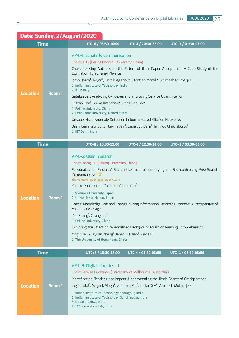| Date: Sunday, 2/August/2020 |             |                                                                                                                                                                                                                                                                                                                                                                                                                                                                                                                                                                                                                                                                                                                                                                                                                                                                                              |  |  |
|-----------------------------|-------------|----------------------------------------------------------------------------------------------------------------------------------------------------------------------------------------------------------------------------------------------------------------------------------------------------------------------------------------------------------------------------------------------------------------------------------------------------------------------------------------------------------------------------------------------------------------------------------------------------------------------------------------------------------------------------------------------------------------------------------------------------------------------------------------------------------------------------------------------------------------------------------------------|--|--|
|                             | <b>Time</b> | UTC+8 / 08:30-10:00<br>UTC-4 / 20:30-22:00<br>UTC+1 / 01:30-03:00                                                                                                                                                                                                                                                                                                                                                                                                                                                                                                                                                                                                                                                                                                                                                                                                                            |  |  |
| <b>Location</b>             | Room 1      | AP-L-1: Scholarly Communication<br>Chair:Lei Li (Beijing Normal University, China)<br>Characterising Authors on the Extent of their Paper Acceptance: A Case Study of the<br>Journal of High Energy Physics<br>Rima Hazra <sup>1</sup> , Aryan <sup>1</sup> , Hardik Aggarwal <sup>1</sup> , Matteo Marsili <sup>2</sup> , Animesh Mukherjee <sup>1</sup><br>1: Indian Institute of Technology, India<br>2: ICTP, Italy<br>Gatekeeper: Analyzing G-Indexes and Improving Service Quantification<br>Jingtao Han <sup>1</sup> , Spyke Krepshaw <sup>2</sup> , Dongwon Lee <sup>2</sup><br>1: Peking University, China<br>2: Penn State University, United States<br>Unsupervised Anomaly Detection in Journal-Level Citation Networks<br>Baani Lean Kaur Jolly <sup>1</sup> , Lavina Jain <sup>1</sup> , Debajyoti Bera <sup>1</sup> , Tanmoy Chakraborty <sup>1</sup><br>1: IIIT-Delhi, India |  |  |
|                             | <b>Time</b> | UTC+8 / 10:30-12:00<br>UTC-4 / 22:30-24:00<br>UTC+1 / 03:30-05:00                                                                                                                                                                                                                                                                                                                                                                                                                                                                                                                                                                                                                                                                                                                                                                                                                            |  |  |
| <b>Location</b>             | Room 1      | AP-L-2: User in Search<br>Chair:Chang Liu (Peking University,China)<br>Personalization Finder: A Search Interface for Identifying and Self-controlling Web Search<br>Personalization<br>The Vannevar Bush Best Paper Award<br>Yusuke Yamamoto <sup>1</sup> , Takehiro Yamamoto <sup>2</sup><br>1: Shizuoka University, Japan<br>2: University of Hyogo, Japan<br>Users' Knowledge Use and Change during Information Searching Process: A Perspective of<br>Vocabulary Usage<br>Yao Zhang <sup>1</sup> , Chang Liu <sup>1</sup><br>1: Peking University, China<br>Exploring the Effect of Personalized Background Music on Reading Comprehension<br>Ying Que <sup>1</sup> , Yueyuan Zheng <sup>1</sup> , Janet H. Hsiao <sup>1</sup> , Xiao Hu <sup>1</sup><br>1: The University of Hong Kong, China                                                                                          |  |  |
|                             | <b>Time</b> | UTC+8 / 13:30-15:00<br>UTC-4 / 01:30-03:00<br>UTC+1 / 06:30-08:00                                                                                                                                                                                                                                                                                                                                                                                                                                                                                                                                                                                                                                                                                                                                                                                                                            |  |  |
| <b>Location</b>             | Room 1      | AP-L-3: Digital Libraries - 1<br>Chair: George Buchanan (University of Melbourne, Australia)<br>Identification, Tracking and Impact: Understanding the Trade Secret of Catchphrases<br>Jagriti Jalal <sup>1</sup> , Mayank Singh <sup>2</sup> , Arindam Pal <sup>3</sup> , Lipika Dey <sup>4</sup> , Animesh Mukherjee <sup>1</sup><br>1: Indian Institute of Technology Kharagpur, India<br>2: Indian Institute of Technology Gandhinagar, India<br>3: Data61, CSIRO, India<br>4: TCS Innovation Lab, India                                                                                                                                                                                                                                                                                                                                                                                 |  |  |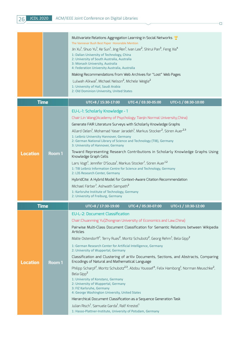|                           |        | Multivariate Relations Aggregation Learning in Social Networks<br>The Vannevar Bush Best Paper Honorable Mention<br>Jin Xu <sup>1</sup> , Shuo Yu <sup>1</sup> , Ke Sun <sup>1</sup> , Jing Ren <sup>1</sup> , Ivan Lee <sup>2</sup> , Shirui Pan <sup>3</sup> , Feng Xia <sup>4</sup><br>1: Dalian University of Technology, China<br>2: University of South Australia, Australia<br>3: Monash University, Australia<br>4: Federation University Australia, Australia<br>Making Recommendations from Web Archives for "Lost" Web Pages<br>Lulwah Alkwai <sup>1</sup> , Michael Nelson <sup>2</sup> , Michele Weigle <sup>2</sup><br>1: University of Hail, Saudi Arabia<br>2: Old Dominion University, United States                                                                                                                                                                                                                                                                                                                                                                                                                                                                                 |
|---------------------------|--------|-------------------------------------------------------------------------------------------------------------------------------------------------------------------------------------------------------------------------------------------------------------------------------------------------------------------------------------------------------------------------------------------------------------------------------------------------------------------------------------------------------------------------------------------------------------------------------------------------------------------------------------------------------------------------------------------------------------------------------------------------------------------------------------------------------------------------------------------------------------------------------------------------------------------------------------------------------------------------------------------------------------------------------------------------------------------------------------------------------------------------------------------------------------------------------------------------------|
| <b>Time</b>               |        | UTC+8 / 15:30-17:00<br>UTC-4 / 03:30-05:00<br>UTC+1 / 08:30-10:00                                                                                                                                                                                                                                                                                                                                                                                                                                                                                                                                                                                                                                                                                                                                                                                                                                                                                                                                                                                                                                                                                                                                     |
| Room 1<br><b>Location</b> |        | EU-L-1: Scholarly Knowledge - 1<br>Chair:Lin Wang(Academy of Psychology Tianjin Normal University,China)<br>Generate FAIR Literature Surveys with Scholarly Knowledge Graphs<br>Allard Oelen <sup>1</sup> , Mohamad Yaser Jaradeh <sup>1</sup> , Markus Stocker <sup>2</sup> , Sören Auer <sup>2,3</sup><br>1: Leibniz University Hannover, Germany<br>2: German National Library of Science and Technology (TIB), Germany<br>3: University of Hannover, Germany<br>Toward Representing Research Contributions in Scholarly Knowledge Graphs Using<br>Knowledge Graph Cells<br>Lars Vogt <sup>1</sup> , Jennifer D'Souza <sup>1</sup> , Markus Stocker <sup>1</sup> , Sören Auer <sup>1,2</sup><br>1: TIB Leibniz Information Centre for Science and Technology, Germany<br>2: L3S Research Center, Germany<br>HybridCite: A Hybrid Model for Context-Aware Citation Recommendation<br>Michael Färber <sup>1</sup> , Ashwath Sampath <sup>2</sup><br>1: Karlsruhe Institute of Technology, Germany<br>2: University of Freiburg, Germany                                                                                                                                                              |
|                           | Time   | UTC+8 / 17:30-19:00<br>UTC-4 / 05:30-07:00<br>UTC+1 / 10:30-12:00                                                                                                                                                                                                                                                                                                                                                                                                                                                                                                                                                                                                                                                                                                                                                                                                                                                                                                                                                                                                                                                                                                                                     |
| <b>Location</b>           | Room 1 | <b>EU-L-2: Document Classification</b><br>Chair:Chuanming Yu(Zhongnan University of Economics and Law,China)<br>Pairwise Multi-Class Document Classification for Semantic Relations between Wikipedia<br><b>Articles</b><br>Malte Ostendorff <sup>1</sup> , Terry Ruas <sup>2</sup> , Moritz Schubotz <sup>2</sup> , Georg Rehm <sup>1</sup> , Bela Gipp <sup>2</sup><br>1: German Research Center for Artificial Intelligence, Germany<br>2: University of Wuppertal, Germany<br>Classification and Clustering of arXiv Documents, Sections, and Abstracts, Comparing<br>Encodings of Natural and Mathematical Language<br>Philipp Scharpf <sup>1</sup> , Moritz Schubotz <sup>2,3</sup> , Abdou Youssef <sup>4</sup> , Felix Hamborg <sup>1</sup> , Norman Meuschke <sup>2</sup> ,<br>Bela Gipp <sup>2</sup><br>1: University of Konstanz, Germany<br>2: University of Wuppertal, Germany<br>3: FIZ Karlsruhe, Germany<br>4: George Washington University, United States<br>Hierarchical Document Classification as a Sequence Generation Task<br>Julian Risch <sup>1</sup> , Samuele Garda <sup>1</sup> , Ralf Krestel <sup>1</sup><br>1: Hasso-Plattner-Institute, University of Potsdam, Germany |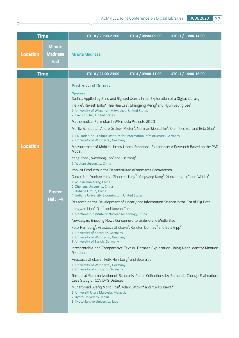| <b>Time</b>     |                                                | UTC+8 / 20:00-21:00                                                                                                                                                                                                                                                                                                                                                                                                                                                                                                                                                                                                                                                                                                                                                                                                                                                                                                                                                                                                                                                                                                                                                                                                                                                                                                                                                                                                                                                                                                                                                                                                                                                                                                                                                                                                                                                                                                                                                                                                                                                                                                                                                                               | UTC-4 / 08:00-09:00 | UTC+1 / 13:00-14:00                                                                                                                                                                                                                                                     |
|-----------------|------------------------------------------------|---------------------------------------------------------------------------------------------------------------------------------------------------------------------------------------------------------------------------------------------------------------------------------------------------------------------------------------------------------------------------------------------------------------------------------------------------------------------------------------------------------------------------------------------------------------------------------------------------------------------------------------------------------------------------------------------------------------------------------------------------------------------------------------------------------------------------------------------------------------------------------------------------------------------------------------------------------------------------------------------------------------------------------------------------------------------------------------------------------------------------------------------------------------------------------------------------------------------------------------------------------------------------------------------------------------------------------------------------------------------------------------------------------------------------------------------------------------------------------------------------------------------------------------------------------------------------------------------------------------------------------------------------------------------------------------------------------------------------------------------------------------------------------------------------------------------------------------------------------------------------------------------------------------------------------------------------------------------------------------------------------------------------------------------------------------------------------------------------------------------------------------------------------------------------------------------------|---------------------|-------------------------------------------------------------------------------------------------------------------------------------------------------------------------------------------------------------------------------------------------------------------------|
| <b>Location</b> | <b>Minute</b><br><b>Madness</b><br><b>Hall</b> | <b>Minute Madness</b>                                                                                                                                                                                                                                                                                                                                                                                                                                                                                                                                                                                                                                                                                                                                                                                                                                                                                                                                                                                                                                                                                                                                                                                                                                                                                                                                                                                                                                                                                                                                                                                                                                                                                                                                                                                                                                                                                                                                                                                                                                                                                                                                                                             |                     |                                                                                                                                                                                                                                                                         |
|                 | <b>Time</b>                                    | UTC+8 / 21:00-23:00                                                                                                                                                                                                                                                                                                                                                                                                                                                                                                                                                                                                                                                                                                                                                                                                                                                                                                                                                                                                                                                                                                                                                                                                                                                                                                                                                                                                                                                                                                                                                                                                                                                                                                                                                                                                                                                                                                                                                                                                                                                                                                                                                                               | UTC-4 / 09:00-11:00 | UTC+1 / 14:00-16:00                                                                                                                                                                                                                                                     |
| <b>Location</b> | <b>Poster</b><br><b>Hall 1-4</b>               | <b>Posters and Demos</b><br><b>Posters</b><br>Tactics Applied by Blind and Sighted Users: Initial Exploration of a Digital Library<br>Iris Xie <sup>1</sup> , Rakesh Babu <sup>2</sup> , Tae Hee Lee <sup>1</sup> , Shengang Wang <sup>1</sup> and Hyun Seung Lee <sup>1</sup><br>1: University of Wisconsin Milwaukee, United States<br>2: Envision, Inc, United States<br>Mathematical Formulae in Wikimedia Projects 2020<br>Moritz Schubotz <sup>1</sup> , André Greiner-Petter <sup>2</sup> , Norman Meuschke <sup>2</sup> , Olaf Teschke <sup>1</sup> and Bela Gipp <sup>2</sup><br>1: FIZ Karlsruhe - Leibniz-Institute for Information Infrastructure, Germany<br>2: University of Wuppertal, Germany<br>Model<br>Yang Zhao <sup>1</sup> , Wenhang Cao <sup>1</sup> and Bin Yang <sup>1</sup><br>1: Wuhan University, China<br>Implicit Products in the Decentralized eCommerce Ecosystems<br>Guoxiu He <sup>1</sup> , Yunhan Yang <sup>1</sup> , Zhuoren Jiang <sup>2</sup> , Yangyang Kang <sup>3</sup> , Xiaozhong Liu <sup>4</sup> and Wei Lu <sup>1</sup><br>1: Wuhan University, China<br>2: Zhejiang University, China<br>3: Alibaba Group, China<br>4: Indiana University Bloomington, United States<br>Research on the Development of Library and Information Science in the Era of Big Data<br>Longwen Liao <sup>1</sup> , Qi Li <sup>1</sup> and Junyan Chen <sup>1</sup><br>1: Northwest Institute of Nuclear Technology, China<br>Newsalyze: Enabling News Consumers to Understand Media Bias<br>Felix Hamborg <sup>1</sup> , Anastasia Zhukova <sup>2</sup> , Karsten Donnay <sup>3</sup> and Bela Gipp <sup>2</sup><br>1: University of Konstanz, Germany<br>2: University of Wuppertal, Germany<br>3: University of Zurich, Germany<br>Relations<br>Anastasia Zhukova <sup>1</sup> , Felix Hamborg <sup>2</sup> and Bela Gipp <sup>1</sup><br>1: University of Wuppertal, Germany<br>2: University of Konstanz, Germany<br>Case Study of COVID-19 Dataset<br>Muhammad Syafiq Mohd Pozi <sup>1</sup> , Adam Jatowt <sup>2</sup> and Yukiko Kawai <sup>3</sup><br>1: Universiti Utara Malaysia, Malaysia<br>2: Kyoto University, Japan<br>3: Kyoto Sangyo University, Japan |                     | Measurement of Mobile Library Users' Emotional Experience: A Research Based on the PAD<br>Interpretable and Comparative Textual Dataset Exploration Using Near-Identity Mention<br>Temporal Summarization of Scholarly Paper Collections by Semantic Change Estimation: |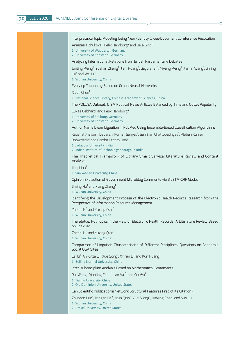| Interpretable Topic Modeling Using Near-Identity Cross-Document Coreference Resolution                                                                                                                                                                                     |
|----------------------------------------------------------------------------------------------------------------------------------------------------------------------------------------------------------------------------------------------------------------------------|
| Anastasia Zhukova <sup>1</sup> , Felix Hamborg <sup>2</sup> and Bela Gipp <sup>1</sup><br>1: University of Wuppertal, Germany                                                                                                                                              |
| 2: University of Konstanz, Germany                                                                                                                                                                                                                                         |
| Analyzing International Relations from British Parliamentary Debates<br>Junling Wang <sup>1</sup> , Yuehan Zhang <sup>1</sup> , Jiani Huang <sup>1</sup> , Jiayu Shen <sup>1</sup> , Yiyang Wang <sup>1</sup> , Jiamin Wang <sup>1</sup> , Jiming<br>$Hu^1$ and Wei $Lu^1$ |
| 1: Wuhan University, China                                                                                                                                                                                                                                                 |
| Evolving Taxonomy Based on Graph Neural Networks                                                                                                                                                                                                                           |
| Xiaoli Chen <sup>1</sup>                                                                                                                                                                                                                                                   |
| 1: National Science Library, Chinese Academy of Sciences, China                                                                                                                                                                                                            |
| The POLUSA Dataset: 0.9M Political News Articles Balanced by Time and Outlet Popularity                                                                                                                                                                                    |
| Lukas Gebhard <sup>1</sup> and Felix Hamborg <sup>2</sup>                                                                                                                                                                                                                  |
| 1: University of Freiburg, Germany<br>2: University of Konstanz, Germany                                                                                                                                                                                                   |
| Author Name Disambiguation in PubMed Using Ensemble-Based Classification Algorithms                                                                                                                                                                                        |
| Kaushal Jhawar <sup>1</sup> , Debarshi Kumar Sanyal <sup>2</sup> , Samiran Chattopadhyay <sup>1</sup> , Plaban Kumar<br>Bhowmick <sup>2</sup> and Partha Pratim Das <sup>2</sup>                                                                                           |
| 1: Jadavpur University, India<br>2: Indian Institute of Technology Kharagpur, India                                                                                                                                                                                        |
| The Theoretical Framework of Library Smart Service: Literature Review and Content<br>Analysis                                                                                                                                                                              |
| Jiaqi Liao <sup>1</sup>                                                                                                                                                                                                                                                    |
| 1: Sun Yat-sen University, China                                                                                                                                                                                                                                           |
| Opinion Extraction of Government Microblog Comments via BiLSTM-CRF Model                                                                                                                                                                                                   |
| Jiming Hu <sup>1</sup> and Xiang Zheng <sup>1</sup><br>1: Wuhan University, China                                                                                                                                                                                          |
| Identifying the Development Process of the Electronic Health Records Research from the<br>Perspective of Information Resource Management                                                                                                                                   |
| Zhenni Ni <sup>1</sup> and Yuxing Qian <sup>1</sup>                                                                                                                                                                                                                        |
| 1: Wuhan University, China                                                                                                                                                                                                                                                 |
| The Status, Hot Topics in the Field of Electronic Health Records: A Literature Review Based<br>on Lda2vec                                                                                                                                                                  |
| Zhenni Ni <sup>1</sup> and Yuxing Qian <sup>1</sup><br>1: Wuhan University, China                                                                                                                                                                                          |
| Comparison of Linguistic Characteristics of Different Disciplines' Questions on Academic<br>Social Q&A Sites                                                                                                                                                               |
| Lei Li <sup>1</sup> , Anrunze Li <sup>1</sup> , Xue Song <sup>1</sup> , Xinran Li <sup>1</sup> and Kun Huang <sup>1</sup><br>1: Beijing Normal University, China                                                                                                           |
| Inter-subdiscipline Analysis Based on Mathematical Statements                                                                                                                                                                                                              |
| Rui Wang <sup>1</sup> , Xiaoling Zhou <sup>1</sup> , Jian Wu <sup>2</sup> and Ou Wu <sup>1</sup>                                                                                                                                                                           |
| 1: Tianjin University, China                                                                                                                                                                                                                                               |
| 2: Old Dominion University, United States<br>Can Scientific Publication's Network Structural Features Predict its Citation?                                                                                                                                                |
|                                                                                                                                                                                                                                                                            |
| Zhuoran Luo <sup>1</sup> , Jiangen He <sup>2</sup> , Jiajia Qian <sup>1</sup> , Yuqi Wang <sup>1</sup> , Junying Chen <sup>1</sup> and Wei Lu <sup>1</sup>                                                                                                                 |

1: Wuhan University, China

2: Drexel University, United States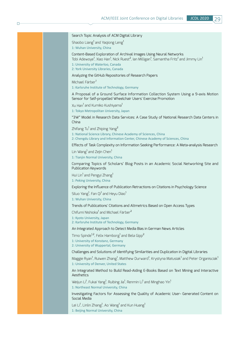#### Search Topic Analysis of ACM Digital Library

Shaobo Liang<sup>1</sup> and Yaqiong Leng<sup>1</sup>

1: Wuhan University, China

Content-Based Exploration of Archival Images Using Neural Networks Tobi Adewoye<sup>1</sup>, Xiao Han<sup>1</sup>, Nick Ruest<sup>2</sup>, Ian Milligan<sup>1</sup>, Samantha Fritz<sup>1</sup> and Jimmy Lin<sup>1</sup> 1: University of Waterloo, Canada

2: York University Libraries, Canada

Analyzing the GitHub Repositories of Research Papers

Michael Färber<sup>1</sup>

1: Karlsruhe Institute of Technology, Germany

A Proposal of a Ground Surface Information Collection System Using a 9-axis Motion Sensor for Self-propelled Wheelchair Users' Exercise Promotion

Xu Han<sup>1</sup> and Kumiko Kushiyama<sup>1</sup>

1: Tokyo Metropolitan University, Japan

"3W" Model in Research Data Services: A Case Study of National Research Data Centers in China

Zhifang Tu<sup>1</sup> and Zhiping Yang<sup>2</sup>

1: National Science Library, Chinese Academy of Sciences, China 2: Chengdu Library and Information Center, Chinese Academy of Sciences, China

Effects of Task Complexity on Information Seeking Performance: A Meta-analysis Research

Lin Wang<sup>1</sup> and Zejin Chen<sup>1</sup>

1: Tianjin Normal University, China

Comparing Topics of Scholars' Blog Posts in an Academic Social Networking Site and Publication Keywords

Hui Lin<sup>1</sup> and Pengyi Zhang<sup>1</sup>

1: Peking University, China

Exploring the Influence of Publication Retractions on Citations in Psychology Science

Siluo Yang<sup>1</sup>, Fan Qi<sup>1</sup> and Heyu Diao<sup>1</sup>

1: Wuhan University, China

Trends of Publications' Citations and Altmetrics Based on Open Access Types

Chifumi Nishioka<sup>1</sup> and Michael Färber<sup>2</sup>

1: Kyoto University, Japan

2: Karlsruhe Institute of Technology, Germany

An Integrated Approach to Detect Media Bias in German News Articles

Timo Spinde<sup>1,2</sup>, Felix Hamborg<sup>1</sup> and Bela Gipp<sup>2</sup>

1: University of Konstanz, Germany

2: University of Wuppertal, Germany

Challenges and Solutions of Identifying Similarities and Duplication in Digital Libraries

Maggie Ryan<sup>1</sup>, Ruiwen Zhang<sup>1</sup>, Matthew Durward<sup>1</sup>, Krystyna Matusiak<sup>1</sup> and Peter Organisciak<sup>1</sup> 1: University of Denver, United States

An Integrated Method to Build Read-Aiding E-Books Based on Text Mining and Interactive **Aesthetics** 

Weijun Li<sup>1</sup>, Fukai Yang<sup>1</sup>, Ruibing Jia<sup>1</sup>, Renmin Li<sup>1</sup> and Minghao Yin<sup>1</sup>

1: Northeast Normal University, China

Investigating Factors for Assessing the Quality of Academic User- Generated Content on Social Media

Lei Li<sup>1</sup>, Linlin Zhang<sup>1</sup>, Ao Wang<sup>1</sup> and Kun Huang<sup>1</sup> 1: Beijing Normal University, China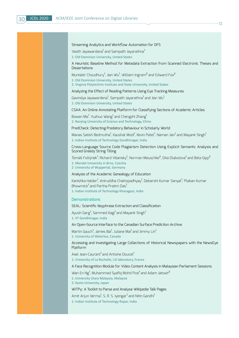#### Streaming Analytics and Workflow Automation for DFS

Yasith Jayawardana<sup>1</sup> and Sampath Jayarathna<sup>1</sup>

1: Old Dominion University, United States

A Heuristic Baseline Method for Metadata Extraction from Scanned Electronic Theses and **Dissertations** 

Muntabir Choudhury<sup>1</sup>, Jian Wu<sup>1</sup>, William Ingram<sup>2</sup> and Edward Fox<sup>2</sup>

1: Old Dominion University, United States 2: Virginia Polytechnic Institute and State University, United States

#### Analyzing the Effect of Reading Patterns Using Eye Tracking Measures

Gavindya Jayawardena<sup>1</sup>, Sampath Jayarathna<sup>1</sup> and Jian Wu<sup>1</sup> 1: Old Dominion University, United States

CSAA: An Online Annotating Platform for Classifying Sections of Academic Articles

Bowen Ma<sup>1</sup>, Yuzhuo Wang<sup>1</sup> and Chengzhi Zhang<sup>1</sup> 1: Nanjing University of Science and Technology, China

PredCheck: Detecting Predatory Behaviour in Scholarly World

Manas Satish Bedmutha<sup>1</sup>, Kaushal Modi<sup>1</sup>, Kevin Patel<sup>1</sup>, Naman Jain<sup>1</sup> and Mayank Singh<sup>1</sup> 1: Indian Institute of Technology Gandhinagar, India

Cross-Language Source Code Plagiarism Detection Using Explicit Semantic Analysis and Scored Greedy String Tilling

Tomáš Foltýnek<sup>1</sup>, Richard Všianský<sup>1</sup>, Norman Meuschke<sup>2</sup>, Dita Dlabolová<sup>1</sup> and Bela Gipp<sup>2</sup> 1: Mendel University in Brno, Czechia 2: University of Wuppertal, Germany

Analysis of the Academic Genealogy of Education

Kanishka Halder<sup>1</sup>, Aniruddha Chattopadhyay<sup>1</sup>, Debarshi Kumar Sanyal<sup>1</sup>, Plaban Kumar Bhowmick<sup>1</sup> and Partha Pratim Das<sup>1</sup> 1: Indian Institute of Technology Kharagpur, India

#### **Demonstrations**

SEAL: Scientific Keyphrase Extraction and Classification

Ayush Garg<sup>1</sup>, Sammed Kagi<sup>1</sup> and Mayank Singh<sup>1</sup> 1: IIT Gandhinagar, India

An Open-Source Interface to the Canadian Surface Prediction Archive

Martin Gauch<sup>1</sup>, James Bai<sup>1</sup>, Juliane Mai<sup>1</sup> and Jimmy Lin<sup>1</sup> 1: University of Waterloo, Canada

Accessing and Investigating Large Collections of Historical Newspapers with the NewsEye Platform

Axel Jean-Caurant<sup>1</sup> and Antoine Doucet<sup>1</sup> 1: University of La Rochelle, L3i laboratory, France

A Face Recognition Module for Video Content Analysis in Malaysian Parliament Sessions

Wan En Ng<sup>1</sup>, Muhammad Syafiq Mohd Pozi<sup>1</sup> and Adam Jatowt<sup>2</sup>

1: University Utara Malaysia, Malaysia

2: Kyoto University, Japan

WiTPy: A Toolkit to Parse and Analyse Wikipedia Talk Pages

Amit Arjun Verma<sup>1</sup>, S. R. S. Iyengar<sup>1</sup> and Nitin Gandhi<sup>1</sup> 1: Indian Institute of Technology Ropar, India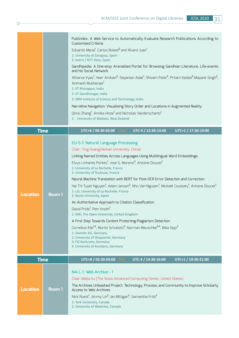ACM/IEEE Joint Conference on Digital Libraries JCDL 2020 31

|                                          |        | Publindex: A Web Service to Automatically Evaluate Research Publications According to<br>Customized Criteria<br>Eduardo Mena <sup>1</sup> , Carlos Bobed <sup>2</sup> and Álvaro Juan <sup>1</sup><br>1: University of Zaragoza, Spain<br>2: everis / NTT Data, Spain<br>Gandhipedia: A One-stop AI-enabled Portal for Browsing Gandhian Literature, Life-events<br>and his Social Network<br>Atharva Vyas <sup>1</sup> , Heer Ambavi <sup>2</sup> , Sayantan Adak <sup>1</sup> , Shivam Patel <sup>3</sup> , Pritam Kadasi <sup>2</sup> , Mayank Singh <sup>2</sup> ,<br>Animesh Mukherjee <sup>1</sup><br>1: IIT Kharagpur, India<br>2: IIT Gandhinagar, India<br>3: SRM Institute of Science and Technology, India<br>Narrative Navigation: Visualising Story Order and Locations in Augmented Reality<br>Qimo Zhang <sup>1</sup> , Annika Hinze <sup>1</sup> and Nicholas Vanderschantz <sup>1</sup><br>1: University of Waikato, New Zealand                                                                                                                                                                                                                           |
|------------------------------------------|--------|-----------------------------------------------------------------------------------------------------------------------------------------------------------------------------------------------------------------------------------------------------------------------------------------------------------------------------------------------------------------------------------------------------------------------------------------------------------------------------------------------------------------------------------------------------------------------------------------------------------------------------------------------------------------------------------------------------------------------------------------------------------------------------------------------------------------------------------------------------------------------------------------------------------------------------------------------------------------------------------------------------------------------------------------------------------------------------------------------------------------------------------------------------------------------------|
|                                          |        | UTC+8 / 00:30-02:00 +1Day<br>UTC-4 / 12:30-14:00<br>UTC+1 / 17:30-19:00                                                                                                                                                                                                                                                                                                                                                                                                                                                                                                                                                                                                                                                                                                                                                                                                                                                                                                                                                                                                                                                                                                     |
| <b>Time</b><br>Room 1<br><b>Location</b> |        | <b>EU-S-1: Natural Language Processing</b><br>Chair: Ying Huang(Wuhan University, China)<br>Linking Named Entities Across Languages Using Multilingual Word Embeddings<br>Elvys Linhares Pontes <sup>1</sup> , Jose G. Moreno <sup>2</sup> , Antoine Doucet <sup>1</sup><br>1: University of La Rochelle, France<br>2: University of Toulouse, France<br>Neural Machine Translation with BERT for Post-OCR Error Detection and Correction<br>Hai Thi Tuyet Nguyen <sup>1</sup> , Adam Jatowt <sup>2</sup> , Nhu Van Nguyen <sup>1</sup> , Mickaël Coustaty <sup>1</sup> , Antoine Doucet <sup>1</sup><br>1: L3i, University of La Rochelle, France<br>2: Kyoto University, Japan<br>An Authoritative Approach to Citation Classification<br>David Pride <sup>1</sup> , Petr Knoth <sup>1</sup><br>1: KMi, The Open University, United Kingdom<br>A First Step Towards Content Protecting Plagiarism Detection<br>Cornelius Ihle <sup>1,2</sup> , Moritz Schubotz <sup>3</sup> , Norman Meuschke <sup>2,4</sup> , Bela Gipp <sup>2</sup><br>1: Daimler AG, Germany<br>2: University of Wuppertal, Germany<br>3: FIZ Karlsruhe, Germany<br>4. University of Konstanz, Germany |
| <b>Time</b>                              |        | UTC+8 / 02:30-04:00 +1Day<br>UTC-4 / 14:30-16:00<br>UTC+1 / 19:30-21:00                                                                                                                                                                                                                                                                                                                                                                                                                                                                                                                                                                                                                                                                                                                                                                                                                                                                                                                                                                                                                                                                                                     |
| <b>Location</b>                          | Room 1 | NA-L-1: Web Archive - 1<br>Chair: Weijia Xu (The Texas Advanced Computing Center, United States)<br>The Archives Unleashed Project: Technology, Process, and Community to Improve Scholarly<br>Access to Web Archives<br>Nick Ruest <sup>1</sup> , Jimmy Lin <sup>2</sup> , Ian Milligan <sup>2</sup> , Samantha Fritz <sup>2</sup><br>1: York University, Canada<br>2: University of Waterloo, Canada                                                                                                                                                                                                                                                                                                                                                                                                                                                                                                                                                                                                                                                                                                                                                                      |
|                                          |        |                                                                                                                                                                                                                                                                                                                                                                                                                                                                                                                                                                                                                                                                                                                                                                                                                                                                                                                                                                                                                                                                                                                                                                             |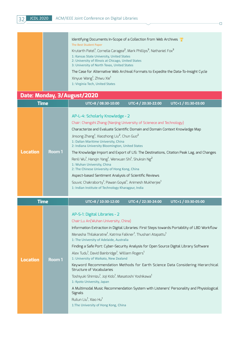| Identifying Documents In-Scope of a Collection from Web Archives<br>The Best Student Paper<br>Krutarth Patel <sup>1</sup> , Cornelia Caragea <sup>2</sup> , Mark Phillips <sup>3</sup> , Nathaniel Fox <sup>3</sup><br>1: Kansas State University, United States<br>2: University of Illinois at Chicago, United States |
|-------------------------------------------------------------------------------------------------------------------------------------------------------------------------------------------------------------------------------------------------------------------------------------------------------------------------|
| 3: University of North Texas, United States                                                                                                                                                                                                                                                                             |
| The Case for Alternative Web Archival Formats to Expedite the Data-To-Insight Cycle                                                                                                                                                                                                                                     |
| Xinyue Wang <sup>1</sup> , Zhiwu Xie <sup>1</sup><br>1: Virginia Tech, United States                                                                                                                                                                                                                                    |

#### **Date: Monday, 3/August/2020**

| <b>Time</b>                        |        | UTC+8 / 08:30-10:00                                                                                                                                                                                                                                                                                                                                                                                                                                                                                                                                                                                                                                                                                                                                                                                                                                                       | UTC-4 / 20:30-22:00 | UTC+1 / 01:30-03:00                                                                                                                                                      |
|------------------------------------|--------|---------------------------------------------------------------------------------------------------------------------------------------------------------------------------------------------------------------------------------------------------------------------------------------------------------------------------------------------------------------------------------------------------------------------------------------------------------------------------------------------------------------------------------------------------------------------------------------------------------------------------------------------------------------------------------------------------------------------------------------------------------------------------------------------------------------------------------------------------------------------------|---------------------|--------------------------------------------------------------------------------------------------------------------------------------------------------------------------|
| <b>Location</b>                    | Room 1 | AP-L-4: Scholarly Knowledge - 2<br>Chair: Chengzhi Zhang (Nanjing University of Scienece and Technology)<br>Characterize and Evaluate Scientific Domain and Domain Context Knowledge Map<br>Jinsong Zhang <sup>1</sup> , Xiaozhong Liu <sup>2</sup> , Chun Guo <sup>2</sup><br>1: Dalian Maritime University, China<br>2: Indiana University Bloomington, United States<br>The Knowledge Import and Export of LIS: The Destinations, Citation Peak Lag, and Changes<br>Renli Wu <sup>1</sup> , Hangin Yang <sup>1</sup> , Wenxuan Shi <sup>1</sup> , Shuksin Ng <sup>2</sup><br>1: Wuhan University, China<br>2: The Chinese University of Hong Kong, China<br>Aspect-based Sentiment Analysis of Scientific Reviews<br>Souvic Chakraborty <sup>1</sup> , Pawan Goyal <sup>1</sup> , Animesh Mukherjee <sup>1</sup><br>1: Indian Institute of Technology Kharagpur, India |                     |                                                                                                                                                                          |
| <b>Time</b><br>UTC+8 / 10:30-12:00 |        | UTC-4 / 22:30-24:00                                                                                                                                                                                                                                                                                                                                                                                                                                                                                                                                                                                                                                                                                                                                                                                                                                                       | UTC+1 / 03:30-05:00 |                                                                                                                                                                          |
| <b>Location</b>                    | Room 1 | AP-S-1: Digital Libraries - 2<br>Chair:Lu An(Wuhan University, China)<br>Information Extraction in Digital Libraries: First Steps towards Portability of LBD Workflow<br>Menasha Thilakaratne <sup>1</sup> , Katrina Falkner <sup>1</sup> , Thushari Atapattu <sup>1</sup><br>1: The University of Adelaide, Australia<br>Finding a Safe Port: Cyber-Security Analysis for Open Source Digital Library Software<br>Alex Tudu <sup>1</sup> , David Bainbridge <sup>1</sup> , William Rogers <sup>1</sup><br>1: University of Waikato, New Zealand<br><b>Structure of Vocabularies</b><br>Toshiyuki Shimizu <sup>1</sup> , Joji Kido <sup>1</sup> , Masatoshi Yoshikawa <sup>1</sup><br>1: Kyoto University, Japan<br>Signals<br>Ruilun Liu <sup>1</sup> , Xiao Hu <sup>1</sup><br>1: The University of Hong Kong, China                                                    |                     | Keyword Recommendation Methods for Earth Science Data Considering Hierarchical<br>A Multimodal Music Recommendation System with Listeners' Personality and Physiological |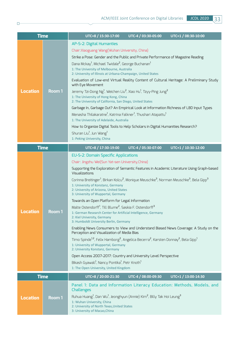| <b>Time</b>     |        | UTC+8 / 15:30-17:00<br>UTC-4 / 03:30-05:00<br>UTC+1 / 08:30-10:00                                                                                                                                                                                                                                                                                                                                                                                                                                                                                                                                                                                                                                                                                                                                                                                                                                                                                                                                                                                                                                                                                                                                                                                                                                                                                             |  |  |
|-----------------|--------|---------------------------------------------------------------------------------------------------------------------------------------------------------------------------------------------------------------------------------------------------------------------------------------------------------------------------------------------------------------------------------------------------------------------------------------------------------------------------------------------------------------------------------------------------------------------------------------------------------------------------------------------------------------------------------------------------------------------------------------------------------------------------------------------------------------------------------------------------------------------------------------------------------------------------------------------------------------------------------------------------------------------------------------------------------------------------------------------------------------------------------------------------------------------------------------------------------------------------------------------------------------------------------------------------------------------------------------------------------------|--|--|
| <b>Location</b> | Room 1 | AP-S-2: Digital Humanties<br>Chair: Xiaoguang Wang (Wuhan University, China)<br>Strike a Pose: Gender and the Public and Private Performance of Magazine Reading<br>Dana Mckay <sup>1</sup> , Michael Twidale <sup>2</sup> , George Buchanan <sup>1</sup><br>1: The University of Melbourne, Australia<br>2: University of Illinois at Urbana-Champaign, United States<br>Evaluation of Low-end Virtual Reality Content of Cultural Heritage: A Preliminary Study<br>with Eye Movement<br>Jeremy Tzi-Dong Ng <sup>1</sup> , Weichen Liu <sup>2</sup> , Xiao Hu <sup>1</sup> , Tzyy-Ping Jung <sup>2</sup><br>1: The University of Hong Kong, China<br>2: The University of California, San Diego, United States<br>Garbage In, Garbage Out? An Empirical Look at Information Richness of LBD Input Types<br>Menasha Thilakaratne <sup>1</sup> , Katrina Falkner <sup>1</sup> , Thushari Atapattu <sup>1</sup><br>1: The University of Adelaide, Australia<br>How to Organize Digital Tools to Help Scholars in Digital Humanities Research?<br>Shuran Liu <sup>1</sup> , Jun Wang <sup>1</sup><br>1: Peking University, China                                                                                                                                                                                                                                 |  |  |
| <b>Time</b>     |        | UTC-4 / 05:30-07:00<br>UTC+1 / 10:30-12:00<br>UTC+8 / 17:30-19:00                                                                                                                                                                                                                                                                                                                                                                                                                                                                                                                                                                                                                                                                                                                                                                                                                                                                                                                                                                                                                                                                                                                                                                                                                                                                                             |  |  |
| <b>Location</b> | Room 1 | <b>EU-S-2: Domain Specific Applications</b><br>Chair: Jingzhu Wei(Sun Yat-sen University, China)<br>Supporting the Exploration of Semantic Features in Academic Literature Using Graph-based<br>Visualizations<br>Corinna Breitinger <sup>1</sup> , Birkan Kolcu <sup>2</sup> , Monique Meuschke <sup>3</sup> , Norman Meuschke <sup>3</sup> , Bela Gipp <sup>3</sup><br>1: University of Konstanz, Germany<br>2: University of Arizona, United States<br>3: University of Wuppertal, Germany<br>Towards an Open Platform for Legal Information<br>Malte Ostendorff <sup>1</sup> , Till Blume <sup>2</sup> , Saskia F. Ostendorff <sup>3</sup><br>1: German Research Center for Artificial Intelligence, Germany<br>2: Kiel University, Germany<br>3: Humboldt University Berlin, Germany<br>Enabling News Consumers to View and Understand Biased News Coverage: A Study on the<br>Perception and Visualization of Media Bias<br>Timo Spinde <sup>1,2</sup> , Felix Hamborg <sup>2</sup> , Angelica Becerra <sup>2</sup> , Karsten Donnay <sup>2</sup> , Bela Gipp <sup>1</sup><br>1: University of Wuppertal, Germany<br>2: University Konstanz, Germany<br>Open Access 2007-2017: Country and University Level Perspective<br>Bikash Gyawali <sup>1</sup> , Nancy Pontika <sup>1</sup> , Petr Knoth <sup>1</sup><br>1: The Open University, United Kingdom |  |  |
| <b>Time</b>     |        | UTC+1 / 13:00-14:30<br>UTC-4 / 08:00-09:30<br>UTC+8 / 20:00-21:30                                                                                                                                                                                                                                                                                                                                                                                                                                                                                                                                                                                                                                                                                                                                                                                                                                                                                                                                                                                                                                                                                                                                                                                                                                                                                             |  |  |
| <b>Location</b> | Room 1 | Panel 1: Data and Information Literacy Education: Methods, Models, and<br><b>Challenges</b><br>Ruhua Huang <sup>1</sup> , Dan Wu <sup>1</sup> , Jeonghyun (Annie) Kim <sup>2</sup> , Billy Tak Hoi Leung <sup>3</sup><br>1: Wuhan University, China<br>2: University of North Texas, United States<br>3: University of Macao, China                                                                                                                                                                                                                                                                                                                                                                                                                                                                                                                                                                                                                                                                                                                                                                                                                                                                                                                                                                                                                           |  |  |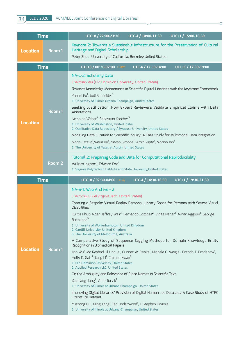| <b>Time</b>     |             | UTC+8 / 22:00-23:30<br>UTC-4 / 10:00-11:30<br>UTC+1 / 15:00-16:30                                                                                                                                                                                                                                                                                                                                                                                                                                                                                                                                                                                                                                                                                                                                                                                                                                                                                                                                                                                                                                                                                                                                                                                                                                                                                                                                                                                                           |  |  |
|-----------------|-------------|-----------------------------------------------------------------------------------------------------------------------------------------------------------------------------------------------------------------------------------------------------------------------------------------------------------------------------------------------------------------------------------------------------------------------------------------------------------------------------------------------------------------------------------------------------------------------------------------------------------------------------------------------------------------------------------------------------------------------------------------------------------------------------------------------------------------------------------------------------------------------------------------------------------------------------------------------------------------------------------------------------------------------------------------------------------------------------------------------------------------------------------------------------------------------------------------------------------------------------------------------------------------------------------------------------------------------------------------------------------------------------------------------------------------------------------------------------------------------------|--|--|
| <b>Location</b> | Room 1      | Keynote 2: Towards a Sustainable Infrastructure for the Preservation of Cultural<br>Heritage and Digital Scholarship                                                                                                                                                                                                                                                                                                                                                                                                                                                                                                                                                                                                                                                                                                                                                                                                                                                                                                                                                                                                                                                                                                                                                                                                                                                                                                                                                        |  |  |
|                 |             | Peter Zhou, University of California, Berkeley, United States                                                                                                                                                                                                                                                                                                                                                                                                                                                                                                                                                                                                                                                                                                                                                                                                                                                                                                                                                                                                                                                                                                                                                                                                                                                                                                                                                                                                               |  |  |
|                 | <b>Time</b> | UTC+8 / 00:30-02:00 +1Day<br>UTC-4 / 12:30-14:00<br>UTC+1 / 17:30-19:00                                                                                                                                                                                                                                                                                                                                                                                                                                                                                                                                                                                                                                                                                                                                                                                                                                                                                                                                                                                                                                                                                                                                                                                                                                                                                                                                                                                                     |  |  |
| <b>Location</b> | Room 1      | NA-L-2: Scholarly Data<br>Chair: Jian Wu (Old Dominion University, United States)<br>Towards Knowledge Maintenance in Scientific Digital Libraries with the Keystone Framework<br>Yuanxi Fu <sup>1</sup> , Jodi Schneider <sup>1</sup><br>1: University of Illinois Urbana Champaign, United States<br>Seeking Justification: How Expert Reviewers Validate Empirical Claims with Data<br>Annotations<br>Nicholas Weber <sup>1</sup> , Sebastian Karcher <sup>2</sup><br>1: University of Washington, United States<br>2: Qualitative Data Repository / Syracuse University, United States<br>Modeling Data Curation to Scientific Inquiry: A Case Study for Multimodal Data Integration<br>Maria Esteva <sup>1</sup> , Weijia Xu <sup>1</sup> , Nevan Simone <sup>1</sup> , Amit Gupta <sup>1</sup> , Moriba Jah <sup>1</sup><br>1: The University of Texas at Austin, United States                                                                                                                                                                                                                                                                                                                                                                                                                                                                                                                                                                                       |  |  |
|                 | Room 2      | Tutorial 2: Preparing Code and Data for Computational Reproducibility<br>William Ingram <sup>1</sup> , Edward Fox <sup>1</sup><br>1: Virginia Polytechnic Institute and State University, United States                                                                                                                                                                                                                                                                                                                                                                                                                                                                                                                                                                                                                                                                                                                                                                                                                                                                                                                                                                                                                                                                                                                                                                                                                                                                     |  |  |
| <b>Time</b>     |             | UTC+8 / 02:30-04:00 +1Day<br>UTC-4 / 14:30-16:00<br>UTC+1 / 19:30-21:30                                                                                                                                                                                                                                                                                                                                                                                                                                                                                                                                                                                                                                                                                                                                                                                                                                                                                                                                                                                                                                                                                                                                                                                                                                                                                                                                                                                                     |  |  |
| <b>Location</b> | Room 1      | NA-S-1: Web Archive - 2<br>Chair: Zhiwu Xie (Virginia Tech, United States)<br>Creating a Bespoke Virtual Reality Personal Library Space for Persons with Severe Visual<br>Disabilities<br>Kurtis Philip Aidan Jeffrey Weir <sup>1</sup> , Fernando Loizides <sup>2</sup> , Vinita Nahar <sup>1</sup> , Amar Aggoun <sup>1</sup> , George<br>Buchanan <sup>3</sup><br>1: University of Wolverhampton, United Kingdom<br>2: Cardiff University, United Kingdom<br>3: The University of Melbourne, Australia<br>A Comparative Study of Sequence Tagging Methods for Domain Knowledge Entity<br>Recognition in Biomedical Papers<br>Jian Wu <sup>1</sup> , Md Reshad Ul Hoque <sup>1</sup> , Gunnar W. Reiske <sup>1</sup> , Michele C. Weigle <sup>1</sup> , Brenda T. Bradshaw <sup>1</sup> ,<br>Holly D. Gaff <sup>1</sup> , Jiang Li <sup>1</sup> , Chiman Kwan <sup>2</sup><br>1: Old Dominion University, United States<br>2: Applied Research LLC, United States<br>On the Ambiguity and Relevance of Place Names in Scientific Text<br>Xiaoliang Jiang <sup>1</sup> , Vetle Torvik <sup>1</sup><br>1: University of Illinois at Urbana Champaign, United States<br>Improving Digital Libraries' Provision of Digital Humanities Datasets: A Case Study of HTRC<br>Literature Dataset<br>Yuerong Hu <sup>1</sup> , Ming Jiang <sup>1</sup> , Ted Underwood <sup>1</sup> , J. Stephen Downie <sup>1</sup><br>1: University of Illinois at Urbana-Champaign, United States |  |  |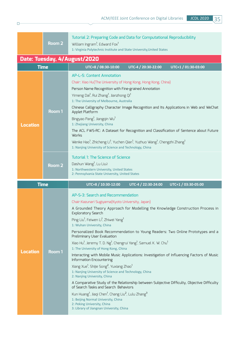|                              | Room 2            | Tutorial 2: Preparing Code and Data for Computational Reproducibility<br>William Ingram <sup>1</sup> , Edward Fox <sup>1</sup><br>1: Virginia Polytechnic Institute and State University, United States                                                                                                                                                                                                                                                                                                                                                                                                                                                                                                                                                                                                                                                                                                                                                                                                                                                                                                                                                                                                                                                           |  |  |
|------------------------------|-------------------|-------------------------------------------------------------------------------------------------------------------------------------------------------------------------------------------------------------------------------------------------------------------------------------------------------------------------------------------------------------------------------------------------------------------------------------------------------------------------------------------------------------------------------------------------------------------------------------------------------------------------------------------------------------------------------------------------------------------------------------------------------------------------------------------------------------------------------------------------------------------------------------------------------------------------------------------------------------------------------------------------------------------------------------------------------------------------------------------------------------------------------------------------------------------------------------------------------------------------------------------------------------------|--|--|
| Date: Tuesday, 4/August/2020 |                   |                                                                                                                                                                                                                                                                                                                                                                                                                                                                                                                                                                                                                                                                                                                                                                                                                                                                                                                                                                                                                                                                                                                                                                                                                                                                   |  |  |
| <b>Time</b>                  |                   | UTC+8 / 08:30-10:00<br>UTC-4 / 20:30-22:00<br>UTC+1 / 01:30-03:00                                                                                                                                                                                                                                                                                                                                                                                                                                                                                                                                                                                                                                                                                                                                                                                                                                                                                                                                                                                                                                                                                                                                                                                                 |  |  |
| <b>Location</b>              | Room 1            | AP-L-5: Content Annotation<br>Chair: Xiao Hu(The University of Hong Kong, Hong Kong, China)<br>Person Name Recognition with Fine-grained Annotation<br>Yimeng Dai <sup>1</sup> , Rui Zhang <sup>1</sup> , Jianzhong Qi <sup>1</sup><br>1: The University of Melbourne, Australia<br>Chinese Calligraphy Character Image Recognition and Its Applications in Web and WeChat<br>Applet Platform<br>Bingyao Pang <sup>1</sup> , Jiangqin Wu <sup>1</sup><br>1: Zhejiang University, China<br>The ACL FWS-RC: A Dataset for Recognition and Classification of Sentence about Future<br>Works<br>Wenke Hao <sup>1</sup> , Zhicheng Li <sup>1</sup> , Yuchen Qian <sup>1</sup> , Yuzhuo Wang <sup>1</sup> , Chengzhi Zhang <sup>1</sup><br>1: Nanjing University of Science and Technology, China                                                                                                                                                                                                                                                                                                                                                                                                                                                                       |  |  |
|                              | Room <sub>2</sub> | Tutorial 1: The Science of Science<br>Dashun Wang <sup>1</sup> , Lu Liu2<br>1: Northwestern University, United States<br>2: Pennsylvania State University, United States                                                                                                                                                                                                                                                                                                                                                                                                                                                                                                                                                                                                                                                                                                                                                                                                                                                                                                                                                                                                                                                                                          |  |  |
| <b>Time</b>                  |                   | UTC+1 / 03:30-05:00<br>UTC+8 / 10:30-12:00<br>UTC-4 / 22:30-24:00                                                                                                                                                                                                                                                                                                                                                                                                                                                                                                                                                                                                                                                                                                                                                                                                                                                                                                                                                                                                                                                                                                                                                                                                 |  |  |
| <b>Location</b>              | Room 1            | AP-S-3: Search and Recommendation<br>Chair:Kazunari Sugiyama(Kyoto University, Japan)<br>A Grounded Theory Approach for Modelling the Knowledge Construction Process in<br><b>Exploratory Search</b><br>Ping Liu <sup>1</sup> , Feiwen Li <sup>1</sup> , Zhiwei Yang <sup>1</sup><br>1: Wuhan University, China<br>Personalized Book Recommendation to Young Readers: Two Online Prototypes and a<br>Preliminary User Evaluation<br>Xiao Hu <sup>1</sup> , Jeremy T. D. Ng <sup>1</sup> , Chengrui Yang <sup>1</sup> , Samuel K. W. Chu <sup>1</sup><br>1: The University of Hong Kong, China<br>Interacting with Mobile Music Applications: Investigation of Influencing Factors of Music<br>Information Encountering<br>Xiang Xue <sup>1</sup> , Shijie Song <sup>2</sup> , Yuxiang Zhao <sup>1</sup><br>1: Nanjing University of Science and Technology, China<br>2: Nanjing University, China<br>A Comparative Study of the Relationship between Subjective Difficulty, Objective Difficulty<br>of Search Tasks and Search Behaviors<br>Kun Huang <sup>1</sup> , Jiaqi Chen <sup>1</sup> , Chang Liu <sup>2</sup> , Lulu Zhang <sup>3</sup><br>1: Beijing Normal University, China<br>2: Peking University, China<br>3: Library of Jiangnan University, China |  |  |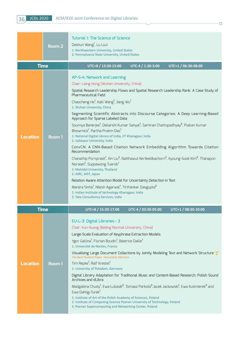|                 | Room 2      | Tutorial 1: The Science of Science<br>Dashun Wang <sup>1</sup> , Lu Liu2<br>1: Northwestern University, United States<br>2: Pennsylvania State University, United States                                                                                                                                                                                                                                                                                                                                                                                                                                                                                                                                                                                                                                                                                                                                                                                                                                                                                                                                                                                                                                                                                                                                                                                      |  |  |
|-----------------|-------------|---------------------------------------------------------------------------------------------------------------------------------------------------------------------------------------------------------------------------------------------------------------------------------------------------------------------------------------------------------------------------------------------------------------------------------------------------------------------------------------------------------------------------------------------------------------------------------------------------------------------------------------------------------------------------------------------------------------------------------------------------------------------------------------------------------------------------------------------------------------------------------------------------------------------------------------------------------------------------------------------------------------------------------------------------------------------------------------------------------------------------------------------------------------------------------------------------------------------------------------------------------------------------------------------------------------------------------------------------------------|--|--|
|                 | <b>Time</b> | UTC+8 / 13:30-15:00<br>UTC-4 / 1:30-3:00<br>UTC+1 / 06:30-08:00                                                                                                                                                                                                                                                                                                                                                                                                                                                                                                                                                                                                                                                                                                                                                                                                                                                                                                                                                                                                                                                                                                                                                                                                                                                                                               |  |  |
| <b>Location</b> | Room 1      | AP-S-4: Network and Learning<br>Chair: Liang Hong (Wuhan University, China)<br>Spatial Research Leadership Flows and Spatial Research Leadership Rank: A Case Study of<br><b>Pharmaceutical Field</b><br>Chaocheng He <sup>1</sup> , Kaili Wang <sup>1</sup> , Jiang Wu <sup>1</sup><br>1: Wuhan University, China<br>Segmenting Scientific Abstracts into Discourse Categories: A Deep Learning-Based<br>Approach for Sparse Labeled Data<br>Soumya Banerjee <sup>1</sup> , Debarshi Kumar Sanyal <sup>1</sup> , Samiran Chattopadhyay <sup>2</sup> , Plaban Kumar<br>Bhowmick <sup>1</sup> , Partha Pratim Das <sup>1</sup><br>1: National Digital Library of India, IIT Kharagpur, India<br>2: Jadavpur University, India<br>ConvCN: A CNN-Based Citation Network Embedding Algorithm Towards Citation<br>Recommendation<br>Chanathip Pornprasit <sup>1</sup> , Xin Liu <sup>2</sup> , Natthawut Kertkeidkachorn <sup>2</sup> , Kyoung-Sook Kim <sup>2</sup> , Thanapon<br>Noraset <sup>1</sup> , Suppawong Tuarob <sup>1</sup><br>1: Mahidol University, Thailand<br>2: AIRC, AIST, Japan<br>Relation Aware Attention Model for Uncertainty Detection in Text<br>Manjira Sinha <sup>1</sup> , Nilesh Agarwal <sup>1</sup> , Tirthankar Dasgupta <sup>2</sup><br>1: Indian Institute of technology Kharagpur, India<br>2: Tata Consultancy Services, India |  |  |
|                 | <b>Time</b> | UTC+8 / 15:30-17:00<br>UTC-4 / 03:30-05:00<br>UTC+1 / 08:30-10:00                                                                                                                                                                                                                                                                                                                                                                                                                                                                                                                                                                                                                                                                                                                                                                                                                                                                                                                                                                                                                                                                                                                                                                                                                                                                                             |  |  |
| <b>Location</b> | Room 1      | EU-L-3: Digital Libraries - 3<br>Chair: Kun Huang (Beijing Normal University, China)<br>Large-Scale Evaluation of Keyphrase Extraction Models<br>Ygor Gallina <sup>1</sup> , Florian Boudin <sup>1</sup> , Béatrice Daille <sup>1</sup><br>1: Université de Nantes, France<br>Visualising Large Document Collections by Jointly Modeling Text and Network Structure<br>The Best Student Paper Honorable Mention<br>Tim Repke <sup>1</sup> , Ralf Krestel <sup>1</sup><br>1: University of Potsdam, Germany<br>Digital Library Adaptation for Traditional Music and Content-Based Research: Polish Sound<br>Archives and dLibra<br>Madgalena Chudy <sup>1</sup> , Ewa Łukasik <sup>2</sup> , Tomasz Parkoła <sup>3</sup> ,Jacek Jackowski <sup>1</sup> , Ewa Kuśmierek <sup>3</sup> and<br>Ewa Dahlig-Turek <sup>1</sup><br>1: Institute of Art of the Polish Academy of Sciences, Poland<br>2: Institute of Computing Science Poznan University of Technology, Poland<br>3: Poznan Supercomputing and Networking Center, Poland                                                                                                                                                                                                                                                                                                                               |  |  |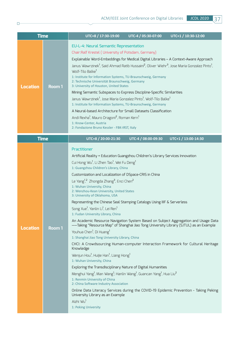| <b>Time</b>     |             | UTC+8 / 17:30-19:00                                                                                                                                                                                                                                                                                                                                                                                                                                                                                                                                                                                                                                                                                                                                                                                                                                                                                                                                                                                                                                                                                                                                                                                                                                                                                                                                                                                                                                                                                                                                                                                                                        | UTC-4 / 05:30-07:00 | UTC+1 / 10:30-12:00 |
|-----------------|-------------|--------------------------------------------------------------------------------------------------------------------------------------------------------------------------------------------------------------------------------------------------------------------------------------------------------------------------------------------------------------------------------------------------------------------------------------------------------------------------------------------------------------------------------------------------------------------------------------------------------------------------------------------------------------------------------------------------------------------------------------------------------------------------------------------------------------------------------------------------------------------------------------------------------------------------------------------------------------------------------------------------------------------------------------------------------------------------------------------------------------------------------------------------------------------------------------------------------------------------------------------------------------------------------------------------------------------------------------------------------------------------------------------------------------------------------------------------------------------------------------------------------------------------------------------------------------------------------------------------------------------------------------------|---------------------|---------------------|
| <b>Location</b> | Room 1      | <b>EU-L-4: Neural Semantic Representation</b><br>Chair:Ralf Krestel (University of Potsdam, Germany)<br>Explainable Word-Embeddings for Medical Digital Libraries - A Context-Aware Approach<br>Janus Wawrzinek <sup>1</sup> , Said Ahmad Ratib Hussaini <sup>2</sup> , Oliver Wiehr <sup>3</sup> , Jose Maria Gonzalez Pinto <sup>1</sup> ,<br>Wolf-Tilo Balke <sup>1</sup><br>1: Institute for Information Systems, TU-Braunschweig, Germany<br>2: Technische Universität Braunschweig, Germany<br>3: University of Houston, United States<br>Mining Semantic Subspaces to Express Discipline-Specific Similarities<br>Janus Wawrzinek <sup>1</sup> , Jose Maria Gonzalez Pinto <sup>1</sup> , Wolf-Tilo Balke <sup>1</sup><br>1: Institute for Information Systems, TU-Braunschweig, Germany<br>A Neural-based Architecture for Small Datasets Classification<br>Andi Rexha <sup>1</sup> , Mauro Dragoni <sup>2</sup> , Roman Kern <sup>1</sup><br>1: Know-Center, Austria<br>2: Fondazione Bruno Kessler - FBK-IRST, Italy                                                                                                                                                                                                                                                                                                                                                                                                                                                                                                                                                                                                             |                     |                     |
|                 | <b>Time</b> | UTC+8 / 20:00-21:30                                                                                                                                                                                                                                                                                                                                                                                                                                                                                                                                                                                                                                                                                                                                                                                                                                                                                                                                                                                                                                                                                                                                                                                                                                                                                                                                                                                                                                                                                                                                                                                                                        | UTC-4 / 08:00-09:30 | UTC+1 / 13:00-14:30 |
| <b>Location</b> | Room 1      | Practitioner<br>Artificial Reality + Education Guangzhou Children's Library Services Innovation<br>Cui Hong Wu <sup>1</sup> , Li Zhen Tao <sup>1</sup> , Wei Fu Deng <sup>1</sup><br>1: Guangzhou Children's Library, China<br>Customization and Localization of DSpace-CRIS in China<br>Le Yang <sup>1,2</sup> Zhongda Zhang <sup>3</sup> , Enci Chen <sup>2</sup><br>1: Wuhan University, China<br>2: Wenzhou-Kean University, United States<br>3: University of Oklahoma, USA<br>Representing the Chinese Seal Stamping Catalogs Using IIIF & Serverless<br>Song Xue <sup>1</sup> , Yanlin Li <sup>1</sup> , Lei Ren <sup>1</sup><br>1: Fudan University Library, China<br>An Academic Resource Navigation System Based on Subject Aggregation and Usage Data<br>-Taking "Resource Map" of Shanghai Jiao Tong University Library (SJTUL) as an Example<br>Youhua Chen <sup>1</sup> , Di Huang <sup>1</sup><br>1: Shanghai Jiao Tong University Library, China<br>CHCI: A Crowdsourcing Human-computer Interaction Framework for Cultural Heritage<br>Knowledge<br>Wenjun Hou <sup>1</sup> , Huijie Han <sup>1</sup> , Liang Hong <sup>1</sup><br>1: Wuhan University, China<br>Exploring the Transdisciplinary Nature of Digital Humanities<br>Menghui Yang <sup>1</sup> , Man Wang <sup>1</sup> ; Hanlin Wang <sup>1</sup> , Guancan Yang <sup>1</sup> , Hua Liu <sup>2</sup><br>1: Renmin University of China<br>2: China Software Industry Association<br>Online Data Literacy Services during the COVID-19 Epidemic Prevention - Taking Peking<br>University Library as an Example<br>Aizhi Wu <sup>1</sup><br>1: Peking University |                     |                     |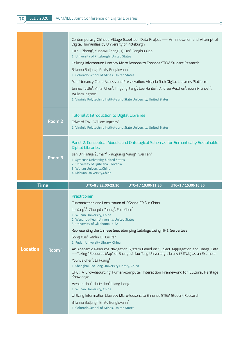|                   | Contemporary Chinese Village Gazetteer Data Project - An Innovation and Attempt of<br>Digital Humanities by University of Pittsburgh<br>Haihui Zhang <sup>1</sup> , Yuanziyi Zhang <sup>1</sup> , Qi Xin <sup>1</sup> , Fanghui Xiao <sup>1</sup><br>1: University of Pittsburgh, United States<br>Utilizing Information Literacy Micro-lessons to Enhance STEM Student Research<br>Brianna Buljung <sup>1</sup> , Emily Bongiovanni <sup>1</sup><br>1: Colorado School of Mines, United States<br>Multi-tenancy Cloud Access and Preservation: Virginia Tech Digital Libraries Platform<br>James Tuttle <sup>1</sup> , Yinlin Chen <sup>1</sup> , Tingting Jiang <sup>1</sup> , Lee Hunter <sup>1</sup> , Andrea Waldren <sup>1</sup> , Soumik Ghosh <sup>1</sup> ,<br>William Ingram <sup>1</sup><br>1: Virginia Polytechnic Institute and State University, United States |
|-------------------|------------------------------------------------------------------------------------------------------------------------------------------------------------------------------------------------------------------------------------------------------------------------------------------------------------------------------------------------------------------------------------------------------------------------------------------------------------------------------------------------------------------------------------------------------------------------------------------------------------------------------------------------------------------------------------------------------------------------------------------------------------------------------------------------------------------------------------------------------------------------------|
| Room 2            | Tutorial3: Introduction to Digital Libraries<br>Edward Fox <sup>1</sup> , William Ingram <sup>1</sup><br>1: Virginia Polytechnic Institute and State University, United States                                                                                                                                                                                                                                                                                                                                                                                                                                                                                                                                                                                                                                                                                               |
| Room <sub>3</sub> | Panel 2: Conceptual Models and Ontological Schemas for Semantically Sustainable<br><b>Digital Libraries</b><br>Jian Qin <sup>1</sup> , Maja Žumer <sup>2</sup> , Xiaoguang Wang <sup>3</sup> , Wei Fan <sup>4</sup><br>1: Syracuse University, United States<br>2: University of Ljubljana, Slovenia<br>3: Wuhan University, China<br>4: Sichuan University, China                                                                                                                                                                                                                                                                                                                                                                                                                                                                                                           |
| <b>Time</b>       | UTC-4 / 10:00-11:30<br>UTC+1 / 15:00-16:30<br>UTC+8 / 22:00-23:30                                                                                                                                                                                                                                                                                                                                                                                                                                                                                                                                                                                                                                                                                                                                                                                                            |
|                   | Practitioner<br>Customization and Localization of DSpace-CRIS in China<br>Le Yang <sup>1,2</sup> , Zhongda Zhang <sup>3</sup> , Enci Chen <sup>2</sup><br>1: Wuhan University, China<br>2: Wenzhou-Kean University, United States<br>3: University of Oklahoma, USA<br>Representing the Chinese Seal Stamping Catalogs Using IIIF & Serverless<br>Song Xue <sup>1</sup> , Yanlin Li <sup>1</sup> , Lei Ren <sup>1</sup><br>1: Fudan University Library, China                                                                                                                                                                                                                                                                                                                                                                                                                |

#### **Location Room 1** An Academic Resource Navigation System Based on Subject Aggregation and Usage Data ——Taking "Resource Map" of Shanghai Jiao Tong University Library (SJTUL) as an Example Youhua Chen<sup>1</sup>, Di Huang<sup>1</sup> 1: Shanghai Jiao Tong University Library, China

CHCI: A Crowdsourcing Human-computer Interaction Framework for Cultural Heritage Knowledge

Wenjun Hou<sup>1</sup>, Huijie Han<sup>1</sup>, Liang Hong<sup>1</sup>

1: Wuhan University, China

Utilizing Information Literacy Micro-lessons to Enhance STEM Student Research

Brianna Buljung<sup>1</sup>, Emily Bongiovanni<sup>1</sup>

1: Colorado School of Mines, United States

Ò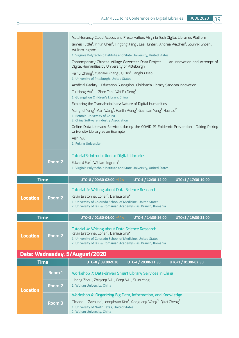### ACM/IEEE Joint Conference on Digital Libraries JCDL 2020 39

|                 |                             | Multi-tenancy Cloud Access and Preservation: Virginia Tech Digital Libraries Platform<br>James Tuttle <sup>1</sup> , Yinlin Chen <sup>1</sup> , Tingting Jiang <sup>1</sup> , Lee Hunter <sup>1</sup> , Andrea Waldren <sup>1</sup> , Soumik Ghosh <sup>1</sup> ,<br>William Ingram <sup>1</sup><br>1: Virginia Polytechnic Institute and State University, United States<br>Contemporary Chinese Village Gazetteer Data Project -- An Innovation and Attempt of<br>Digital Humanities by University of Pittsburgh<br>Haihui Zhang <sup>1</sup> , Yuanziyi Zhang <sup>1</sup> , Qi Xin <sup>1</sup> , Fanghui Xiao <sup>1</sup><br>1: University of Pittsburgh, United States<br>Artificial Reality + Education Guangzhou Children's Library Services Innovation<br>Cui Hong Wu <sup>1</sup> , Li Zhen Tao <sup>1</sup> , Wei Fu Deng <sup>1</sup><br>1: Guangzhou Children's Library, China<br>Exploring the Transdisciplinary Nature of Digital Humanities<br>Menghui Yang <sup>1</sup> , Man Wang <sup>1</sup> ; Hanlin Wang <sup>1</sup> , Guancan Yang <sup>1</sup> , Hua Liu <sup>2</sup><br>1: Renmin University of China<br>2: China Software Industry Association<br>Online Data Literacy Services during the COVID-19 Epidemic Prevention - Taking Peking<br>University Library as an Example<br>Aizhi Wu <sup>1</sup><br>1: Peking University |                     |                     |
|-----------------|-----------------------------|----------------------------------------------------------------------------------------------------------------------------------------------------------------------------------------------------------------------------------------------------------------------------------------------------------------------------------------------------------------------------------------------------------------------------------------------------------------------------------------------------------------------------------------------------------------------------------------------------------------------------------------------------------------------------------------------------------------------------------------------------------------------------------------------------------------------------------------------------------------------------------------------------------------------------------------------------------------------------------------------------------------------------------------------------------------------------------------------------------------------------------------------------------------------------------------------------------------------------------------------------------------------------------------------------------------------------------------------------------|---------------------|---------------------|
|                 | Room 2                      | Tutorial3: Introduction to Digital Libraries<br>Edward Fox <sup>1</sup> , William Ingram <sup>1</sup><br>1: Virginia Polytechnic Institute and State University, United States                                                                                                                                                                                                                                                                                                                                                                                                                                                                                                                                                                                                                                                                                                                                                                                                                                                                                                                                                                                                                                                                                                                                                                           |                     |                     |
|                 | <b>Time</b>                 | UTC+8 / 00:30-02:00 +1Day                                                                                                                                                                                                                                                                                                                                                                                                                                                                                                                                                                                                                                                                                                                                                                                                                                                                                                                                                                                                                                                                                                                                                                                                                                                                                                                                | UTC-4 / 12:30-14:00 | UTC+1 / 17:30-19:00 |
| <b>Location</b> | Room 2                      | Tutorial 4: Writing about Data Science Research<br>Kevin Bretonnel Cohen <sup>1</sup> , Daniela Gifu <sup>2</sup><br>1: University of Colorado School of Medicine, United States<br>2: University of Iasi & Romanian Academy - Iasi Branch, Romania                                                                                                                                                                                                                                                                                                                                                                                                                                                                                                                                                                                                                                                                                                                                                                                                                                                                                                                                                                                                                                                                                                      |                     |                     |
|                 | Time                        | UTC+8 / 02:30-04:00 +1Day                                                                                                                                                                                                                                                                                                                                                                                                                                                                                                                                                                                                                                                                                                                                                                                                                                                                                                                                                                                                                                                                                                                                                                                                                                                                                                                                | UTC-4 / 14:30-16:00 | UTC+1 / 19:30-21:00 |
| <b>Location</b> | Room 2                      | Tutorial 4: Writing about Data Science Research<br>Kevin Bretonnel Cohen <sup>1</sup> , Daniela Gifu <sup>2</sup><br>1: University of Colorado School of Medicine, United States<br>2: University of Iasi & Romanian Academy - Iasi Branch, Romania                                                                                                                                                                                                                                                                                                                                                                                                                                                                                                                                                                                                                                                                                                                                                                                                                                                                                                                                                                                                                                                                                                      |                     |                     |
|                 |                             |                                                                                                                                                                                                                                                                                                                                                                                                                                                                                                                                                                                                                                                                                                                                                                                                                                                                                                                                                                                                                                                                                                                                                                                                                                                                                                                                                          |                     |                     |
|                 |                             | Date: Wednesday, 5/August/2020                                                                                                                                                                                                                                                                                                                                                                                                                                                                                                                                                                                                                                                                                                                                                                                                                                                                                                                                                                                                                                                                                                                                                                                                                                                                                                                           |                     |                     |
|                 | <b>Time</b>                 | UTC+8 / 08:00-9:30                                                                                                                                                                                                                                                                                                                                                                                                                                                                                                                                                                                                                                                                                                                                                                                                                                                                                                                                                                                                                                                                                                                                                                                                                                                                                                                                       | UTC-4 / 20:00-21:30 | UTC+1 / 01:00-02:30 |
| <b>Location</b> | Room 1<br>Room <sub>2</sub> | Workshop 7: Data-driven Smart Library Services in China<br>Lihong Zhou <sup>1</sup> , Zhiqiang Wu <sup>1</sup> , Gang Wu <sup>1</sup> , Siluo Yang <sup>1</sup> ,<br>1: Wuhan University, China                                                                                                                                                                                                                                                                                                                                                                                                                                                                                                                                                                                                                                                                                                                                                                                                                                                                                                                                                                                                                                                                                                                                                          |                     |                     |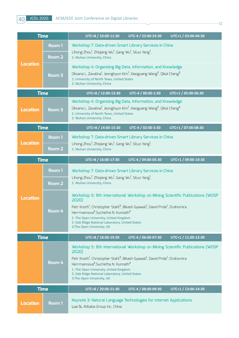| <b>Time</b>     |                             | UTC+8 / 10:00-11:30<br>UTC-4 / 22:00-23:30<br>UTC+1 / 03:00-04:30                                                                                                                                                                                                                                                                                                                                                  |  |  |  |  |  |  |
|-----------------|-----------------------------|--------------------------------------------------------------------------------------------------------------------------------------------------------------------------------------------------------------------------------------------------------------------------------------------------------------------------------------------------------------------------------------------------------------------|--|--|--|--|--|--|
|                 | Room 1<br>Room <sub>2</sub> | Workshop 7: Data-driven Smart Library Services in China<br>Lihong Zhou <sup>1</sup> , Zhiqiang Wu <sup>1</sup> , Gang Wu <sup>1</sup> , Siluo Yang <sup>1</sup> ,<br>1: Wuhan University, China                                                                                                                                                                                                                    |  |  |  |  |  |  |
| <b>Location</b> | Room <sub>3</sub>           | Workshop 4: Organizing Big Data, Information, and Knowledge<br>Oksana L. Zavalina <sup>1</sup> , Jeonghyun Kim <sup>1</sup> , Xiaoguang Wang <sup>2</sup> , Qikai Cheng <sup>2</sup><br>1: University of North Texas, United States<br>2: Wuhan University, China                                                                                                                                                  |  |  |  |  |  |  |
| <b>Time</b>     |                             | UTC-4 / 00:00-1:30<br>UTC+8 / 12:00-13:30<br>UTC+1 / 05:00-06:30                                                                                                                                                                                                                                                                                                                                                   |  |  |  |  |  |  |
| <b>Location</b> | Room <sub>3</sub>           | Workshop 4: Organizing Big Data, Information, and Knowledge<br>Oksana L. Zavalina <sup>1</sup> , Jeonghyun Kim <sup>1</sup> , Xiaoguang Wang <sup>2</sup> , Qikai Cheng <sup>2</sup><br>1: University of North Texas, United States<br>2: Wuhan University, China                                                                                                                                                  |  |  |  |  |  |  |
| <b>Time</b>     |                             | UTC+8 / 14:00-15:30<br>UTC-4 / 02:00-3:30<br>UTC+1 / 07:00-08:30                                                                                                                                                                                                                                                                                                                                                   |  |  |  |  |  |  |
| <b>Location</b> | Room 1                      | Workshop 7: Data-driven Smart Library Services in China<br>Lihong Zhou <sup>1</sup> , Zhiqiang Wu <sup>1</sup> , Gang Wu <sup>1</sup> , Siluo Yang <sup>1</sup> ,                                                                                                                                                                                                                                                  |  |  |  |  |  |  |
|                 | Room 2                      | 1: Wuhan University, China                                                                                                                                                                                                                                                                                                                                                                                         |  |  |  |  |  |  |
| <b>Time</b>     |                             | UTC+8 / 16:00-17:30<br>UTC-4 / 04:00-05:30<br>UTC+1 / 09:00-10:30                                                                                                                                                                                                                                                                                                                                                  |  |  |  |  |  |  |
|                 | Room 1                      | Workshop 7: Data-driven Smart Library Services in China                                                                                                                                                                                                                                                                                                                                                            |  |  |  |  |  |  |
|                 | Room <sub>2</sub>           | Lihong Zhou <sup>1</sup> , Zhiqiang Wu <sup>1</sup> , Gang Wu <sup>1</sup> , Siluo Yang <sup>1</sup> ,<br>1: Wuhan University, China                                                                                                                                                                                                                                                                               |  |  |  |  |  |  |
| <b>Location</b> | Room 4                      | Workshop 5: 8th International Workshop on Mining Scientific Publications (WOSP<br>2020)<br>Petr Knoth <sup>1</sup> , Christopher Stahl <sup>2</sup> , Bikash Gyawali <sup>1</sup> , David Pride <sup>1</sup> , Drahomira<br>Herrmannova <sup>2</sup> , Suchetha N. Kunnath <sup>3</sup><br>1: The Open University, United Kingdom<br>2: Oak Ridge National Laboratory, United States<br>3: The Open University, UK |  |  |  |  |  |  |
| <b>Time</b>     |                             | UTC+8 / 18:00-19:30<br>UTC-4 / 06:00-07:30<br>UTC+1 / 11:00-12:30                                                                                                                                                                                                                                                                                                                                                  |  |  |  |  |  |  |
|                 | Room 4                      | Workshop 5: 8th International Workshop on Mining Scientific Publications (WOSP<br>2020)<br>Petr Knoth <sup>1</sup> , Christopher Stahl <sup>2</sup> , Bikash Gyawali <sup>1</sup> , David Pride <sup>1</sup> , Drahomira<br>Herrmannova <sup>2</sup> , Suchetha N. Kunnath <sup>3</sup><br>1: The Open University, United Kingdom<br>2: Oak Ridge National Laboratory, United States<br>3: The Open University, UK |  |  |  |  |  |  |
| <b>Time</b>     |                             | UTC-4 / 08:00-09:30<br>UTC+8 / 20:00-21:30<br>UTC+1 / 13:00-14:30                                                                                                                                                                                                                                                                                                                                                  |  |  |  |  |  |  |
| <b>Location</b> | Room 1                      | Keynote 3: Natural Language Technologies for Internet Applications<br>Luo Si, Alibaba Group Inc, China                                                                                                                                                                                                                                                                                                             |  |  |  |  |  |  |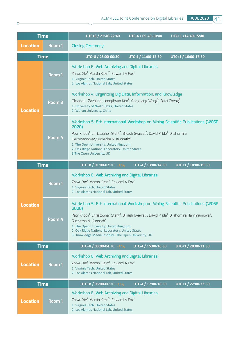| <b>Time</b>     |                   | UTC+8 / 21:40-22:40                                                                                                                                                                                                                                                                                                                                                                                                                           | UTC-4 / 09:40-10:40                                                                                                                                                                                                                 | UTC+1 /14:40-15:40  |  |  |  |  |  |
|-----------------|-------------------|-----------------------------------------------------------------------------------------------------------------------------------------------------------------------------------------------------------------------------------------------------------------------------------------------------------------------------------------------------------------------------------------------------------------------------------------------|-------------------------------------------------------------------------------------------------------------------------------------------------------------------------------------------------------------------------------------|---------------------|--|--|--|--|--|
| <b>Location</b> | Room 1            | <b>Closing Ceremony</b>                                                                                                                                                                                                                                                                                                                                                                                                                       |                                                                                                                                                                                                                                     |                     |  |  |  |  |  |
| <b>Time</b>     |                   | UTC+8 / 23:00-00:30                                                                                                                                                                                                                                                                                                                                                                                                                           | UTC-4 / 11:00-12:30                                                                                                                                                                                                                 | UTC+1 / 16:00-17:30 |  |  |  |  |  |
|                 | Room 1            | Workshop 6: Web Archiving and Digital Libraries<br>Zhiwu Xie <sup>1</sup> , Martin Klein <sup>2</sup> , Edward A Fox <sup>1</sup><br>1: Virginia Tech, United States<br>2: Los Alamos National Lab, United States                                                                                                                                                                                                                             |                                                                                                                                                                                                                                     |                     |  |  |  |  |  |
| <b>Location</b> | Room <sub>3</sub> | 2: Wuhan University, China                                                                                                                                                                                                                                                                                                                                                                                                                    | Workshop 4: Organizing Big Data, Information, and Knowledge<br>Oksana L. Zavalina <sup>1</sup> , Jeonghyun Kim <sup>1</sup> , Xiaoguang Wang <sup>2</sup> , Qikai Cheng <sup>2</sup><br>1: University of North Texas, United States |                     |  |  |  |  |  |
|                 | Room 4            | Workshop 5: 8th International Workshop on Mining Scientific Publications (WOSP<br>2020)<br>Petr Knoth <sup>1</sup> , Christopher Stahl <sup>2</sup> , Bikash Gyawali <sup>1</sup> , David Pride <sup>1</sup> , Drahomira<br>Herrmannova <sup>2</sup> , Suchetha N. Kunnath <sup>3</sup><br>1: The Open University, United Kingdom<br>2: Oak Ridge National Laboratory, United States<br>3: The Open University, UK                            |                                                                                                                                                                                                                                     |                     |  |  |  |  |  |
| <b>Time</b>     |                   | UTC+8 / 01:00-02:30 +1Day                                                                                                                                                                                                                                                                                                                                                                                                                     | UTC-4 / 13:00-14:30                                                                                                                                                                                                                 | UTC+1 / 18:00-19:30 |  |  |  |  |  |
|                 | Room 1            | Workshop 6: Web Archiving and Digital Libraries<br>Zhiwu Xie <sup>1</sup> , Martin Klein <sup>2</sup> , Edward A Fox <sup>1</sup><br>1: Virginia Tech, United States<br>2: Los Alamos National Lab, United States                                                                                                                                                                                                                             |                                                                                                                                                                                                                                     |                     |  |  |  |  |  |
| <b>Location</b> | Room 4            | Workshop 5: 8th International Workshop on Mining Scientific Publications (WOSP<br>2020)<br>Petr Knoth <sup>1</sup> , Christopher Stahl <sup>2</sup> , Bikash Gyawali <sup>1</sup> , David Pride <sup>1</sup> , Drahomira Herrmannova <sup>2</sup> ,<br>Suchetha N. Kunnath <sup>3</sup><br>1: The Open University, United Kingdom<br>2: Oak Ridge National Laboratory, United States<br>3: Knowledge Media institute, The Open University, UK |                                                                                                                                                                                                                                     |                     |  |  |  |  |  |
| <b>Time</b>     |                   | UTC+8 / 03:00-04:30 +1Day                                                                                                                                                                                                                                                                                                                                                                                                                     | UTC-4 / 15:00-16:30                                                                                                                                                                                                                 | UTC+1 / 20:00-21:30 |  |  |  |  |  |
| <b>Location</b> | Room 1            | Workshop 6: Web Archiving and Digital Libraries<br>Zhiwu Xie <sup>1</sup> , Martin Klein <sup>2</sup> , Edward A Fox <sup>1</sup><br>1: Virginia Tech, United States<br>2: Los Alamos National Lab, United States                                                                                                                                                                                                                             |                                                                                                                                                                                                                                     |                     |  |  |  |  |  |
| <b>Time</b>     |                   | UTC+8 / 05:00-06:30 +1Day                                                                                                                                                                                                                                                                                                                                                                                                                     | UTC-4 / 17:00-18:30                                                                                                                                                                                                                 | UTC+1 / 22:00-23:30 |  |  |  |  |  |
| <b>Location</b> | Room 1            | Workshop 6: Web Archiving and Digital Libraries<br>Zhiwu Xie <sup>1</sup> , Martin Klein <sup>2</sup> , Edward A Fox <sup>1</sup><br>1: Virginia Tech, United States<br>2: Los Alamos National Lab, United States                                                                                                                                                                                                                             |                                                                                                                                                                                                                                     |                     |  |  |  |  |  |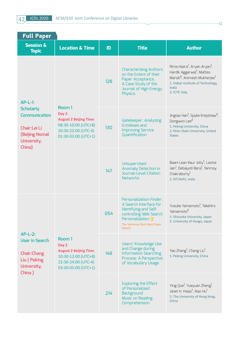| <b>Full Paper</b>                                                                                          |                                                                                                                        |     |                                                                                                                                                                         |                                                                                                                                                                                                                         |
|------------------------------------------------------------------------------------------------------------|------------------------------------------------------------------------------------------------------------------------|-----|-------------------------------------------------------------------------------------------------------------------------------------------------------------------------|-------------------------------------------------------------------------------------------------------------------------------------------------------------------------------------------------------------------------|
| <b>Session &amp;</b><br><b>Topic</b>                                                                       | <b>Location &amp; Time</b>                                                                                             | ID  | <b>Title</b>                                                                                                                                                            | <b>Author</b>                                                                                                                                                                                                           |
| $AP-L-1$ :                                                                                                 |                                                                                                                        | 128 | <b>Characterising Authors</b><br>on the Extent of their<br>Paper Acceptance:<br>A Case Study of the<br>Journal of High Energy<br>Physics                                | Rima Hazra <sup>1</sup> , Aryan Aryan <sup>1</sup> ,<br>Hardik Aggarwal <sup>1</sup> , Matteo<br>Marsili <sup>2</sup> , Animesh Mukherjee <sup>1</sup><br>1: Indian Institute of Technology,<br>India<br>2: ICTP, Italy |
| <b>Scholarly</b><br><b>Communication</b><br>Chair:Lei Li<br><b>(Beijing Nomal</b><br>University,<br>China) | Room 1<br>Day 2<br><b>August 2 Beijing Time</b><br>08:30-10:00 (UTC+8)<br>20:30-22:00 (UTC-4)<br>$01:30-03:00$ (UTC+1) | 130 | Gatekeeper: Analyzing<br><b>G-Indexes and</b><br><b>Improving Service</b><br>Quantification                                                                             | Jingtao Han <sup>1</sup> , Spyke Krepshaw <sup>2</sup> ,<br>Dongwon Lee <sup>2</sup><br>1: Peking University, China<br>2: Penn State University, United<br><b>States</b>                                                |
|                                                                                                            |                                                                                                                        | 147 | Unsupervised<br>Anomaly Detection in<br><b>Journal-Level Citation</b><br><b>Networks</b>                                                                                | Baani Lean Kaur Jolly <sup>1</sup> , Lavina<br>Jain <sup>1</sup> , Debajyoti Bera <sup>1</sup> , Tanmoy<br>Chakraborty <sup>1</sup><br>1: IIIT-Delhi, India                                                             |
|                                                                                                            |                                                                                                                        | 054 | Personalization Finder:<br>A Search Interface for<br>Identifying and Self-<br>controlling Web Search<br>Personalization $\Psi$<br>The Vannevar Bush Best Paper<br>Award | Yusuke Yamamoto <sup>1</sup> , Takehiro<br>Yamamoto <sup>2</sup><br>1: Shizuoka University, Japan<br>2: University of Hyogo, Japan                                                                                      |
| $AP-L-2$ :<br><b>User in Search</b><br><b>Chair:Chang</b><br>Liu (Peking<br>University,<br>China)          | Room 1<br>Day 2<br><b>August 2 Beijing Time</b><br>10:30-12:00 (UTC+8)<br>22:30-24:00 (UTC-4)<br>03:30-05:00 (UTC+1)   | 148 | Users' Knowledge Use<br>and Change during<br><b>Information Searching</b><br>Process: A Perspective<br>of Vocabulary Usage                                              | Yao Zhang <sup>1</sup> , Chang Liu <sup>1</sup><br>1: Peking University, China                                                                                                                                          |
|                                                                                                            |                                                                                                                        | 214 | <b>Exploring the Effect</b><br>of Personalized<br><b>Background</b><br><b>Music on Reading</b><br>Comprehension                                                         | Ying Que <sup>1</sup> , Yueyuan Zheng <sup>1</sup> ,<br>Janet H. Hsiao <sup>1</sup> , Xiao Hu <sup>1</sup><br>1: The University of Hong Kong,<br>China                                                                  |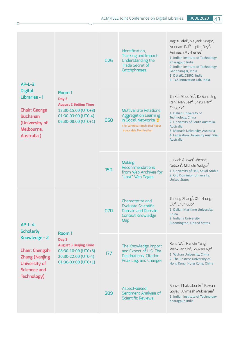| $AP-L-3$ :<br><b>Digital</b><br><b>Libraries - 1</b><br><b>Chair: George</b><br><b>Buchanan</b><br>(University of<br>Melbourne,<br>Australia)             | Room 1<br>Day 2<br><b>August 2 Beijing Time</b><br>13:30-15:00 (UTC+8)<br>01:30-03:00 (UTC-4)<br>06:30-08:00 (UTC+1)   | 026 | Identification,<br>Tracking and Impact:<br>Understanding the<br><b>Trade Secret of</b><br>Catchphrases                                            | Jagriti Jalal <sup>1</sup> , Mayank Singh <sup>2</sup> ,<br>Arindam Pal <sup>3</sup> , Lipika Dey <sup>4</sup> ,<br>Animesh Mukherjee <sup>1</sup><br>1: Indian Institute of Technology<br>Kharagpur, India<br>2: Indian Institute of Technology<br>Gandhinagar, India<br>3: Data61, CSIRO, India<br>4: TCS Innovation Lab, India                                               |
|-----------------------------------------------------------------------------------------------------------------------------------------------------------|------------------------------------------------------------------------------------------------------------------------|-----|---------------------------------------------------------------------------------------------------------------------------------------------------|---------------------------------------------------------------------------------------------------------------------------------------------------------------------------------------------------------------------------------------------------------------------------------------------------------------------------------------------------------------------------------|
|                                                                                                                                                           |                                                                                                                        | 050 | <b>Multivariate Relations</b><br><b>Aggregation Learning</b><br>in Social Networks<br>The Vannevar Bush Best Paper<br><b>Honorable Nomination</b> | Jin Xu <sup>1</sup> , Shuo Yu <sup>1</sup> , Ke Sun <sup>1</sup> , Jing<br>Ren <sup>1</sup> , Ivan Lee <sup>2</sup> , Shirui Pan <sup>3</sup> .<br>Feng Xia <sup>4</sup><br>1: Dalian University of<br><b>Technology, China</b><br>2: University of South Australia,<br><b>Australia</b><br>3: Monash University, Australia<br>4: Federation University Australia,<br>Australia |
|                                                                                                                                                           |                                                                                                                        | 150 | Making<br><b>Recommendations</b><br>from Web Archives for<br>"Lost" Web Pages                                                                     | Lulwah Alkwai <sup>1</sup> , Michael<br>Nelson <sup>2</sup> , Michele Weigle <sup>2</sup><br>1: University of Hail, Saudi Arabia<br>2: Old Dominion University,<br><b>United States</b>                                                                                                                                                                                         |
| $AP-L-4$ :<br><b>Scholarly</b><br>Knowledge - 2<br><b>Chair: Chengzhi</b><br><b>Zhang (Nanjing</b><br>University of<br><b>Scienece and</b><br>Technology) | Room 1<br>Day 3<br><b>August 3 Beijing Time</b><br>08:30-10:00 (UTC+8)<br>20:30-22:00 (UTC-4)<br>$01:30-03:00$ (UTC+1) | 070 | Characterize and<br>Evaluate Scientific<br><b>Domain and Domain</b><br>Context Knowledge<br>Map                                                   | Jinsong Zhang <sup>1</sup> , Xiaozhong<br>Liu <sup>2</sup> , Chun Guo <sup>2</sup><br>1: Dalian Maritime University,<br>China<br>2: Indiana University<br><b>Bloomington, United States</b>                                                                                                                                                                                     |
|                                                                                                                                                           |                                                                                                                        | 177 | The Knowledge Import<br>and Export of LIS: The<br><b>Destinations, Citation</b><br>Peak Lag, and Changes                                          | Renli Wu <sup>1</sup> , Hanqin Yang <sup>1</sup> ,<br>Wenxuan Shi <sup>1</sup> , Shuksin Ng <sup>2</sup><br>1: Wuhan University, China<br>2: The Chinese University of<br>Hong Kong, Hong Kong, China                                                                                                                                                                           |
|                                                                                                                                                           |                                                                                                                        | 209 | Aspect-based<br>Sentiment Analysis of<br><b>Scientific Reviews</b>                                                                                | Souvic Chakraborty <sup>1</sup> , Pawan<br>Goyal <sup>1</sup> , Animesh Mukherjee <sup>1</sup><br>1: Indian Institute of Technology<br>Kharagpur, India                                                                                                                                                                                                                         |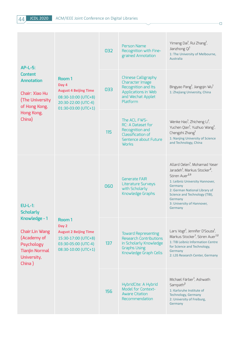| <b>AP-L-5:</b>                                                                                                                                                | Room 1<br>Day 4<br><b>August 4 Beijing Time</b><br>08:30-10:00 (UTC+8)<br>20:30-22:00 (UTC-4)<br>01:30-03:00 (UTC+1) | 032 | <b>Person Name</b><br>Recognition with Fine-<br>grained Annotation                                                                    | Yimeng Dai <sup>1</sup> , Rui Zhang <sup>1</sup> ,<br>Jianzhong Qi <sup>1</sup><br>1: The University of Melbourne,<br>Australia                                                                                                                                                                    |
|---------------------------------------------------------------------------------------------------------------------------------------------------------------|----------------------------------------------------------------------------------------------------------------------|-----|---------------------------------------------------------------------------------------------------------------------------------------|----------------------------------------------------------------------------------------------------------------------------------------------------------------------------------------------------------------------------------------------------------------------------------------------------|
| <b>Content</b><br><b>Annotation</b><br>Chair: Xiao Hu<br>(The University<br>of Hong Kong,<br>Hong Kong,<br>China)                                             |                                                                                                                      | 033 | <b>Chinese Calligraphy</b><br>Character Image<br><b>Recognition and Its</b><br>Applications in Web<br>and Wechat Applet<br>Platform   | Bingyao Pang <sup>1</sup> , Jiangqin Wu <sup>1</sup><br>1: Zhejiang University, China                                                                                                                                                                                                              |
|                                                                                                                                                               |                                                                                                                      | 115 | The ACL FWS-<br>RC: A Dataset for<br>Recognition and<br><b>Classification of</b><br>Sentence about Future<br><b>Works</b>             | Wenke Hao <sup>1</sup> , Zhicheng Li <sup>1</sup> ,<br>Yuchen Qian <sup>1</sup> , Yuzhuo Wang <sup>1</sup> ,<br>Chengzhi Zhang <sup>1</sup><br>1: Nanjing University of Science<br>and Technology, China                                                                                           |
| $EU-L-1:$<br><b>Scholarly</b><br>Knowledge - 1<br><b>Chair:Lin Wang</b><br>(Academy of<br><b>Psychology</b><br><b>Tianjin Normal</b><br>University,<br>China) | Room 1<br>Day 2<br><b>August 2 Beijing Time</b><br>15:30-17:00 (UTC+8)<br>03:30-05:00 (UTC-4)<br>08:30-10:00 (UTC+1) | 060 | Generate FAIR<br>Literature Surveys<br>with Scholarly<br>Knowledge Graphs                                                             | Allard Oelen <sup>1</sup> , Mohamad Yaser<br>Jaradeh <sup>1</sup> , Markus Stocker <sup>2</sup> ,<br>Sören Auer <sup>2,3</sup><br>1: Leibniz University Hannover,<br>Germany<br>2: German National Library of<br>Science and Technology (TIB),<br>Germany<br>3: University of Hannover,<br>Germany |
|                                                                                                                                                               |                                                                                                                      | 137 | <b>Toward Representing</b><br><b>Research Contributions</b><br>in Scholarly Knowledge<br><b>Graphs Using</b><br>Knowledge Graph Cells | Lars Vogt <sup>1</sup> , Jennifer D'Souza <sup>1</sup> ,<br>Markus Stocker <sup>1</sup> , Sören Auer <sup>1,2</sup><br>1: TIB Leibniz Information Centre<br>for Science and Technology,<br>Germany<br>2: L3S Research Center, Germany                                                              |
|                                                                                                                                                               |                                                                                                                      | 156 | HybridCite: A Hybrid<br><b>Model for Context-</b><br><b>Aware Citation</b><br>Recommendation                                          | Michael Färber <sup>1</sup> , Ashwath<br>Sampath <sup>2</sup><br>1: Karlsruhe Institute of<br><b>Technology, Germany</b><br>2: University of Freiburg,<br>Germany                                                                                                                                  |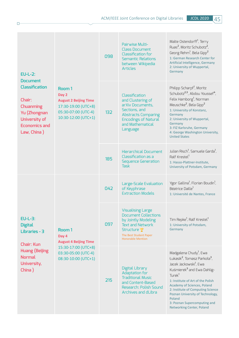| <b>EU-L-2:</b><br><b>Document</b><br><b>Classification</b><br>Chair:<br>Chuanming<br>Yu (Zhongnan<br>University of<br><b>Economics and</b><br>Law, China) | Room 1<br>Day 2<br><b>August 2 Beijing Time</b><br>17:30-19:00 (UTC+8)<br>05:30-07:00 (UTC-4)<br>10:30-12:00 (UTC+1) | 098 | Pairwise Multi-<br><b>Class Document</b><br><b>Classification for</b><br><b>Semantic Relations</b><br>between Wikipedia<br><b>Articles</b>                                            | Malte Ostendorff <sup>1</sup> , Terry<br>Ruas <sup>2</sup> , Moritz Schubotz <sup>2</sup> ,<br>Georg Rehm <sup>1</sup> , Bela Gipp <sup>2</sup><br>1: German Research Center for<br>Artificial Intelligence, Germany<br>2: University of Wuppertal,<br>Germany                                                                                                                                                              |
|-----------------------------------------------------------------------------------------------------------------------------------------------------------|----------------------------------------------------------------------------------------------------------------------|-----|---------------------------------------------------------------------------------------------------------------------------------------------------------------------------------------|-----------------------------------------------------------------------------------------------------------------------------------------------------------------------------------------------------------------------------------------------------------------------------------------------------------------------------------------------------------------------------------------------------------------------------|
|                                                                                                                                                           |                                                                                                                      | 132 | Classification<br>and Clustering of<br>arXiv Documents,<br>Sections, and<br><b>Abstracts Comparing</b><br><b>Encodings of Natural</b><br>and Mathematical<br>Language                 | Philipp Scharpf <sup>1</sup> , Moritz<br>Schubotz <sup>2,3</sup> , Abdou Youssef <sup>4</sup> ,<br>Felix Hamborg <sup>1</sup> , Norman<br>Meuschke <sup>2</sup> , Bela Gipp <sup>2</sup><br>1: University of Konstanz,<br>Germany<br>2: University of Wuppertal,<br>Germany<br>3: FIZ Karlsruhe, Germany<br>4: George Washington University,<br><b>United States</b>                                                        |
|                                                                                                                                                           |                                                                                                                      | 185 | <b>Hierarchical Document</b><br>Classification as a<br><b>Sequence Generation</b><br>Task                                                                                             | Julian Risch <sup>1</sup> , Samuele Garda <sup>1</sup> ,<br>Ralf Krestel <sup>1</sup><br>1: Hasso-Plattner-Institute,<br>University of Potsdam, Germany                                                                                                                                                                                                                                                                     |
| $EU-L-3:$<br><b>Digital</b><br>Libraries - 3<br>Chair: Kun<br><b>Huang (Beijing</b><br><b>Normal</b><br>University,<br>China)                             | Room 1<br>Day 4<br><b>August 4 Beijing Time</b><br>15:30-17:00 (UTC+8)<br>03:30-05:00 (UTC-4)<br>08:30-10:00 (UTC+1) | 042 | Large-Scale Evaluation<br>of Keyphrase<br><b>Extraction Models</b>                                                                                                                    | Ygor Gallina <sup>1</sup> , Florian Boudin <sup>1</sup> ,<br>Béatrice Daille <sup>1</sup><br>1: Université de Nantes, France                                                                                                                                                                                                                                                                                                |
|                                                                                                                                                           |                                                                                                                      | 097 | <b>Visualising Large</b><br><b>Document Collections</b><br>by Jointly Modeling<br><b>Text and Network</b><br><b>Structure</b> ♥<br>The Best Student Paper<br><b>Honorable Mention</b> | Tim Repke <sup>1</sup> , Ralf Krestel <sup>1</sup><br>1: University of Potsdam,<br>Germany                                                                                                                                                                                                                                                                                                                                  |
|                                                                                                                                                           |                                                                                                                      | 215 | Digital Library<br><b>Adaptation for</b><br><b>Traditional Music</b><br>and Content-Based<br>Research: Polish Sound<br>Archives and dLibra                                            | Madgalena Chudy <sup>1</sup> , Ewa<br>Łukasik <sup>2</sup> , Tomasz Parkoła <sup>3</sup> ,<br>Jacek Jackowski <sup>1</sup> , Ewa<br>Kuśmierek <sup>3</sup> and Ewa Dahlig-<br>Turek <sup>1</sup><br>1: Institute of Art of the Polish<br>Academy of Sciences, Poland<br>2: Institute of Computing Science<br>Poznan University of Technology,<br>Poland<br>3: Poznan Supercomputing and<br><b>Networking Center, Poland</b> |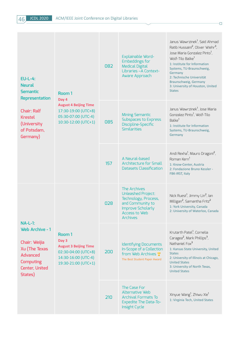| $EU-L-4:$<br><b>Neural</b><br><b>Semantic</b><br><b>Representation</b><br><b>Chair: Ralf</b><br><b>Krestel</b><br>(University<br>of Potsdam,<br>Germany) | Room 1<br>Day 4<br><b>August 4 Beijing Time</b><br>17:30-19:00 (UTC+8)<br>05:30-07:00 (UTC-4)<br>10:30-12:00 (UTC+1) | 082 | Explainable Word-<br>Embeddings for<br><b>Medical Digital</b><br>Libraries - A Context-<br>Aware Approach                                             | Janus Wawrzinek <sup>1</sup> , Said Ahmad<br>Ratib Hussaini <sup>2</sup> , Oliver Wiehr <sup>3</sup> ,<br>Jose Maria Gonzalez Pinto <sup>1</sup> ,<br>Wolf-Tilo Balke <sup>1</sup><br>1: Institute for Information<br>Systems, TU-Braunschweig,<br>Germany<br>2: Technische Universität<br>Braunschweig, Germany<br>3: University of Houston, United<br><b>States</b> |
|----------------------------------------------------------------------------------------------------------------------------------------------------------|----------------------------------------------------------------------------------------------------------------------|-----|-------------------------------------------------------------------------------------------------------------------------------------------------------|-----------------------------------------------------------------------------------------------------------------------------------------------------------------------------------------------------------------------------------------------------------------------------------------------------------------------------------------------------------------------|
|                                                                                                                                                          |                                                                                                                      | 085 | <b>Mining Semantic</b><br><b>Subspaces to Express</b><br>Discipline-Specific<br><b>Similarities</b>                                                   | Janus Wawrzinek <sup>1</sup> , Jose Maria<br>Gonzalez Pinto <sup>1</sup> , Wolf-Tilo<br>Balke <sup>1</sup><br>1: Institute for Information<br>Systems, TU-Braunschweig,<br>Germany                                                                                                                                                                                    |
|                                                                                                                                                          |                                                                                                                      | 157 | A Neural-based<br>Architecture for Small<br><b>Datasets Classification</b>                                                                            | Andi Rexha <sup>1</sup> , Mauro Dragoni <sup>2</sup> ,<br>Roman Kern <sup>1</sup><br>1: Know-Center, Austria<br>2: Fondazione Bruno Kessler -<br>FBK-IRST, Italy                                                                                                                                                                                                      |
| $NA-L-1$ :<br>Web Archive - 1<br>Chair: Weijia<br>Xu (The Texas<br><b>Advanced</b><br><b>Computing</b><br><b>Center, United</b><br>States)               | Room 1<br>Day 3<br><b>August 3 Beijing Time</b><br>02:30-04:00 (UTC+8)<br>14:30-16:00 (UTC-4)<br>19:30-21:00 (UTC+1) | 028 | The Archives<br><b>Unleashed Project:</b><br>Technology, Process,<br>and Community to<br><b>Improve Scholarly</b><br>Access to Web<br><b>Archives</b> | Nick Ruest <sup>1</sup> , Jimmy Lin <sup>2</sup> , lan<br>Milligan <sup>2</sup> , Samantha Fritz <sup>2</sup><br>1: York University, Canada<br>2: University of Waterloo, Canada                                                                                                                                                                                      |
|                                                                                                                                                          |                                                                                                                      | 200 | Identifying Documents<br>In-Scope of a Collection<br>from Web Archives<br>The Best Student Paper Award                                                | Krutarth Patel <sup>1</sup> , Cornelia<br>Caragea <sup>2</sup> , Mark Phillips <sup>3</sup> ,<br>Nathaniel Fox <sup>3</sup><br>1: Kansas State University, United<br><b>States</b><br>2: University of Illinois at Chicago,<br><b>United States</b><br>3: University of North Texas,<br><b>United States</b>                                                          |
|                                                                                                                                                          |                                                                                                                      | 210 | The Case For<br>Alternative Web<br><b>Archival Formats To</b><br><b>Expedite The Data-To-</b><br>Insight Cycle                                        | Xinyue Wang <sup>1</sup> , Zhiwu Xie <sup>1</sup><br>1: Virginia Tech, United States                                                                                                                                                                                                                                                                                  |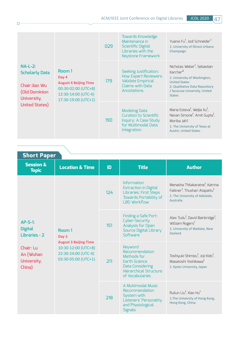| $NA-L-2$ :<br><b>Scholarly Data</b><br>Chair: Jian Wu<br>(Old Dominion<br>University,<br><b>United States)</b> | Room 1<br>Day 4<br><b>August 4 Beijing Time</b><br>00:30-02:00 (UTC+8)<br>12:30-14:00 (UTC-4)<br>17:30-19:00 (UTC+1) | 029 | <b>Towards Knowledge</b><br>Maintenance in<br>Scientific Digital<br>Libraries with the<br>Keystone Framework          | Yuanxi Fu <sup>1</sup> , Jodi Schneider <sup>1</sup><br>1: University of Illinois Urbana<br>Champaign                                                                                                       |
|----------------------------------------------------------------------------------------------------------------|----------------------------------------------------------------------------------------------------------------------|-----|-----------------------------------------------------------------------------------------------------------------------|-------------------------------------------------------------------------------------------------------------------------------------------------------------------------------------------------------------|
|                                                                                                                |                                                                                                                      | 179 | Seeking Justification:<br><b>How Expert Reviewers</b><br>Validate Empirical<br>Claims with Data<br><b>Annotations</b> | Nicholas Weber <sup>1</sup> , Sebastian<br>Karcher <sup>2</sup><br>1: University of Washington,<br><b>United States</b><br>2: Qualitative Data Repository<br>/ Syracuse University, United<br><b>States</b> |
|                                                                                                                |                                                                                                                      | 190 | <b>Modeling Data</b><br><b>Curation to Scientific</b><br>Inquiry: A Case Study<br>for Multimodal Data<br>Integration  | Maria Esteva <sup>1</sup> , Weijia Xu <sup>1</sup> ,<br>Nevan Simone <sup>1</sup> , Amit Gupta <sup>1</sup> ,<br>Moriba Jah1<br>1: The University of Texas at<br><b>Austin, United States</b>               |

| <b>Short Paper</b>                              |                                                                                                                      |     |                                                                                                                                                 |                                                                                                                                                     |  |
|-------------------------------------------------|----------------------------------------------------------------------------------------------------------------------|-----|-------------------------------------------------------------------------------------------------------------------------------------------------|-----------------------------------------------------------------------------------------------------------------------------------------------------|--|
| <b>Session &amp;</b><br><b>Topic</b>            | <b>Location &amp; Time</b>                                                                                           | ID  | <b>Title</b>                                                                                                                                    | <b>Author</b>                                                                                                                                       |  |
|                                                 | Room 1<br>Day 3<br><b>August 3 Beijing Time</b><br>10:30-12:00 (UTC+8)<br>22:30-24:00 (UTC-4)<br>03:30-05:00 (UTC+1) | 124 | <b>Information</b><br><b>Extraction in Digital</b><br><b>Libraries: First Steps</b><br>Towards Portability of<br><b>LBD Workflow</b>            | Menasha Thilakaratne <sup>1</sup> , Katrina<br>Falkner <sup>1</sup> , Thushari Atapattu <sup>1</sup><br>1: The University of Adelaide,<br>Australia |  |
| $AP-S-1$ :<br><b>Digital</b><br>Libraries - 2   |                                                                                                                      | 151 | Finding a Safe Port:<br>Cyber-Security<br>Analysis for Open<br>Source Digital Library<br>Software                                               | Alex Tudu <sup>1</sup> , David Bainbridge <sup>1</sup> ,<br>William Rogers <sup>1</sup><br>1: University of Waikato, New<br>Zealand                 |  |
| Chair: Lu<br>An (Wuhan<br>University,<br>China) |                                                                                                                      | 211 | Keyword<br>Recommendation<br>Methods for<br><b>Earth Science</b><br><b>Data Considering</b><br><b>Hierarchical Structure</b><br>of Vocabularies | Toshiyuki Shimizu <sup>1</sup> , Joji Kido <sup>1</sup> ,<br>Masatoshi Yoshikawa <sup>1</sup><br>1: Kyoto University, Japan                         |  |
|                                                 |                                                                                                                      | 218 | A Multimodal Music<br>Recommendation<br>System with<br>Listeners' Personality<br>and Physiological<br><b>Signals</b>                            | Ruilun Liu <sup>1</sup> , Xiao Hu <sup>1</sup><br>1: The University of Hong Kong,<br>Hong Kong, China                                               |  |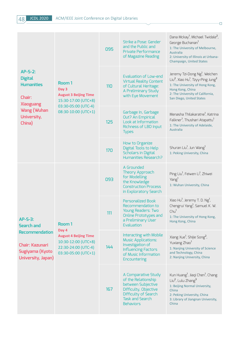| $AP-S-2$ :<br><b>Digital</b><br><b>Humanities</b><br>Chair:<br><b>Xiaoguang</b><br><b>Wang (Wuhan</b><br>University,<br>China) | Room 1<br>Day 3<br><b>August 3 Beijing Time</b><br>15:30-17:00 (UTC+8)<br>03:30-05:00 (UTC-4)<br>08:30-10:00 (UTC+1) | 095 | Strike a Pose: Gender<br>and the Public and<br><b>Private Performance</b><br>of Magazine Reading                                                                | Dana Mckay <sup>1</sup> , Michael Twidale <sup>2</sup> ,<br>George Buchanan <sup>1</sup><br>1: The University of Melbourne,<br>Australia<br>2: University of Illinois at Urbana-<br><b>Champaign, United States</b>                       |
|--------------------------------------------------------------------------------------------------------------------------------|----------------------------------------------------------------------------------------------------------------------|-----|-----------------------------------------------------------------------------------------------------------------------------------------------------------------|-------------------------------------------------------------------------------------------------------------------------------------------------------------------------------------------------------------------------------------------|
|                                                                                                                                |                                                                                                                      | 110 | <b>Evaluation of Low-end</b><br><b>Virtual Reality Content</b><br>of Cultural Heritage:<br>A Preliminary Study<br>with Eye Movement                             | Jeremy Tzi-Dong Ng <sup>1</sup> , Weichen<br>Liu <sup>2</sup> , Xiao Hu <sup>1</sup> , Tzyy-Ping Jung <sup>2</sup><br>1: The University of Hong Kong,<br>Hong Kong, China<br>2: The University of California,<br>San Diego, United States |
|                                                                                                                                |                                                                                                                      | 125 | Garbage In, Garbage<br>Out? An Empirical<br>Look at Information<br>Richness of LBD Input<br><b>Types</b>                                                        | Menasha Thilakaratne <sup>1</sup> , Katrina<br>Falkner <sup>1</sup> , Thushari Atapattu <sup>1</sup><br>1: The University of Adelaide,<br><b>Australia</b>                                                                                |
|                                                                                                                                |                                                                                                                      | 170 | How to Organize<br>Digital Tools to Help<br><b>Scholars in Digital</b><br>Humanities Research?                                                                  | Shuran Liu <sup>1</sup> , Jun Wang <sup>1</sup><br>1: Peking University, China                                                                                                                                                            |
| $AP-S-3$ :<br><b>Search and</b><br><b>Recommendation</b><br>Chair: Kazunari<br>Sugiyama (Kyoto<br>University, Japan)           | Room 1<br>Day 4<br><b>August 4 Beijing Time</b><br>10:30-12:00 (UTC+8)<br>22:30-24:00 (UTC-4)<br>03:30-05:00 (UTC+1) | 093 | A Grounded<br>Theory Approach<br>for Modelling<br>the Knowledge<br><b>Construction Process</b><br>in Exploratory Search                                         | Ping Liu <sup>1</sup> , Feiwen Li <sup>1</sup> , Zhiwei<br>Yang <sup>1</sup><br>1: Wuhan University, China                                                                                                                                |
|                                                                                                                                |                                                                                                                      | 111 | <b>Personalized Book</b><br>Recommendation to<br>Young Readers: Two<br><b>Online Prototypes and</b><br>a Preliminary User<br>Evaluation                         | Xiao Hu <sup>1</sup> , Jeremy T. D. Ng <sup>1</sup> ,<br>Chengrui Yang <sup>1</sup> , Samuel K. W.<br>Chu <sup>1</sup><br>1: The University of Hong Kong,<br>Hong Kong, China                                                             |
|                                                                                                                                |                                                                                                                      | 144 | Interacting with Mobile<br><b>Music Applications:</b><br>Investigation of<br><b>Influencing Factors</b><br>of Music Information<br>Encountering                 | Xiang Xue <sup>1</sup> , Shijie Song <sup>2</sup> ,<br>Yuxiang Zhao <sup>1</sup><br>1: Nanjing University of Science<br>and Technology, China<br>2: Nanjing University, China                                                             |
|                                                                                                                                |                                                                                                                      | 167 | A Comparative Study<br>of the Relationship<br>between Subjective<br>Difficulty, Objective<br>Difficulty of Search<br><b>Task and Search</b><br><b>Behaviors</b> | Kun Huang <sup>1</sup> , Jiaqi Chen <sup>1</sup> , Chang<br>Liu <sup>2</sup> , Lulu Zhang <sup>3</sup><br>1: Beijing Normal University,<br>China<br>2: Peking University, China<br>3: Library of Jiangnan University,<br>China            |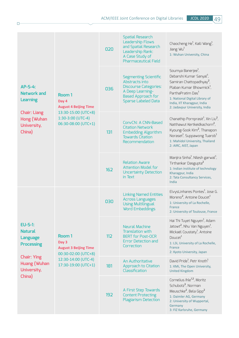|                                                                                                                                                                                                                                                          |                                                                                                                                                                                     | 020                                                                                                               | <b>Spatial Research</b><br>Leadership Flows<br>and Spatial Research<br>Leadership Rank:<br>A Case Study of<br><b>Pharmaceutical Field</b>                                                                                                       | Chaocheng He <sup>1</sup> , Kaili Wang <sup>1</sup> ,<br>Jiang Wu <sup>1</sup><br>1: Wuhan University, China                                                                                                                                                                              |
|----------------------------------------------------------------------------------------------------------------------------------------------------------------------------------------------------------------------------------------------------------|-------------------------------------------------------------------------------------------------------------------------------------------------------------------------------------|-------------------------------------------------------------------------------------------------------------------|-------------------------------------------------------------------------------------------------------------------------------------------------------------------------------------------------------------------------------------------------|-------------------------------------------------------------------------------------------------------------------------------------------------------------------------------------------------------------------------------------------------------------------------------------------|
| $AP-S-4$ :<br><b>Network and</b><br>Learning                                                                                                                                                                                                             | Room 1<br>Day 4<br><b>August 4 Beijing Time</b><br><b>Chair: Liang</b><br>13:30-15:00 (UTC+8)<br>$1:30-3:00$ (UTC-4)<br>Hong (Wuhan<br>06:30-08:00 (UTC+1)<br>University,<br>China) | 036                                                                                                               | <b>Segmenting Scientific</b><br>Abstracts into<br><b>Discourse Categories:</b><br>A Deep Learning-<br><b>Based Approach for</b><br><b>Sparse Labeled Data</b>                                                                                   | Soumya Banerjee <sup>1</sup> ,<br>Debarshi Kumar Sanyal <sup>1</sup> ,<br>Samiran Chattopadhyay <sup>2</sup> ,<br>Plaban Kumar Bhowmick <sup>1</sup> ,<br>ParthaPratim Das <sup>1</sup><br>1: National Digital Library of<br>India, IIT Kharagpur, India<br>2: Jadavpur University, India |
|                                                                                                                                                                                                                                                          |                                                                                                                                                                                     | 131                                                                                                               | ConvCN: A CNN-Based<br><b>Citation Network</b><br><b>Embedding Algorithm</b><br><b>Towards Citation</b><br>Recommendation                                                                                                                       | Chanathip Pornprasit <sup>1</sup> , Xin Liu <sup>2</sup> ,<br>Natthawut Kertkeidkachorn <sup>2</sup> .<br>Kyoung-Sook Kim <sup>2</sup> , Thanapon<br>Noraset <sup>1</sup> , Suppawong Tuarob <sup>1</sup><br>1: Mahidol University, Thailand<br>2: AIRC, AIST, Japan                      |
|                                                                                                                                                                                                                                                          |                                                                                                                                                                                     | 162                                                                                                               | <b>Relation Aware</b><br><b>Attention Model for</b><br><b>Uncertainty Detection</b><br>in Text                                                                                                                                                  | Manjira Sinha <sup>1</sup> , Nilesh garwal <sup>1</sup> ,<br>Tirthankar Dasgupta <sup>2</sup><br>1: Indian institute of technology<br>Kharagpur, India<br>2: Tata Consultancy Services,<br>India                                                                                          |
| <b>EU-S-1:</b><br><b>Natural</b><br>Room 1<br>Language<br>Day 3<br><b>Processing</b><br><b>August 3 Beijing Time</b><br>00:30-02:00 (UTC+8)<br><b>Chair: Ying</b><br>12:30-14:00 (UTC-4)<br>Huang (Wuhan<br>17:30-19:00 (UTC+1)<br>University,<br>China) |                                                                                                                                                                                     | 030                                                                                                               | <b>Linking Named Entities</b><br><b>Across Languages</b><br><b>Using Multilingual</b><br><b>Word Embeddings</b>                                                                                                                                 | ElvysLinhares Pontes <sup>1</sup> , Jose G.<br>Moreno <sup>2</sup> , Antoine Doucet <sup>1</sup><br>1: University of La Rochelle,<br>France<br>2: University of Toulouse, France                                                                                                          |
|                                                                                                                                                                                                                                                          | 112                                                                                                                                                                                 | Neural Machine<br><b>Translation with</b><br><b>BERT for Post-OCR</b><br><b>Error Detection and</b><br>Correction | Hai Thi Tuyet Nguyen <sup>1</sup> , Adam<br>Jatowt <sup>2</sup> , Nhu Van Nguyen <sup>1</sup> ,<br>Mickaël Coustaty <sup>1</sup> , Antoine<br>Doucet <sup>1</sup><br>1: L3i, University of La Rochelle,<br>France<br>2: Kyoto University, Japan |                                                                                                                                                                                                                                                                                           |
|                                                                                                                                                                                                                                                          |                                                                                                                                                                                     | 181                                                                                                               | An Authoritative<br>Approach to Citation<br>Classification                                                                                                                                                                                      | David Pride <sup>1</sup> , Petr Knoth <sup>1</sup><br>1: KMi, The Open University,<br><b>United Kingdom</b>                                                                                                                                                                               |
|                                                                                                                                                                                                                                                          |                                                                                                                                                                                     | 192                                                                                                               | A First Step Towards<br><b>Content Protecting</b><br><b>Plagiarism Detection</b>                                                                                                                                                                | Cornelius Ihle <sup>1,2</sup> , Moritz<br>Schubotz <sup>3</sup> , Norman<br>Meuschke <sup>2</sup> , Bela Gipp <sup>2</sup><br>1: Daimler AG, Germany<br>2: University of Wuppertal,<br>Germany<br>3: FIZ Karlsruhe, Germany                                                               |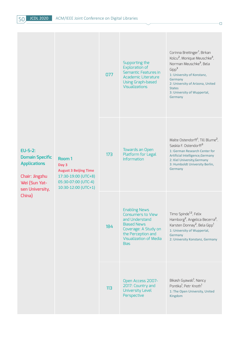JCDL 2020 ACM/IEEE Joint Conference on Digital Libraries 50

| <b>EU-S-2:</b><br><b>Domain Specific</b><br>Room 1<br><b>Applications</b><br>Day 3<br>Chair: Jingzhu<br>Wei (Sun Yat-<br>sen University,<br>China) |                                                                                                   | 077 | Supporting the<br><b>Exploration of</b><br>Semantic Features in<br>Academic Literature<br><b>Using Graph-based</b><br><b>Visualizations</b>                                     | Corinna Breitinger <sup>1</sup> , Birkan<br>Kolcu <sup>2</sup> , Monique Meuschke <sup>3</sup> ,<br>Norman Meuschke <sup>3</sup> , Bela<br>Gipp <sup>3</sup><br>1: University of Konstanz,<br>Germany<br>2: University of Arizona, United<br><b>States</b><br>3: University of Wuppertal,<br>Germany |
|----------------------------------------------------------------------------------------------------------------------------------------------------|---------------------------------------------------------------------------------------------------|-----|---------------------------------------------------------------------------------------------------------------------------------------------------------------------------------|------------------------------------------------------------------------------------------------------------------------------------------------------------------------------------------------------------------------------------------------------------------------------------------------------|
|                                                                                                                                                    | <b>August 3 Beijing Time</b><br>17:30-19:00 (UTC+8)<br>05:30-07:00 (UTC-4)<br>10:30-12:00 (UTC+1) | 173 | Towards an Open<br>Platform for Legal<br>Information                                                                                                                            | Malte Ostendorff <sup>1</sup> , Till Blume <sup>2</sup> ,<br>Saskia F. Ostendorff <sup>3</sup><br>1: German Research Center for<br>Artificial Intelligence, Germany<br>2: Kiel University, Germany<br>3: Humboldt University Berlin,<br>Germany                                                      |
|                                                                                                                                                    |                                                                                                   | 184 | <b>Enabling News</b><br>Consumers to View<br>and Understand<br><b>Biased News</b><br>Coverage: A Study on<br>the Perception and<br><b>Visualization of Media</b><br><b>Bias</b> | Timo Spinde <sup>1,2</sup> , Felix<br>Hamborg <sup>2</sup> , Angelica Becerra <sup>2</sup> ,<br>Karsten Donnay <sup>2</sup> , Bela Gipp <sup>1</sup><br>1: University of Wuppertal,<br>Germany<br>2: University Konstanz, Germany                                                                    |
|                                                                                                                                                    |                                                                                                   | 113 | Open Access 2007-<br>2017: Country and<br>University Level<br>Perspective                                                                                                       | Bikash Gyawali <sup>1</sup> , Nancy<br>Pontika <sup>1</sup> , Petr Knoth <sup>1</sup><br>1: The Open University, United<br>Kingdom                                                                                                                                                                   |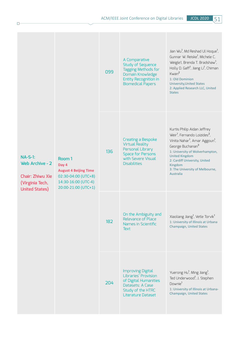| $NA-S-1$ :<br>Room 1<br>Web Archive - 2<br>Day 4<br><b>August 4 Beijing Time</b><br><b>Chair: Zhiwu Xie</b><br>02:30-04:00 (UTC+8)<br>14:30-16:00 (UTC-4)<br>(Virginia Tech,<br>20:00-21:00 (UTC+1)<br><b>United States)</b> | 099 | A Comparative<br><b>Study of Sequence</b><br>Tagging Methods for<br>Domain Knowledge<br><b>Entity Recognition in</b><br><b>Biomedical Papers</b>       | Jian Wu <sup>1</sup> , Md Reshad Ul Hoque <sup>1</sup> ,<br>Gunnar W. Reiske <sup>1</sup> , Michele C.<br>Weigle1, Brenda T. Bradshaw <sup>1</sup> ,<br>Holly D. Gaff <sup>1</sup> , Jiang Li <sup>1</sup> , Chiman<br>Kwan <sup>2</sup><br>1: Old Dominion<br><b>University, United States</b><br>2: Applied Research LLC, United<br><b>States</b> |                                                                                                                                                                                                                                                                                                                                       |
|------------------------------------------------------------------------------------------------------------------------------------------------------------------------------------------------------------------------------|-----|--------------------------------------------------------------------------------------------------------------------------------------------------------|-----------------------------------------------------------------------------------------------------------------------------------------------------------------------------------------------------------------------------------------------------------------------------------------------------------------------------------------------------|---------------------------------------------------------------------------------------------------------------------------------------------------------------------------------------------------------------------------------------------------------------------------------------------------------------------------------------|
|                                                                                                                                                                                                                              |     | 136                                                                                                                                                    | <b>Creating a Bespoke</b><br><b>Virtual Reality</b><br>Personal Library<br><b>Space for Persons</b><br>with Severe Visual<br><b>Disabilities</b>                                                                                                                                                                                                    | Kurtis Philip Aidan Jeffrey<br>Weir <sup>1</sup> , Fernando Loizides <sup>2</sup> ,<br>Vinita Nahar <sup>1</sup> , Amar Aggoun <sup>1</sup> ,<br>George Buchanan <sup>3</sup><br>1: University of Wolverhampton,<br><b>United Kingdom</b><br>2: Cardiff University, United<br>Kingdom<br>3: The University of Melbourne,<br>Australia |
|                                                                                                                                                                                                                              | 182 | On the Ambiguity and<br>Relevance of Place<br>Names in Scientific<br>Text                                                                              | Xiaoliang Jiang <sup>1</sup> , Vetle Torvik <sup>1</sup><br>1: University of Illinois at Urbana<br><b>Champaign, United States</b>                                                                                                                                                                                                                  |                                                                                                                                                                                                                                                                                                                                       |
|                                                                                                                                                                                                                              | 204 | <b>Improving Digital</b><br><b>Libraries' Provision</b><br>of Digital Humanities<br>Datasets: A Case<br>Study of the HTRC<br><b>Literature Dataset</b> | Yuerong Hu <sup>1</sup> , Ming Jiang <sup>1</sup> ,<br>Ted Underwood <sup>1</sup> , J. Stephen<br>Downie <sup>1</sup><br>1: University of Illinois at Urbana-<br>Champaign, United States                                                                                                                                                           |                                                                                                                                                                                                                                                                                                                                       |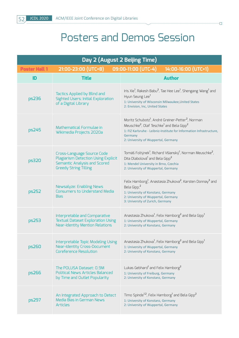## Posters and Demos Session

| Day 2 (August 2 Beijing Time) |                                                                                                                                          |                                                                                                                                                                                                                                                                                     |  |
|-------------------------------|------------------------------------------------------------------------------------------------------------------------------------------|-------------------------------------------------------------------------------------------------------------------------------------------------------------------------------------------------------------------------------------------------------------------------------------|--|
| <b>Poster Hall 1</b>          | 21:00-23:00 (UTC+8)                                                                                                                      | 09:00-11:00 (UTC-4)<br>14:00-16:00 (UTC+1)                                                                                                                                                                                                                                          |  |
| ID                            | <b>Title</b>                                                                                                                             | <b>Author</b>                                                                                                                                                                                                                                                                       |  |
| ps236                         | Tactics Applied by Blind and<br>Sighted Users: Initial Exploration<br>of a Digital Library                                               | Iris Xie <sup>1</sup> , Rakesh Babu <sup>2</sup> , Tae Hee Lee <sup>1</sup> , Shengang Wang <sup>1</sup> and<br>Hyun Seung Lee <sup>1</sup><br>1: University of Wisconsin Milwaukee, United States<br>2: Envision, Inc, United States                                               |  |
| ps245                         | Mathematical Formulae in<br>Wikimedia Projects 2020a                                                                                     | Moritz Schubotz <sup>1</sup> , André Greiner-Petter <sup>2</sup> , Norman<br>Meuschke <sup>2</sup> , Olaf Teschke <sup>1</sup> and Bela Gipp <sup>2</sup><br>1: FIZ Karlsruhe - Leibniz-Institute for Information Infrastructure,<br>Germany<br>2: University of Wuppertal, Germany |  |
| ps320                         | Cross-Language Source Code<br><b>Plagiarism Detection Using Explicit</b><br>Semantic Analysis and Scored<br><b>Greedy String Tilling</b> | Tomáš Foltýnek <sup>1</sup> , Richard Všianský <sup>1</sup> , Norman Meuschke <sup>2</sup> ,<br>Dita Dlabolová <sup>1</sup> and Bela Gipp <sup>2</sup><br>1: Mendel University in Brno, Czechia<br>2: University of Wuppertal, Germany                                              |  |
| ps252                         | Newsalyze: Enabling News<br><b>Consumers to Understand Media</b><br><b>Bias</b>                                                          | Felix Hamborg <sup>1</sup> , Anastasia Zhukova <sup>2</sup> , Karsten Donnay <sup>3</sup> and<br>Bela Gipp, <sup>2</sup><br>1: University of Konstanz, Germany<br>2: University of Wuppertal, Germany<br>3: University of Zurich, Germany                                           |  |
| ps253                         | Interpretable and Comparative<br><b>Textual Dataset Exploration Using</b><br><b>Near-Identity Mention Relations</b>                      | Anastasia Zhukova <sup>1</sup> , Felix Hamborg <sup>2</sup> and Bela Gipp <sup>1</sup><br>1: University of Wuppertal, Germany<br>2: University of Konstanz, Germany                                                                                                                 |  |
| ps260                         | Interpretable Topic Modeling Using<br><b>Near-Identity Cross-Document</b><br><b>Coreference Resolution</b>                               | Anastasia Zhukova <sup>1</sup> , Felix Hamborg <sup>2</sup> and Bela Gipp <sup>1</sup><br>1: University of Wuppertal, Germany<br>2: University of Konstanz, Germany                                                                                                                 |  |
| ps266                         | The POLUSA Dataset: 0.9M<br><b>Political News Articles Balanced</b><br>by Time and Outlet Popularity                                     | Lukas Gebhard <sup>1</sup> and Felix Hamborg <sup>2</sup><br>1: University of Freiburg, Germany<br>2: University of Konstanz, Germany                                                                                                                                               |  |
| ps297                         | An Integrated Approach to Detect<br>Media Bias in German News<br><b>Articles</b>                                                         | Timo Spinde <sup>1,2</sup> , Felix Hamborg <sup>1</sup> and Bela Gipp <sup>2</sup><br>1: University of Konstanz, Germany<br>2: University of Wuppertal, Germany                                                                                                                     |  |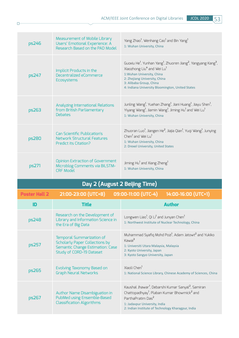ACM/IEEE Joint Conference on Digital Libraries JCDL 2020 53

| ps246 | Measurement of Mobile Library<br>Users' Emotional Experience: A<br>Research Based on the PAD Model | Yang Zhao <sup>1</sup> , Wenhang Cao <sup>1</sup> and Bin Yang <sup>1</sup><br>1: Wuhan University, China                                                                                                                                                                                                         |
|-------|----------------------------------------------------------------------------------------------------|-------------------------------------------------------------------------------------------------------------------------------------------------------------------------------------------------------------------------------------------------------------------------------------------------------------------|
| ps247 | Implicit Products in the<br>Decentralized eCommerce<br><b>Ecosystems</b>                           | Guoxiu He <sup>1</sup> , Yunhan Yang <sup>1</sup> , Zhuoren Jiang <sup>2</sup> , Yangyang Kang <sup>3</sup> ,<br>Xiaozhong Liu <sup>4</sup> and Wei Lu <sup>1</sup><br>1: Wuhan University, China<br>2: Zhejiang University, China<br>3: Alibaba Group, China<br>4: Indiana University Bloomington, United States |
| ps263 | Analyzing International Relations<br>from British Parliamentary<br><b>Debates</b>                  | Junling Wang <sup>1</sup> , Yuehan Zhang <sup>1</sup> , Jiani Huang <sup>1</sup> , Jiayu Shen <sup>1</sup> ,<br>Yiyang Wang <sup>1</sup> , Jiamin Wang <sup>1</sup> , Jiming Hu <sup>1</sup> and Wei Lu <sup>1</sup><br>1: Wuhan University, China                                                                |
| ps280 | <b>Can Scientific Publication's</b><br>Network Structural Features<br>Predict its Citation?        | Zhuoran Luo <sup>1</sup> , Jiangen He <sup>2</sup> , Jiajia Qian <sup>1</sup> , Yuqi Wang <sup>1</sup> , Junying<br>Chen <sup>1</sup> and Wei Lu <sup>1</sup><br>1: Wuhan University, China<br>2: Drexel University, United States                                                                                |
| DSZT  | <b>Opinion Extraction of Government</b><br>Microblog Comments via BiLSTM-<br><b>CRE Model</b>      | Jiming Hu <sup>1</sup> and Xiang Zheng <sup>1</sup><br>1: Wuhan University, China                                                                                                                                                                                                                                 |

### **Day 2 (August 2 Beijing Time)**

| <b>Poster Hall 2</b> | 21:00-23:00 (UTC+8)                                                                                                                | 09:00-11:00 (UTC-4)<br>$14:00-16:00$ (UTC+1)                                                                                                                                                                                                                              |
|----------------------|------------------------------------------------------------------------------------------------------------------------------------|---------------------------------------------------------------------------------------------------------------------------------------------------------------------------------------------------------------------------------------------------------------------------|
| ID                   | <b>Title</b>                                                                                                                       | <b>Author</b>                                                                                                                                                                                                                                                             |
| ps248                | Research on the Development of<br>Library and Information Science in<br>the Era of Big Data                                        | Longwen Liao <sup>1</sup> , Qi Li <sup>1</sup> and Junyan Chen <sup>1</sup><br>1: Northwest Institute of Nuclear Technology, China                                                                                                                                        |
| ps257                | Temporal Summarization of<br><b>Scholarly Paper Collections by</b><br>Semantic Change Estimation: Case<br>Study of CORD-19 Dataset | Muhammad Syafiq Mohd Pozi <sup>1</sup> , Adam Jatowt <sup>2</sup> and Yukiko<br>Kawai <sup>3</sup><br>1: Universiti Utara Malaysia, Malaysia<br>2: Kyoto University, Japan<br>3: Kyoto Sangyo University, Japan                                                           |
| ps265                | Evolving Taxonomy Based on<br><b>Graph Neural Networks</b>                                                                         | Xiaoli Chen <sup>1</sup><br>1: National Science Library, Chinese Academy of Sciences, China                                                                                                                                                                               |
| ps267                | Author Name Disambiguation in<br>PubMed using Ensemble-Based<br><b>Classification Algorithms</b>                                   | Kaushal Jhawar <sup>1</sup> , Debarshi Kumar Sanyal <sup>2</sup> , Samiran<br>Chattopadhyay <sup>1</sup> , Plaban Kumar Bhowmick <sup>2</sup> and<br>ParthaPratim Das <sup>2</sup><br>1: Jadavpur University, India<br>2: Indian Institute of Technology Kharagpur, India |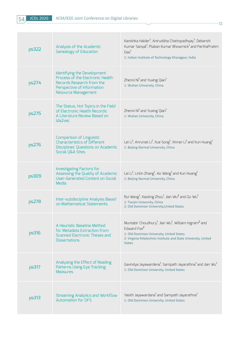| ps322 | Analysis of the Academic<br><b>Genealogy of Education</b>                                                                                                | Kanishka Halder <sup>1</sup> , Aniruddha Chattopadhyay <sup>1</sup> , Debarshi<br>Kumar Sanyal <sup>1</sup> , Plaban Kumar Bhowmick <sup>1</sup> and ParthaPratim<br>Das <sup>1</sup><br>1: Indian Institute of Technology Kharagpur, India         |
|-------|----------------------------------------------------------------------------------------------------------------------------------------------------------|-----------------------------------------------------------------------------------------------------------------------------------------------------------------------------------------------------------------------------------------------------|
| ps274 | Identifying the Development<br>Process of the Electronic Health<br>Records Research from the<br>Perspective of Information<br><b>Resource Management</b> | Zhenni Ni <sup>1</sup> and Yuxing Qian <sup>1</sup><br>1: Wuhan University, China                                                                                                                                                                   |
| ps275 | The Status, Hot Topics in the Field<br>of Electronic Health Records:<br>A Literature Review Based on<br>lda2vec                                          | Zhenni Ni <sup>1</sup> and Yuxing Qian <sup>1</sup><br>1: Wuhan University, China                                                                                                                                                                   |
| ps276 | <b>Comparison of Linguistic</b><br><b>Characteristics of Different</b><br>Disciplines' Questions on Academic<br>Social Q&A Sites                         | Lei Li <sup>1</sup> , Anrunze Li <sup>1</sup> , Xue Song <sup>1</sup> , Xinran Li <sup>1</sup> and Kun Huang <sup>1</sup><br>1: Beijing Normal University, China                                                                                    |
| ps309 | <b>Investigating Factors for</b><br>Assessing the Quality of Academic<br>User-Generated Content on Social<br>Media                                       | Lei Li <sup>1</sup> , Linlin Zhang <sup>1</sup> , Ao Wang <sup>1</sup> and Kun Huang <sup>1</sup><br>1: Beijing Normal University, China                                                                                                            |
| ps278 | Inter-subdiscipline Analysis Based<br>on Mathematical Statements                                                                                         | Rui Wang <sup>1</sup> , Xiaoling Zhou <sup>1</sup> , Jian Wu <sup>2</sup> and Ou Wu <sup>1</sup><br>1: Tianjin University, China<br>2: Old Dominion University, United States                                                                       |
| ps316 | A Heuristic Baseline Method<br>for Metadata Extraction from<br>Scanned Electronic Theses and<br><b>Dissertations</b>                                     | Muntabir Choudhury <sup>1</sup> , Jian Wu <sup>1</sup> , William Ingram <sup>2</sup> and<br>Edward Fox <sup>2</sup><br>1: Old Dominion University, United States<br>2: Virginia Polytechnic Institute and State University, United<br><b>States</b> |
| ps317 | Analyzing the Effect of Reading<br><b>Patterns Using Eye Tracking</b><br><b>Measures</b>                                                                 | Gavindya Jayawardena <sup>1</sup> , Sampath Jayarathna <sup>1</sup> and Jian Wu <sup>1</sup><br>1: Old Dominion University, United States                                                                                                           |
| ps313 | Streaming Analytics and Workflow<br><b>Automation for DFS</b>                                                                                            | Yasith Jayawardana <sup>1</sup> and Sampath Jayarathna <sup>1</sup><br>1: Old Dominion University, United States                                                                                                                                    |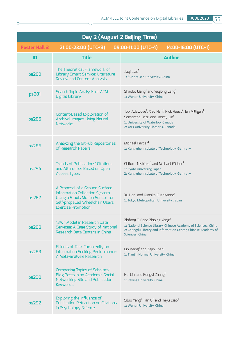**Day 2 (August 2 Beijing Time) Poster Hall 3 21:00-23:00 (UTC+8) 09:00-11:00 (UTC-4) 14:00-16:00 (UTC+1) ID Title Author** ps269 The Theoretical Framework of Library Smart Service: Literature Review and Content Analysis Jiaqi Liao<sup>1</sup> 1: Sun Yat-sen University, China ps281 Search Topic Analysis of ACM Digital Library Shaobo Liang<sup>1</sup> and Yaqiong Leng<sup>1</sup> 1: Wuhan University, China ps285 Content-Based Exploration of Archival Images Using Neural **Networks** Tobi Adewoye<sup>1</sup>, Xiao Han<sup>1</sup>, Nick Ruest<sup>2</sup>, Ian Milligan<sup>1</sup>, Samantha Fritz<sup>1</sup> and Jimmy Lin<sup>1</sup> 1: University of Waterloo, Canada 2: York University Libraries, Canada ps286 Analyzing the GitHub Repositories of Research Papers Michael Färber<sup>1</sup> 1: Karlsruhe Institute of Technology, Germany ps294 Trends of Publications' Citations and Altmetrics Based on Open Access Types Chifumi Nishioka<sup>1</sup> and Michael Färber<sup>2</sup> 1: Kyoto University, Japan 2: Karlsruhe Institute of Technology, Germany ps287 A Proposal of a Ground Surface Information Collection System Using a 9-axis Motion Sensor for Self-propelled Wheelchair Users' Exercise Promotion Xu Han<sup>1</sup> and Kumiko Kushiyama<sup>1</sup> 1: Tokyo Metropolitan University, Japan ps288 "3W" Model in Research Data Services: A Case Study of National Research Data Centers in China Zhifang Tu<sup>1</sup> and Zhiping Yang<sup>2</sup> 1: National Science Library, Chinese Academy of Sciences, China 2: Chengdu Library and Information Center, Chinese Academy of Sciences, China ps289 Effects of Task Complexity on Information Seeking Performance: A Meta-analysis Research Lin Wang<sup>1</sup> and Zejin Chen<sup>1</sup> 1: Tianjin Normal University, China ps290 Comparing Topics of Scholars' Blog Posts in an Academic Social Networking Site and Publication Keywords Hui Lin<sup>1</sup> and Pengyi Zhang<sup>1</sup> 1: Peking University, China ps292 Exploring the Influence of Publication Retraction on Citations in Psychology Science Siluo Yang<sup>1</sup>, Fan Qi<sup>1</sup> and Heyu Diao<sup>1</sup> 1: Wuhan University, China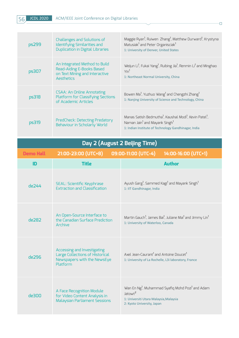| ps299 | Challenges and Solutions of<br>Identifying Similarities and<br><b>Duplication in Digital Libraries</b>            | Maggie Ryan <sup>1</sup> , Ruiwen Zhang <sup>1</sup> , Matthew Durward <sup>1</sup> , Krystyna<br>Matusiak <sup>1</sup> and Peter Organisciak <sup>1</sup><br>1: University of Denver, United States         |
|-------|-------------------------------------------------------------------------------------------------------------------|--------------------------------------------------------------------------------------------------------------------------------------------------------------------------------------------------------------|
| ps307 | An Integrated Method to Build<br>Read-Aiding E-Books Based<br>on Text Mining and Interactive<br><b>Aesthetics</b> | Weijun Li <sup>1</sup> , Fukai Yang <sup>1</sup> , Ruibing Jia <sup>1</sup> , Renmin Li <sup>1</sup> and Minghao<br>Yin <sup>1</sup><br>1: Northeast Normal University, China                                |
| ps318 | <b>CSAA: An Online Annotating</b><br><b>Platform for Classifying Sections</b><br>of Academic Articles             | Bowen Ma <sup>1</sup> , Yuzhuo Wang <sup>1</sup> and Chengzhi Zhang <sup>1</sup><br>1: Nanjing University of Science and Technology, China                                                                   |
| ps319 | <b>PredCheck: Detecting Predatory</b><br>Behaviour in Scholarly World                                             | Manas Satish Bedmutha <sup>1</sup> , Kaushal Modi <sup>1</sup> , Kevin Patel <sup>1</sup> ,<br>Naman Jain <sup>1</sup> and Mayank Singh <sup>1</sup><br>1: Indian Institute of Technology Gandhinagar, India |

| Day 2 (August 2 Beijing Time) |                                                                                                           |                                                                                                                                                                         |  |
|-------------------------------|-----------------------------------------------------------------------------------------------------------|-------------------------------------------------------------------------------------------------------------------------------------------------------------------------|--|
| <b>Demo Hall</b>              | $21:00 - 23:00$ (UTC+8)                                                                                   | 09:00-11:00 (UTC-4)<br>14:00-16:00 (UTC+1)                                                                                                                              |  |
| ID                            | <b>Title</b>                                                                                              | <b>Author</b>                                                                                                                                                           |  |
| de <sub>244</sub>             | SEAL: Scientific Keyphrase<br><b>Extraction and Classification</b>                                        | Ayush Garg <sup>1</sup> , Sammed Kagi <sup>1</sup> and Mayank Singh <sup>1</sup><br>1: IIT Gandhinagar, India                                                           |  |
| de282                         | An Open-Source Interface to<br>the Canadian Surface Prediction<br>Archive                                 | Martin Gauch <sup>1</sup> , James Bai <sup>1</sup> , Juliane Mai <sup>1</sup> and Jimmy Lin <sup>1</sup><br>1: University of Waterloo, Canada                           |  |
| de296                         | Accessing and Investigating<br>Large Collections of Historical<br>Newspapers with the NewsEye<br>Platform | Axel Jean-Caurant <sup>1</sup> and Antoine Doucet <sup>1</sup><br>1: University of La Rochelle, L3i laboratory, France                                                  |  |
| ONEeh                         | A Face Recognition Module<br>for Video Content Analysis in<br><b>Malaysian Parliament Sessions</b>        | Wan En Ng <sup>1</sup> , Muhammad Syafiq Mohd Pozi <sup>1</sup> and Adam<br>Jatowt <sup>2</sup><br>1: Universiti Utara Malaysia, Malaysia<br>2: Kyoto University, Japan |  |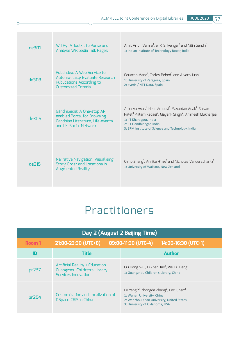| rence on Digital Libraries |  |
|----------------------------|--|
|----------------------------|--|

| de <sub>301</sub> | WiTPy: A Toolkit to Parse and<br>Analyse Wikipedia Talk Pages                                                             | Amit Arjun Verma <sup>1</sup> , S. R. S. Iyengar <sup>1</sup> and Nitin Gandhi <sup>1</sup><br>1: Indian Institute of Technology Ropar, India                                                                                                                                                                         |
|-------------------|---------------------------------------------------------------------------------------------------------------------------|-----------------------------------------------------------------------------------------------------------------------------------------------------------------------------------------------------------------------------------------------------------------------------------------------------------------------|
| de303             | Publindex: A Web Service to<br>Automatically Evaluate Research<br>Publications According to<br><b>Customized Criteria</b> | Eduardo Mena <sup>1</sup> , Carlos Bobed <sup>2</sup> and Álvaro Juan <sup>1</sup><br>1: University of Zaragoza, Spain<br>2: everis / NTT Data, Spain                                                                                                                                                                 |
| de305             | Gandhipedia: A One-stop Al-<br>enabled Portal for Browsing<br>Gandhian Literature, Life-events<br>and his Social Network  | Atharva Vyas <sup>1</sup> , Heer Ambavi <sup>2</sup> , Sayantan Adak <sup>1</sup> , Shivam<br>Patel <sup>3</sup> Pritam Kadasi <sup>2</sup> , Mayank Singh <sup>2</sup> , Animesh Mukherjee <sup>1</sup><br>1: IIT Kharagpur, India<br>2: IIT Gandhinagar, India<br>3: SRM Institute of Science and Technology, India |
| de <sub>315</sub> | Narrative Navigation: Visualising<br><b>Story Order and Locations in</b><br><b>Augmented Reality</b>                      | Qimo Zhang <sup>1</sup> , Annika Hinze <sup>1</sup> and Nicholas Vanderschantz <sup>1</sup><br>1: University of Waikato, New Zealand                                                                                                                                                                                  |

 $\Box^-$ 

### **Practitioners**

| Day 2 (August 2 Beijing Time) |                                                                                       |                                                                                                                                                                                           |  |
|-------------------------------|---------------------------------------------------------------------------------------|-------------------------------------------------------------------------------------------------------------------------------------------------------------------------------------------|--|
| Room 1                        | 09:00-11:30 (UTC-4)<br>14:00-16:30 (UTC+1)<br>$21:00-23:30$ (UTC+8)                   |                                                                                                                                                                                           |  |
| ID                            | <b>Title</b>                                                                          | <b>Author</b>                                                                                                                                                                             |  |
| pr237                         | Artificial Reality + Education<br>Guangzhou Children's Library<br>Services Innovation | Cui Hong Wu <sup>1</sup> , Li Zhen Tao <sup>1</sup> , Wei Fu Deng <sup>1</sup><br>1: Guangzhou Children's Library, China                                                                  |  |
| pr254                         | Customization and Localization of<br><b>DSpace-CRIS in China</b>                      | Le Yang <sup>1,2</sup> , Zhongda Zhang <sup>3</sup> , Enci Chen <sup>2</sup><br>1: Wuhan University, China<br>2: Wenzhou-Kean University, United States<br>3: University of Oklahoma, USA |  |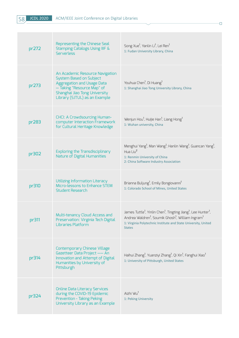| pr272 | Representing the Chinese Seal<br>Stamping Catalogs Using IIIF &<br><b>Serverless</b>                                                                                                            | Song Xue <sup>1</sup> , Yanlin Li <sup>1</sup> , Lei Ren <sup>1</sup><br>1: Fudan University Library, China                                                                                                                                                                                |
|-------|-------------------------------------------------------------------------------------------------------------------------------------------------------------------------------------------------|--------------------------------------------------------------------------------------------------------------------------------------------------------------------------------------------------------------------------------------------------------------------------------------------|
| pr273 | An Academic Resource Navigation<br>System Based on Subject<br><b>Aggregation and Usage Data</b><br>- Taking "Resource Map" of<br>Shanghai Jiao Tong University<br>Library (SJTUL) as an Example | Youhua Chen <sup>1</sup> , Di Huang <sup>1</sup><br>1: Shanghai Jiao Tong University Library, China                                                                                                                                                                                        |
| pr283 | <b>CHCI: A Crowdsourcing Human-</b><br>computer Interaction Framework<br>for Cultural Heritage Knowledge                                                                                        | Wenjun Hou <sup>1</sup> , Huijie Han <sup>1</sup> , Liang Hong <sup>1</sup><br>1: Wuhan university, China                                                                                                                                                                                  |
| pr302 | Exploring the Transdisciplinary<br>Nature of Digital Humanities                                                                                                                                 | Menghui Yang <sup>1</sup> , Man Wang <sup>1</sup> ; Hanlin Wang <sup>1</sup> , Guancan Yang <sup>1</sup> ,<br>Hua Liu $2$<br>1: Renmin University of China<br>2: China Software Industry Association                                                                                       |
| pr310 | Utilizing Information Literacy<br>Micro-lessons to Enhance STEM<br><b>Student Research</b>                                                                                                      | Brianna Buljung <sup>1</sup> , Emily Bongiovanni <sup>1</sup><br>1: Colorado School of Mines, United States                                                                                                                                                                                |
| pr311 | Multi-tenancy Cloud Access and<br>Preservation: Virginia Tech Digital<br>Libraries Platform                                                                                                     | James Tuttle <sup>1</sup> , Yinlin Chen <sup>1</sup> , Tingting Jiang <sup>1</sup> , Lee Hunter <sup>1</sup> ,<br>Andrea Waldren <sup>1</sup> , Soumik Ghosh <sup>1</sup> , William Ingram <sup>1</sup><br>1: Virginia Polytechnic Institute and State University, United<br><b>States</b> |
| pr314 | Contemporary Chinese Village<br>Gazetteer Data Project - An<br>Innovation and Attempt of Digital<br>Humanities by University of<br>Pittsburgh                                                   | Haihui Zhang <sup>1</sup> , Yuanziyi Zhang <sup>1</sup> , Qi Xin <sup>1</sup> , Fanghui Xiao <sup>1</sup><br>1: University of Pittsburgh, United States                                                                                                                                    |
| pr324 | <b>Online Data Literacy Services</b><br>during the COVID-19 Epidemic<br>Prevention - Taking Peking<br>University Library as an Example                                                          | Aizhi Wu <sup>1</sup><br>1: Peking University                                                                                                                                                                                                                                              |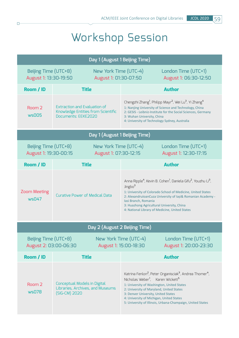# Workshop Session

| Day 1 (August 1 Beijing Time)                                                                   |                                                                                                  |                                                                                                                                                                                                                                                                                                                                                                                                    |  |
|-------------------------------------------------------------------------------------------------|--------------------------------------------------------------------------------------------------|----------------------------------------------------------------------------------------------------------------------------------------------------------------------------------------------------------------------------------------------------------------------------------------------------------------------------------------------------------------------------------------------------|--|
| Beijing Time (UTC+8)<br>New York Time (UTC-4)<br>August 1: 13:30-19:50<br>August 1: 01:30-07:50 |                                                                                                  | London Time (UTC+1)<br>August 1: 06:30-12:50                                                                                                                                                                                                                                                                                                                                                       |  |
| Room / ID                                                                                       | <b>Title</b>                                                                                     | <b>Author</b>                                                                                                                                                                                                                                                                                                                                                                                      |  |
| Room 2<br>ws005                                                                                 | <b>Extraction and Evaluation of</b><br>Knowledge Entities from Scientific<br>Documents: EEKE2020 | Chengzhi Zhang <sup>1</sup> , Philipp Mayr <sup>2</sup> , Wei Lu <sup>3</sup> , Yi Zhang <sup>4</sup><br>1: Nanjing University of Science and Technology, China<br>2: GESIS - Leibniz-Institute for the Social Sciences, Germany<br>3: Wuhan University, China<br>4: University of Technology Sydney, Australia                                                                                    |  |
| Day 1 (August 1 Beijing Time)                                                                   |                                                                                                  |                                                                                                                                                                                                                                                                                                                                                                                                    |  |
| Beijing Time (UTC+8)<br>New York Time (UTC-4)<br>August 1: 19:30-00:15<br>August 1: 07:30-12:15 |                                                                                                  | London Time (UTC+1)<br>August 1: 12:30-17:15                                                                                                                                                                                                                                                                                                                                                       |  |
| Room / ID                                                                                       | <b>Title</b>                                                                                     | <b>Author</b>                                                                                                                                                                                                                                                                                                                                                                                      |  |
| <b>Zoom Meeting</b><br>ws047                                                                    | <b>Curative Power of Medical Data</b>                                                            | Anna Ripple <sup>4</sup> , Kevin B. Cohen <sup>1</sup> , Daniela Gifu <sup>2</sup> , Youzhu Li <sup>3</sup> ,<br>Jingbo <sup>3</sup><br>1: University of Colorado School of Medicine, United States<br>2: AlexandruloanCuza University of lasi& Romanian Academy -<br>Iasi Branch, Romania<br>3: Huazhong Agricultural University, China<br>4: National Library of Medicine, United States         |  |
| Day 2 (August 2 Beijing Time)                                                                   |                                                                                                  |                                                                                                                                                                                                                                                                                                                                                                                                    |  |
| Beijing Time (UTC+8)<br>August 2: 03:00-06:30                                                   |                                                                                                  | New York Time (UTC-4)<br>London Time (UTC+1)<br>August 1: 15:00-18:30<br>August 1: 20:00-23:30                                                                                                                                                                                                                                                                                                     |  |
| Room / ID                                                                                       | <b>Title</b>                                                                                     | <b>Author</b>                                                                                                                                                                                                                                                                                                                                                                                      |  |
| Room 2<br><b>ws078</b>                                                                          | Conceptual Models in Digital<br>Libraries, Archives, and Museums<br>(SIG-CM) 2020                | Katrina Fenlon <sup>2</sup> , Peter Organisciak <sup>3</sup> , Andrea Thomer <sup>4</sup> ,<br>Nicholas Weber <sup>1</sup> , Karen Wickett <sup>5</sup><br>1: University of Washington, United States<br>2: University of Maryland, United States<br>3: Denver University, United States<br>4: University of Michigan, United States<br>5: University of Illinois, Urbana-Champaign, United States |  |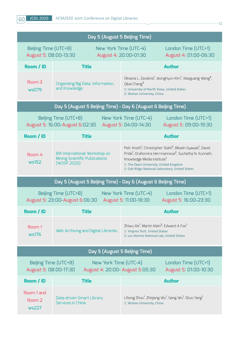| Day 5 (August 5 Beijing Time)                                                                                                                             |                                                                                |                                                                                                                                                                                                                                                                                                                         |  |  |
|-----------------------------------------------------------------------------------------------------------------------------------------------------------|--------------------------------------------------------------------------------|-------------------------------------------------------------------------------------------------------------------------------------------------------------------------------------------------------------------------------------------------------------------------------------------------------------------------|--|--|
| Beijing Time (UTC+8)<br>New York Time (UTC-4)<br>August 5: 08:00-13:30                                                                                    |                                                                                | London Time (UTC+1)<br>August 4: 20:00-01:30<br>August 4: 01:00-06:30                                                                                                                                                                                                                                                   |  |  |
| Room / ID                                                                                                                                                 | <b>Title</b>                                                                   | <b>Author</b>                                                                                                                                                                                                                                                                                                           |  |  |
| Room <sub>3</sub><br>ws079                                                                                                                                | Organizing Big Data, Information,<br>and Knowledge                             | Oksana L. Zavalina <sup>1</sup> , Jeonghyun Kim <sup>1</sup> , Xiaoguang Wang <sup>2</sup> ,<br>Qikai Cheng <sup>2</sup><br>1: University of North Texas, United States<br>2: Wuhan University, China                                                                                                                   |  |  |
|                                                                                                                                                           | Day 5 (August 5 Beijing Time) - Day 6 (August 6 Beijing Time)                  |                                                                                                                                                                                                                                                                                                                         |  |  |
| Beijing Time (UTC+8)<br>August 5: 16:00-August 6:02:30                                                                                                    |                                                                                | New York Time (UTC-4)<br>London Time (UTC+1)<br>August 5: 09:00-19:30<br>August 5: 04:00-14:30                                                                                                                                                                                                                          |  |  |
| Room / ID                                                                                                                                                 | <b>Title</b>                                                                   | <b>Author</b>                                                                                                                                                                                                                                                                                                           |  |  |
| Room 4<br>ws152                                                                                                                                           | 8th International Workshop on<br>Mining Scientific Publications<br>(WOSP 2020) | Petr Knoth <sup>1</sup> , Christopher Stahl <sup>2</sup> , Bikash Gyawali <sup>1</sup> , David<br>Pride <sup>1</sup> , Drahomira Herrmannova <sup>2</sup> , Suchetha N. Kunnath,<br>Knowledge Media institute <sup>1</sup><br>1: The Open University, United Kingdom<br>2: Oak Ridge National Laboratory, United States |  |  |
|                                                                                                                                                           | Day 5 (August 5 Beijing Time) - Day 6 (August 6 Beijing Time)                  |                                                                                                                                                                                                                                                                                                                         |  |  |
| Beijing Time (UTC+8)<br>New York Time (UTC-4)<br>London Time (UTC+1)<br>August 5: 23:00-August 6:06:30<br>August 5: 11:00-18:30<br>August 5: 16:00-23:30  |                                                                                |                                                                                                                                                                                                                                                                                                                         |  |  |
| Room / ID                                                                                                                                                 | Title                                                                          | <b>Author</b>                                                                                                                                                                                                                                                                                                           |  |  |
| Room 1<br>ws176                                                                                                                                           | Web Archiving and Digital Libraries                                            | Zhiwu Xie <sup>1</sup> , Martin Klein <sup>2</sup> , Edward A Fox <sup>1</sup><br>1: Virginia Tech, United States<br>2: Los Alamos National Lab, United States                                                                                                                                                          |  |  |
| Day 5 (August 5 Beijing Time)                                                                                                                             |                                                                                |                                                                                                                                                                                                                                                                                                                         |  |  |
| Beijing Time (UTC+8)<br>New York Time (UTC-4)<br>London Time (UTC+1)<br>August 5: 08:00-17:30<br>August 4: 20:00- August 5:05:30<br>August 5: 01:00-10:30 |                                                                                |                                                                                                                                                                                                                                                                                                                         |  |  |
| Room / ID                                                                                                                                                 | <b>Author</b><br><b>Title</b>                                                  |                                                                                                                                                                                                                                                                                                                         |  |  |
| Room 1 and<br>Room 2<br>ws227                                                                                                                             | Data-driven Smart Library<br><b>Services in China</b>                          | Lihong Zhou <sup>1</sup> , Zhiqiang Wu <sup>1</sup> , Gang Wu <sup>1</sup> , Siluo Yang <sup>1</sup><br>1: Wuhan University, China                                                                                                                                                                                      |  |  |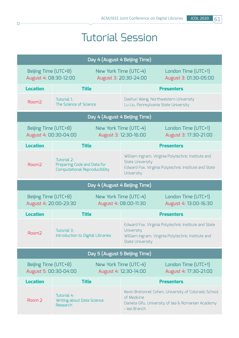## Tutorial Session

| Day 4 (August 4 Beijing Time)                                                                   |                                                                                                 |                                                                                                                                                     |                                                                                                             |  |
|-------------------------------------------------------------------------------------------------|-------------------------------------------------------------------------------------------------|-----------------------------------------------------------------------------------------------------------------------------------------------------|-------------------------------------------------------------------------------------------------------------|--|
| Beijing Time (UTC+8)<br>August 4: 08:30-12:00                                                   |                                                                                                 | New York Time (UTC-4)<br>August 3: 20:30-24:00                                                                                                      | London Time (UTC+1)<br>August 3: 01:30-05:00                                                                |  |
| <b>Location</b>                                                                                 | <b>Title</b>                                                                                    |                                                                                                                                                     | <b>Presenters</b>                                                                                           |  |
| Room <sub>2</sub>                                                                               | Tutorial 1:<br>The Science of Science                                                           |                                                                                                                                                     | Dashun Wang, Northwestern University<br>Lu Liu, Pennsylvania State University                               |  |
|                                                                                                 | Day 4 (August 4 Beijing Time)                                                                   |                                                                                                                                                     |                                                                                                             |  |
|                                                                                                 | Beijing Time (UTC+8)<br>New York Time (UTC-4)<br>August 4: 00:30-04:00<br>August 3: 12:30-16:00 |                                                                                                                                                     | London Time (UTC+1)<br>August 3: 17:30-21:00                                                                |  |
| <b>Location</b>                                                                                 | <b>Title</b>                                                                                    |                                                                                                                                                     | <b>Presenters</b>                                                                                           |  |
| Room <sub>2</sub>                                                                               | Tutorial 2:<br>Preparing Code and Data for<br>Computational Reproducibility                     | William Ingram, Virginia Polytechnic Institute and<br><b>State University</b><br>Edward Fox, Virginia Polytechnic Institute and State<br>University |                                                                                                             |  |
|                                                                                                 | Day 4 (August 4 Beijing Time)                                                                   |                                                                                                                                                     |                                                                                                             |  |
| Beijing Time (UTC+8)<br>New York Time (UTC-4)<br>August 4: 20:00-23:30<br>August 4: 08:00-11:30 |                                                                                                 |                                                                                                                                                     | London Time (UTC+1)<br>August 4: 13:00-16:30                                                                |  |
| <b>Location</b>                                                                                 | <b>Title</b>                                                                                    | <b>Presenters</b>                                                                                                                                   |                                                                                                             |  |
| Room <sub>2</sub>                                                                               | Tutorial $3:$<br>Introduction to Digital Libraries                                              | Edward Fox, Virginia Polytechnic Institute and State<br>University<br>William Ingram, Virginia Polytechnic Institute and<br><b>State University</b> |                                                                                                             |  |
| Day 5 (August 5 Beijing Time)                                                                   |                                                                                                 |                                                                                                                                                     |                                                                                                             |  |
| Beijing Time (UTC+8)<br>August 5: 00:30-04:00                                                   |                                                                                                 | New York Time (UTC-4)<br>August 4: 12:30-14:00                                                                                                      | London Time (UTC+1)<br>August 4: 17:30-21:00                                                                |  |
| <b>Location</b>                                                                                 | <b>Title</b>                                                                                    |                                                                                                                                                     | <b>Presenters</b>                                                                                           |  |
| Room 2                                                                                          | Tutorial 4:<br><b>Writing about Data Science</b><br>Research                                    | of Medicine<br>- Iasi Branch                                                                                                                        | Kevin Bretonnel Cohen, University of Colorado School<br>Daniela Gifu, University of Iasi & Romanian Academy |  |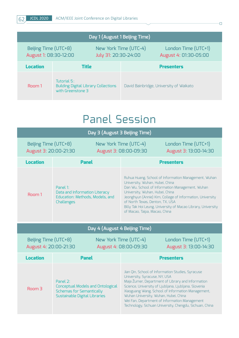| Day 1 (August 1 Beijing Time)                                                                  |                                    |                                             |                                              |                                         |
|------------------------------------------------------------------------------------------------|------------------------------------|---------------------------------------------|----------------------------------------------|-----------------------------------------|
| Beijing Time (UTC+8)<br>New York Time (UTC-4)<br>August 1: 08:30-12:00<br>July 31: 20:30-24:00 |                                    |                                             | London Time (UTC+1)<br>August 4: 01:30-05:00 |                                         |
| <b>Location</b>                                                                                |                                    | <b>Title</b>                                | <b>Presenters</b>                            |                                         |
| Room 1                                                                                         | Tutorial $5:$<br>with Greenstone 3 | <b>Building Digital Library Collections</b> |                                              | David Bainbridge, University of Waikato |

## Panel Session

| Day 3 (August 3 Beijing Time)                                          |                                                                                                                   |                                                                                                                                                                                                                                                                                                                                                                                                            |                                              |
|------------------------------------------------------------------------|-------------------------------------------------------------------------------------------------------------------|------------------------------------------------------------------------------------------------------------------------------------------------------------------------------------------------------------------------------------------------------------------------------------------------------------------------------------------------------------------------------------------------------------|----------------------------------------------|
| Beijing Time (UTC+8)<br>New York Time (UTC-4)<br>August 3: 20:00-21:30 |                                                                                                                   | August 3: 08:00-09:30                                                                                                                                                                                                                                                                                                                                                                                      | London Time (UTC+1)<br>August 3: 13:00-14:30 |
| <b>Location</b>                                                        | <b>Panel</b>                                                                                                      |                                                                                                                                                                                                                                                                                                                                                                                                            | <b>Presenters</b>                            |
| Room 1                                                                 | Panel 1:<br>Data and Information Literacy<br>Education: Methods, Models, and<br>Challenges                        | Ruhua Huang, School of Information Management, Wuhan<br>University, Wuhan, Hubei, China<br>Dan Wu, School of Information Management, Wuhan<br>University, Wuhan, Hubei, China<br>Jeonghyun (Annie) Kim, College of Information, University<br>of North Texas, Denton, TX, USA<br>Billy Tak Hoi Leung, University of Macao Library, University<br>of Macao, Taipa, Macao, China                             |                                              |
| Day 4 (August 4 Beijing Time)                                          |                                                                                                                   |                                                                                                                                                                                                                                                                                                                                                                                                            |                                              |
| Beijing Time (UTC+8)<br>August 4: 20:00-21:30                          |                                                                                                                   | New York Time (UTC-4)<br>August 4: 08:00-09:30                                                                                                                                                                                                                                                                                                                                                             | London Time (UTC+1)<br>August 3: 13:00-14:30 |
| <b>Location</b>                                                        | <b>Panel</b>                                                                                                      | <b>Presenters</b>                                                                                                                                                                                                                                                                                                                                                                                          |                                              |
| Room <sub>3</sub>                                                      | Panel 2:<br>Conceptual Models and Ontological<br><b>Schemas for Semantically</b><br>Sustainable Digital Libraries | Jian Qin, School of Information Studies, Syracuse<br>University, Syracuse, NY, USA<br>Maja Žumer, Department of Library and Information<br>Science, University of Ljubljana, Ljubljana, Slovenia<br>Xiaoguang Wang, School of Information Management,<br>Wuhan University, Wuhan, Hubei, China<br>Wei Fan, Department of Information Management<br>Technology, Sichuan University, Chengdu, Sichuan, China |                                              |

Ð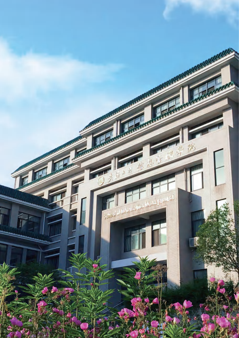